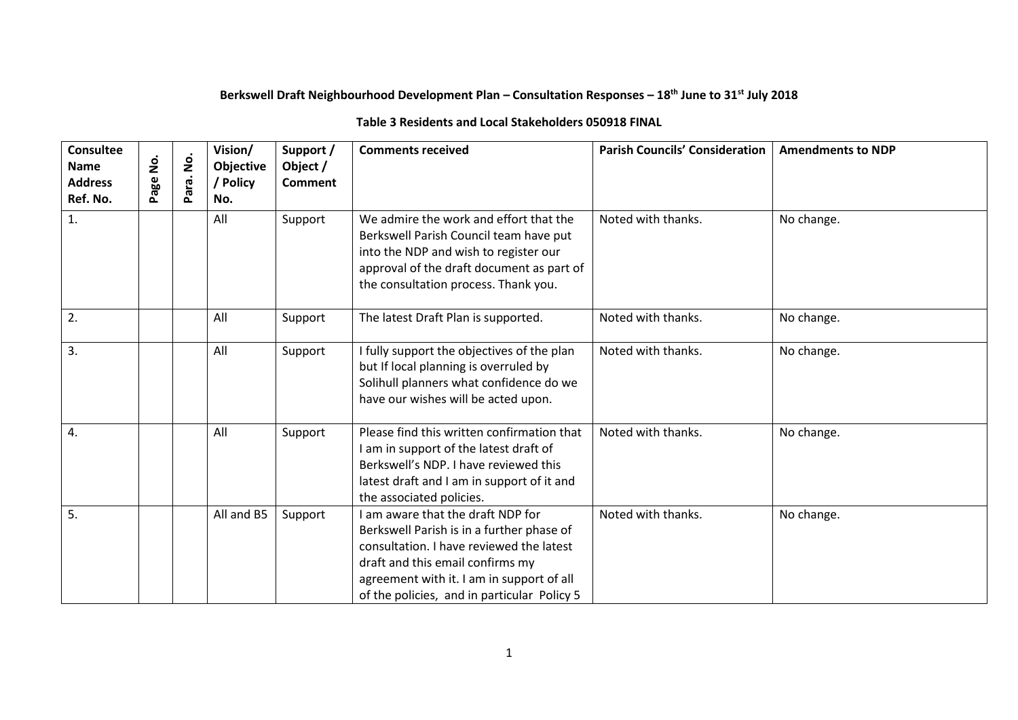## **Berkswell Draft Neighbourhood Development Plan – Consultation Responses – 18th June to 31st July 2018**

## **Table 3 Residents and Local Stakeholders 050918 FINAL**

| <b>Consultee</b><br><b>Name</b><br><b>Address</b><br>Ref. No. | .<br>2<br>Page | $\dot{\mathbf{z}}$<br>Para. | Vision/<br>Objective<br>/ Policy<br>No. | Support /<br>Object /<br><b>Comment</b> | <b>Comments received</b>                                                                                                                                                                                                                                   | <b>Parish Councils' Consideration</b> | <b>Amendments to NDP</b> |
|---------------------------------------------------------------|----------------|-----------------------------|-----------------------------------------|-----------------------------------------|------------------------------------------------------------------------------------------------------------------------------------------------------------------------------------------------------------------------------------------------------------|---------------------------------------|--------------------------|
| 1.                                                            |                |                             | All                                     | Support                                 | We admire the work and effort that the<br>Berkswell Parish Council team have put<br>into the NDP and wish to register our<br>approval of the draft document as part of<br>the consultation process. Thank you.                                             | Noted with thanks.                    | No change.               |
| 2.                                                            |                |                             | All                                     | Support                                 | The latest Draft Plan is supported.                                                                                                                                                                                                                        | Noted with thanks.                    | No change.               |
| 3.                                                            |                |                             | All                                     | Support                                 | I fully support the objectives of the plan<br>but If local planning is overruled by<br>Solihull planners what confidence do we<br>have our wishes will be acted upon.                                                                                      | Noted with thanks.                    | No change.               |
| 4.                                                            |                |                             | All                                     | Support                                 | Please find this written confirmation that<br>I am in support of the latest draft of<br>Berkswell's NDP. I have reviewed this<br>latest draft and I am in support of it and<br>the associated policies.                                                    | Noted with thanks.                    | No change.               |
| 5.                                                            |                |                             | All and B5                              | Support                                 | I am aware that the draft NDP for<br>Berkswell Parish is in a further phase of<br>consultation. I have reviewed the latest<br>draft and this email confirms my<br>agreement with it. I am in support of all<br>of the policies, and in particular Policy 5 | Noted with thanks.                    | No change.               |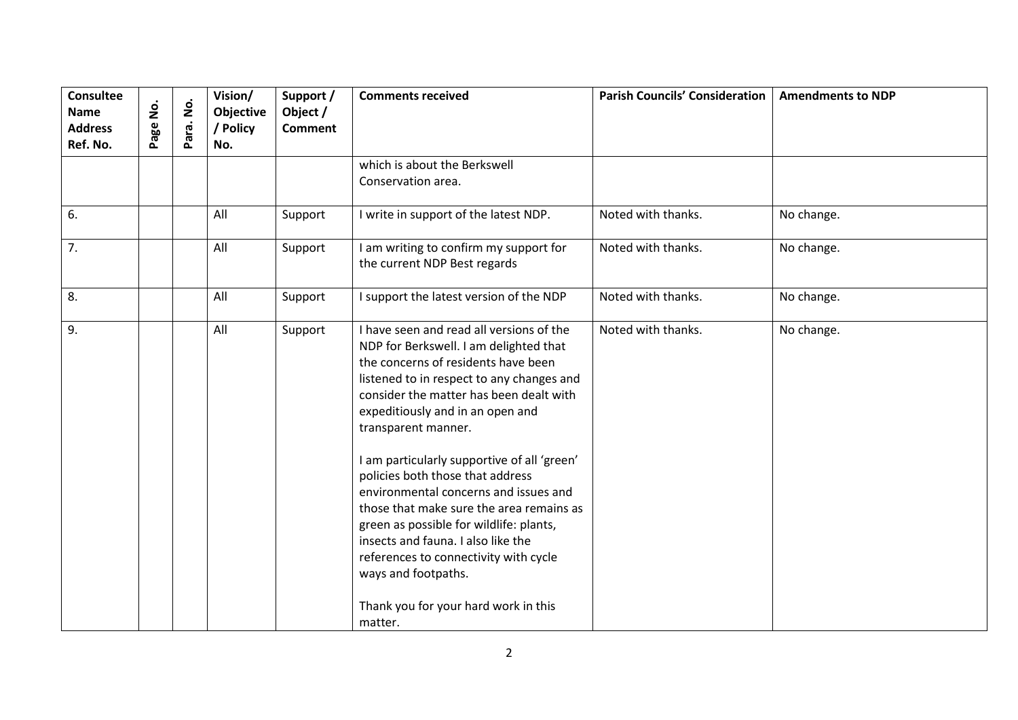| $\dot{\mathsf{S}}$<br>Page | $\dot{\mathsf{S}}$<br>Para. | Vision/<br>Objective<br>/ Policy<br>No. | Support /<br>Object /<br><b>Comment</b> | <b>Comments received</b>                                                                                                                                                                                                                                                                                                                                                                                                                                                                                                                                                                                                                      | <b>Parish Councils' Consideration</b> | <b>Amendments to NDP</b> |
|----------------------------|-----------------------------|-----------------------------------------|-----------------------------------------|-----------------------------------------------------------------------------------------------------------------------------------------------------------------------------------------------------------------------------------------------------------------------------------------------------------------------------------------------------------------------------------------------------------------------------------------------------------------------------------------------------------------------------------------------------------------------------------------------------------------------------------------------|---------------------------------------|--------------------------|
|                            |                             |                                         |                                         | which is about the Berkswell<br>Conservation area.                                                                                                                                                                                                                                                                                                                                                                                                                                                                                                                                                                                            |                                       |                          |
|                            |                             | All                                     | Support                                 | I write in support of the latest NDP.                                                                                                                                                                                                                                                                                                                                                                                                                                                                                                                                                                                                         | Noted with thanks.                    | No change.               |
|                            |                             | All                                     | Support                                 | I am writing to confirm my support for<br>the current NDP Best regards                                                                                                                                                                                                                                                                                                                                                                                                                                                                                                                                                                        | Noted with thanks.                    | No change.               |
|                            |                             | All                                     | Support                                 | I support the latest version of the NDP                                                                                                                                                                                                                                                                                                                                                                                                                                                                                                                                                                                                       | Noted with thanks.                    | No change.               |
|                            |                             | All                                     | Support                                 | I have seen and read all versions of the<br>NDP for Berkswell. I am delighted that<br>the concerns of residents have been<br>listened to in respect to any changes and<br>consider the matter has been dealt with<br>expeditiously and in an open and<br>transparent manner.<br>I am particularly supportive of all 'green'<br>policies both those that address<br>environmental concerns and issues and<br>those that make sure the area remains as<br>green as possible for wildlife: plants,<br>insects and fauna. I also like the<br>references to connectivity with cycle<br>ways and footpaths.<br>Thank you for your hard work in this | Noted with thanks.                    | No change.               |
|                            |                             |                                         |                                         |                                                                                                                                                                                                                                                                                                                                                                                                                                                                                                                                                                                                                                               | matter.                               |                          |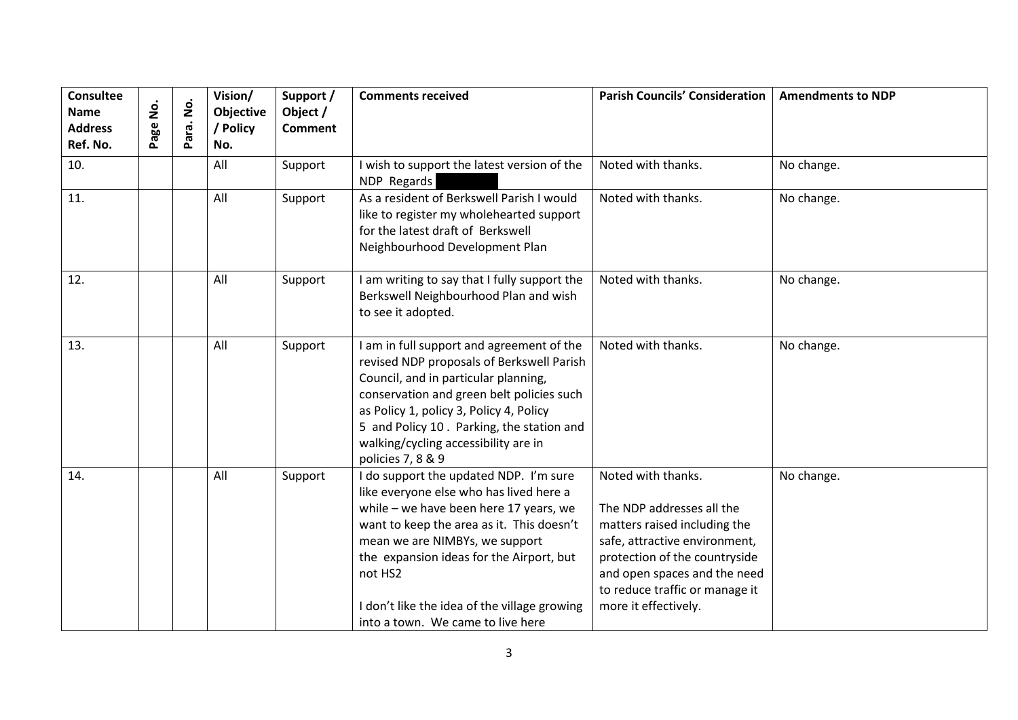| Consultee<br><b>Name</b><br><b>Address</b><br>Ref. No. | ġ<br>age | <u>ģ</u><br>Para. | Vision/<br>Objective<br>/ Policy<br>No. | Support /<br>Object /<br><b>Comment</b> | <b>Comments received</b>                                                                                                                                                                                                                                                                                                                               | <b>Parish Councils' Consideration</b>                                                                                                                                                                                                       | <b>Amendments to NDP</b> |
|--------------------------------------------------------|----------|-------------------|-----------------------------------------|-----------------------------------------|--------------------------------------------------------------------------------------------------------------------------------------------------------------------------------------------------------------------------------------------------------------------------------------------------------------------------------------------------------|---------------------------------------------------------------------------------------------------------------------------------------------------------------------------------------------------------------------------------------------|--------------------------|
| 10.                                                    |          |                   | All                                     | Support                                 | I wish to support the latest version of the<br>NDP Regards                                                                                                                                                                                                                                                                                             | Noted with thanks.                                                                                                                                                                                                                          | No change.               |
| 11.                                                    |          |                   | All                                     | Support                                 | As a resident of Berkswell Parish I would<br>like to register my wholehearted support<br>for the latest draft of Berkswell<br>Neighbourhood Development Plan                                                                                                                                                                                           | Noted with thanks.                                                                                                                                                                                                                          | No change.               |
| 12.                                                    |          |                   | All                                     | Support                                 | I am writing to say that I fully support the<br>Berkswell Neighbourhood Plan and wish<br>to see it adopted.                                                                                                                                                                                                                                            | Noted with thanks.                                                                                                                                                                                                                          | No change.               |
| 13.                                                    |          |                   | All                                     | Support                                 | I am in full support and agreement of the<br>revised NDP proposals of Berkswell Parish<br>Council, and in particular planning,<br>conservation and green belt policies such<br>as Policy 1, policy 3, Policy 4, Policy<br>5 and Policy 10. Parking, the station and<br>walking/cycling accessibility are in<br>policies 7, 8 & 9                       | Noted with thanks.                                                                                                                                                                                                                          | No change.               |
| 14.                                                    |          |                   | All                                     | Support                                 | I do support the updated NDP. I'm sure<br>like everyone else who has lived here a<br>while - we have been here 17 years, we<br>want to keep the area as it. This doesn't<br>mean we are NIMBYs, we support<br>the expansion ideas for the Airport, but<br>not HS2<br>I don't like the idea of the village growing<br>into a town. We came to live here | Noted with thanks.<br>The NDP addresses all the<br>matters raised including the<br>safe, attractive environment,<br>protection of the countryside<br>and open spaces and the need<br>to reduce traffic or manage it<br>more it effectively. | No change.               |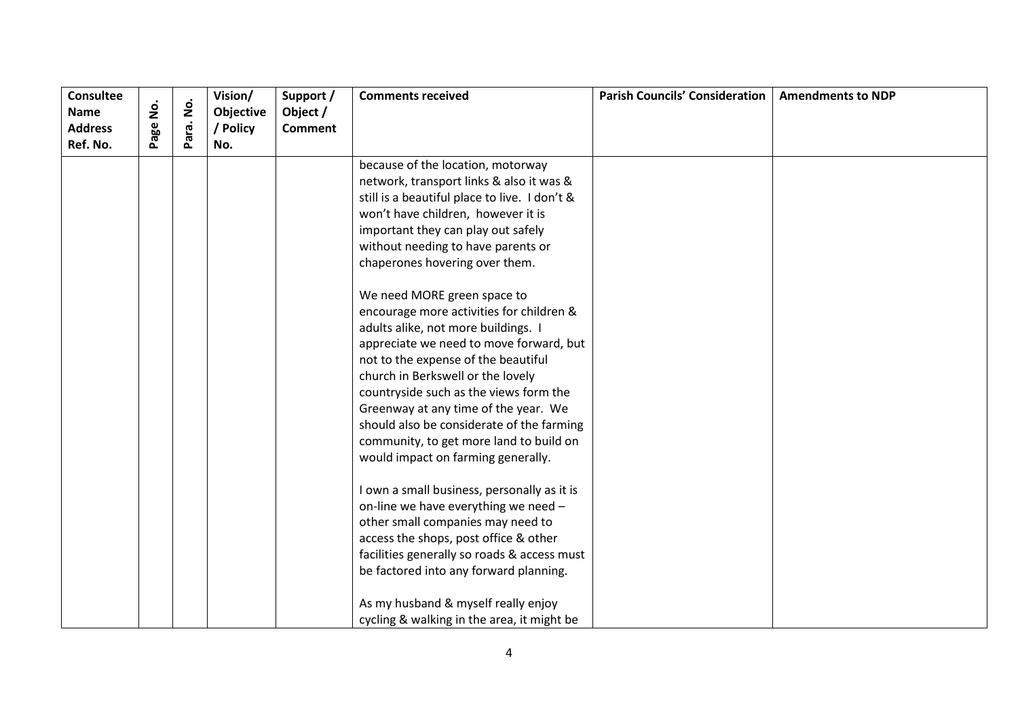| <b>Consultee</b>              | .<br>2 | $\dot{\mathsf{S}}$ | Vision/               | Support /                  | <b>Comments received</b>                      | <b>Parish Councils' Consideration</b> | <b>Amendments to NDP</b> |
|-------------------------------|--------|--------------------|-----------------------|----------------------------|-----------------------------------------------|---------------------------------------|--------------------------|
| <b>Name</b><br><b>Address</b> |        |                    | Objective<br>/ Policy | Object /<br><b>Comment</b> |                                               |                                       |                          |
| Ref. No.                      | age    | Para.              | No.                   |                            |                                               |                                       |                          |
|                               |        |                    |                       |                            | because of the location, motorway             |                                       |                          |
|                               |        |                    |                       |                            | network, transport links & also it was &      |                                       |                          |
|                               |        |                    |                       |                            | still is a beautiful place to live. I don't & |                                       |                          |
|                               |        |                    |                       |                            | won't have children, however it is            |                                       |                          |
|                               |        |                    |                       |                            | important they can play out safely            |                                       |                          |
|                               |        |                    |                       |                            | without needing to have parents or            |                                       |                          |
|                               |        |                    |                       |                            | chaperones hovering over them.                |                                       |                          |
|                               |        |                    |                       |                            | We need MORE green space to                   |                                       |                          |
|                               |        |                    |                       |                            | encourage more activities for children &      |                                       |                          |
|                               |        |                    |                       |                            | adults alike, not more buildings. I           |                                       |                          |
|                               |        |                    |                       |                            | appreciate we need to move forward, but       |                                       |                          |
|                               |        |                    |                       |                            | not to the expense of the beautiful           |                                       |                          |
|                               |        |                    |                       |                            | church in Berkswell or the lovely             |                                       |                          |
|                               |        |                    |                       |                            | countryside such as the views form the        |                                       |                          |
|                               |        |                    |                       |                            | Greenway at any time of the year. We          |                                       |                          |
|                               |        |                    |                       |                            | should also be considerate of the farming     |                                       |                          |
|                               |        |                    |                       |                            | community, to get more land to build on       |                                       |                          |
|                               |        |                    |                       |                            | would impact on farming generally.            |                                       |                          |
|                               |        |                    |                       |                            | I own a small business, personally as it is   |                                       |                          |
|                               |        |                    |                       |                            | on-line we have everything we need -          |                                       |                          |
|                               |        |                    |                       |                            | other small companies may need to             |                                       |                          |
|                               |        |                    |                       |                            | access the shops, post office & other         |                                       |                          |
|                               |        |                    |                       |                            | facilities generally so roads & access must   |                                       |                          |
|                               |        |                    |                       |                            | be factored into any forward planning.        |                                       |                          |
|                               |        |                    |                       |                            | As my husband & myself really enjoy           |                                       |                          |
|                               |        |                    |                       |                            | cycling & walking in the area, it might be    |                                       |                          |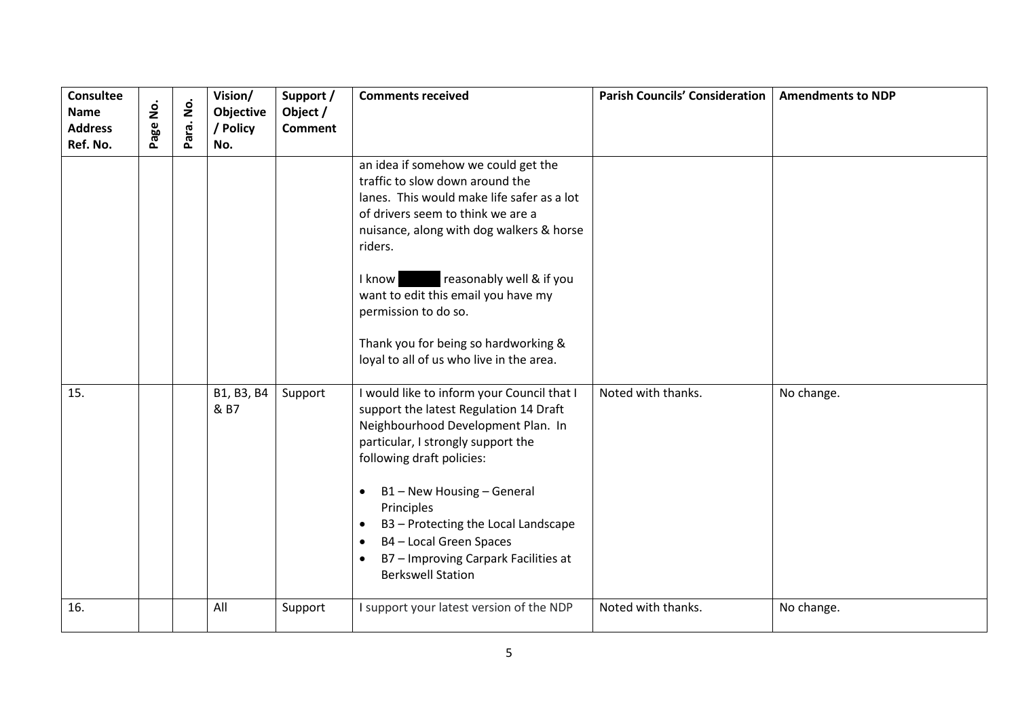| <b>Consultee</b><br><b>Name</b><br><b>Address</b><br>Ref. No. | $\mathbf{\dot{g}}$<br>Page | $\dot{\mathsf{S}}$<br>Para. | Vision/<br>Objective<br>/ Policy<br>No. | Support /<br>Object /<br><b>Comment</b> | <b>Comments received</b>                                                                                                                                                                                                                                                                                                                                                                                                        | <b>Parish Councils' Consideration</b> | <b>Amendments to NDP</b> |
|---------------------------------------------------------------|----------------------------|-----------------------------|-----------------------------------------|-----------------------------------------|---------------------------------------------------------------------------------------------------------------------------------------------------------------------------------------------------------------------------------------------------------------------------------------------------------------------------------------------------------------------------------------------------------------------------------|---------------------------------------|--------------------------|
|                                                               |                            |                             |                                         |                                         | an idea if somehow we could get the<br>traffic to slow down around the<br>lanes. This would make life safer as a lot<br>of drivers seem to think we are a<br>nuisance, along with dog walkers & horse<br>riders.<br>reasonably well & if you<br>I know<br>want to edit this email you have my<br>permission to do so.<br>Thank you for being so hardworking &<br>loyal to all of us who live in the area.                       |                                       |                          |
| 15.                                                           |                            |                             | B1, B3, B4<br>& B7                      | Support                                 | I would like to inform your Council that I<br>support the latest Regulation 14 Draft<br>Neighbourhood Development Plan. In<br>particular, I strongly support the<br>following draft policies:<br>B1-New Housing-General<br>$\bullet$<br>Principles<br>B3 - Protecting the Local Landscape<br>$\bullet$<br>B4 - Local Green Spaces<br>$\bullet$<br>B7 - Improving Carpark Facilities at<br>$\bullet$<br><b>Berkswell Station</b> | Noted with thanks.                    | No change.               |
| 16.                                                           |                            |                             | All                                     | Support                                 | I support your latest version of the NDP                                                                                                                                                                                                                                                                                                                                                                                        | Noted with thanks.                    | No change.               |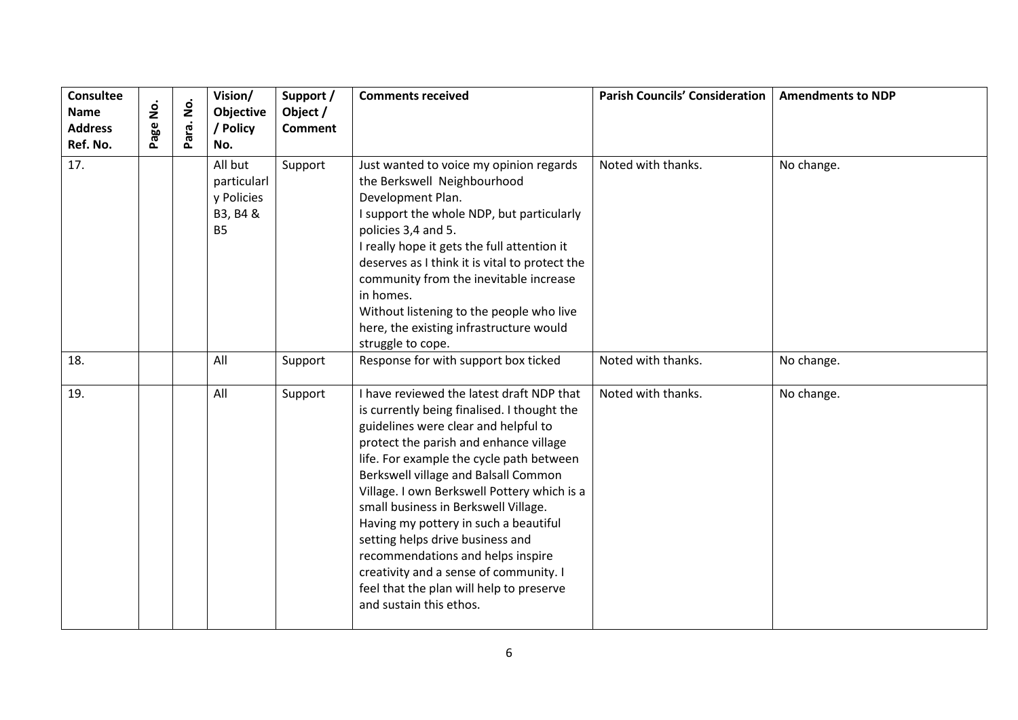| <b>Consultee</b><br><b>Name</b><br><b>Address</b><br>Ref. No. | <u>o</u><br>Page | $\dot{\mathsf{S}}$<br>Para. | Vision/<br>Objective<br>/ Policy<br>No.                       | Support /<br>Object /<br><b>Comment</b> | <b>Comments received</b>                                                                                                                                                                                                                                                                                                                                                                                                                                                                                                                                                                 | <b>Parish Councils' Consideration</b> | <b>Amendments to NDP</b> |
|---------------------------------------------------------------|------------------|-----------------------------|---------------------------------------------------------------|-----------------------------------------|------------------------------------------------------------------------------------------------------------------------------------------------------------------------------------------------------------------------------------------------------------------------------------------------------------------------------------------------------------------------------------------------------------------------------------------------------------------------------------------------------------------------------------------------------------------------------------------|---------------------------------------|--------------------------|
| 17.                                                           |                  |                             | All but<br>particularl<br>y Policies<br>B3, B4 &<br><b>B5</b> | Support                                 | Just wanted to voice my opinion regards<br>the Berkswell Neighbourhood<br>Development Plan.<br>I support the whole NDP, but particularly<br>policies 3,4 and 5.<br>I really hope it gets the full attention it<br>deserves as I think it is vital to protect the<br>community from the inevitable increase<br>in homes.<br>Without listening to the people who live<br>here, the existing infrastructure would<br>struggle to cope.                                                                                                                                                      | Noted with thanks.                    | No change.               |
| 18.                                                           |                  |                             | All                                                           | Support                                 | Response for with support box ticked                                                                                                                                                                                                                                                                                                                                                                                                                                                                                                                                                     | Noted with thanks.                    | No change.               |
| 19.                                                           |                  |                             | All                                                           | Support                                 | I have reviewed the latest draft NDP that<br>is currently being finalised. I thought the<br>guidelines were clear and helpful to<br>protect the parish and enhance village<br>life. For example the cycle path between<br>Berkswell village and Balsall Common<br>Village. I own Berkswell Pottery which is a<br>small business in Berkswell Village.<br>Having my pottery in such a beautiful<br>setting helps drive business and<br>recommendations and helps inspire<br>creativity and a sense of community. I<br>feel that the plan will help to preserve<br>and sustain this ethos. | Noted with thanks.                    | No change.               |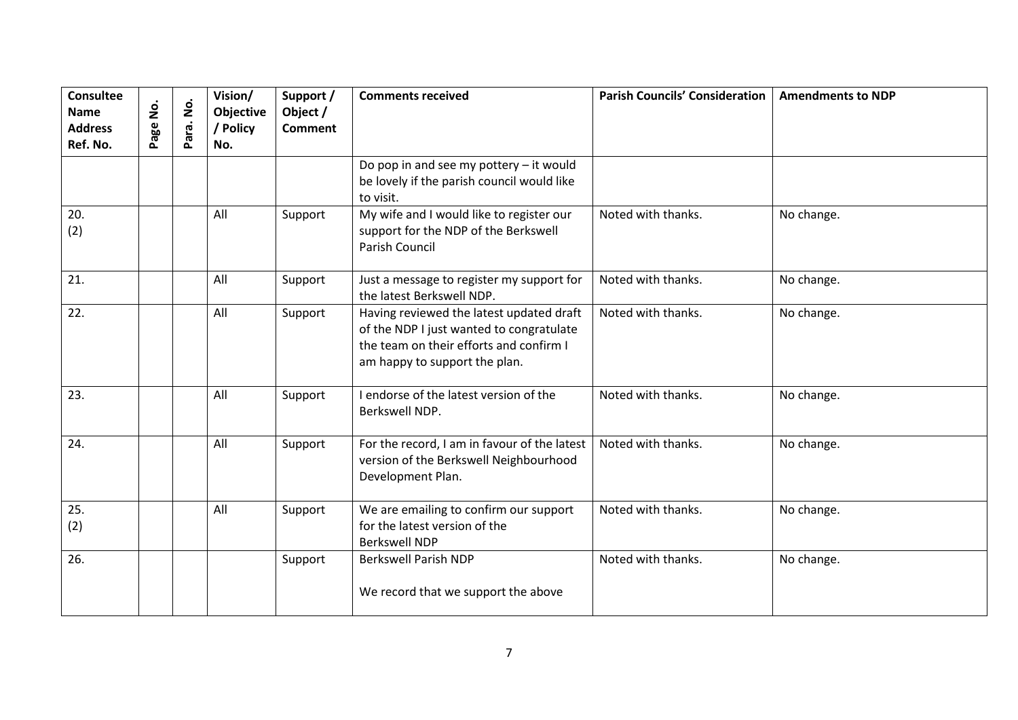| Consultee<br><b>Name</b><br><b>Address</b><br>Ref. No. | age No. | $\dot{\mathsf{p}}$<br>Para. | Vision/<br>Objective<br>/ Policy<br>No. | Support /<br>Object /<br><b>Comment</b> | <b>Comments received</b>                                                                                                                                         | <b>Parish Councils' Consideration</b> | <b>Amendments to NDP</b> |
|--------------------------------------------------------|---------|-----------------------------|-----------------------------------------|-----------------------------------------|------------------------------------------------------------------------------------------------------------------------------------------------------------------|---------------------------------------|--------------------------|
|                                                        |         |                             |                                         |                                         | Do pop in and see my pottery $-$ it would<br>be lovely if the parish council would like<br>to visit.                                                             |                                       |                          |
| 20.<br>(2)                                             |         |                             | All                                     | Support                                 | My wife and I would like to register our<br>support for the NDP of the Berkswell<br>Parish Council                                                               | Noted with thanks.                    | No change.               |
| 21.                                                    |         |                             | All                                     | Support                                 | Just a message to register my support for<br>the latest Berkswell NDP.                                                                                           | Noted with thanks.                    | No change.               |
| 22.                                                    |         |                             | All                                     | Support                                 | Having reviewed the latest updated draft<br>of the NDP I just wanted to congratulate<br>the team on their efforts and confirm I<br>am happy to support the plan. | Noted with thanks.                    | No change.               |
| 23.                                                    |         |                             | All                                     | Support                                 | I endorse of the latest version of the<br>Berkswell NDP.                                                                                                         | Noted with thanks.                    | No change.               |
| 24.                                                    |         |                             | All                                     | Support                                 | For the record, I am in favour of the latest<br>version of the Berkswell Neighbourhood<br>Development Plan.                                                      | Noted with thanks.                    | No change.               |
| 25.<br>(2)                                             |         |                             | All                                     | Support                                 | We are emailing to confirm our support<br>for the latest version of the<br><b>Berkswell NDP</b>                                                                  | Noted with thanks.                    | No change.               |
| 26.                                                    |         |                             |                                         | Support                                 | <b>Berkswell Parish NDP</b><br>We record that we support the above                                                                                               | Noted with thanks.                    | No change.               |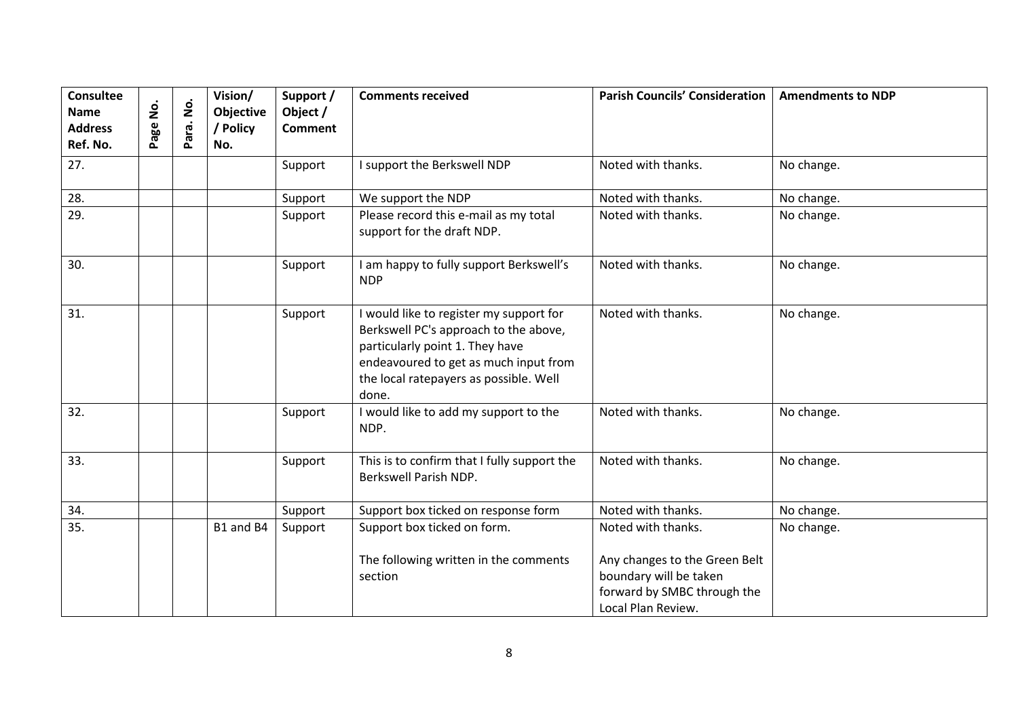| Consultee<br><b>Name</b><br><b>Address</b><br>Ref. No. | Page No. | <u>o</u><br>Para. | Vision/<br>Objective<br>/ Policy<br>No. | Support /<br>Object /<br><b>Comment</b> | <b>Comments received</b>                                                                                                                                                                                        | <b>Parish Councils' Consideration</b>                                                                                              | <b>Amendments to NDP</b> |
|--------------------------------------------------------|----------|-------------------|-----------------------------------------|-----------------------------------------|-----------------------------------------------------------------------------------------------------------------------------------------------------------------------------------------------------------------|------------------------------------------------------------------------------------------------------------------------------------|--------------------------|
| 27.                                                    |          |                   |                                         | Support                                 | I support the Berkswell NDP                                                                                                                                                                                     | Noted with thanks.                                                                                                                 | No change.               |
| 28.                                                    |          |                   |                                         | Support                                 | We support the NDP                                                                                                                                                                                              | Noted with thanks.                                                                                                                 | No change.               |
| 29.                                                    |          |                   |                                         | Support                                 | Please record this e-mail as my total<br>support for the draft NDP.                                                                                                                                             | Noted with thanks.                                                                                                                 | No change.               |
| 30.                                                    |          |                   |                                         | Support                                 | I am happy to fully support Berkswell's<br><b>NDP</b>                                                                                                                                                           | Noted with thanks.                                                                                                                 | No change.               |
| 31.                                                    |          |                   |                                         | Support                                 | I would like to register my support for<br>Berkswell PC's approach to the above,<br>particularly point 1. They have<br>endeavoured to get as much input from<br>the local ratepayers as possible. Well<br>done. | Noted with thanks.                                                                                                                 | No change.               |
| 32.                                                    |          |                   |                                         | Support                                 | I would like to add my support to the<br>NDP.                                                                                                                                                                   | Noted with thanks.                                                                                                                 | No change.               |
| 33.                                                    |          |                   |                                         | Support                                 | This is to confirm that I fully support the<br>Berkswell Parish NDP.                                                                                                                                            | Noted with thanks.                                                                                                                 | No change.               |
| 34.                                                    |          |                   |                                         | Support                                 | Support box ticked on response form                                                                                                                                                                             | Noted with thanks.                                                                                                                 | No change.               |
| 35.                                                    |          |                   | B1 and B4                               | Support                                 | Support box ticked on form.<br>The following written in the comments<br>section                                                                                                                                 | Noted with thanks.<br>Any changes to the Green Belt<br>boundary will be taken<br>forward by SMBC through the<br>Local Plan Review. | No change.               |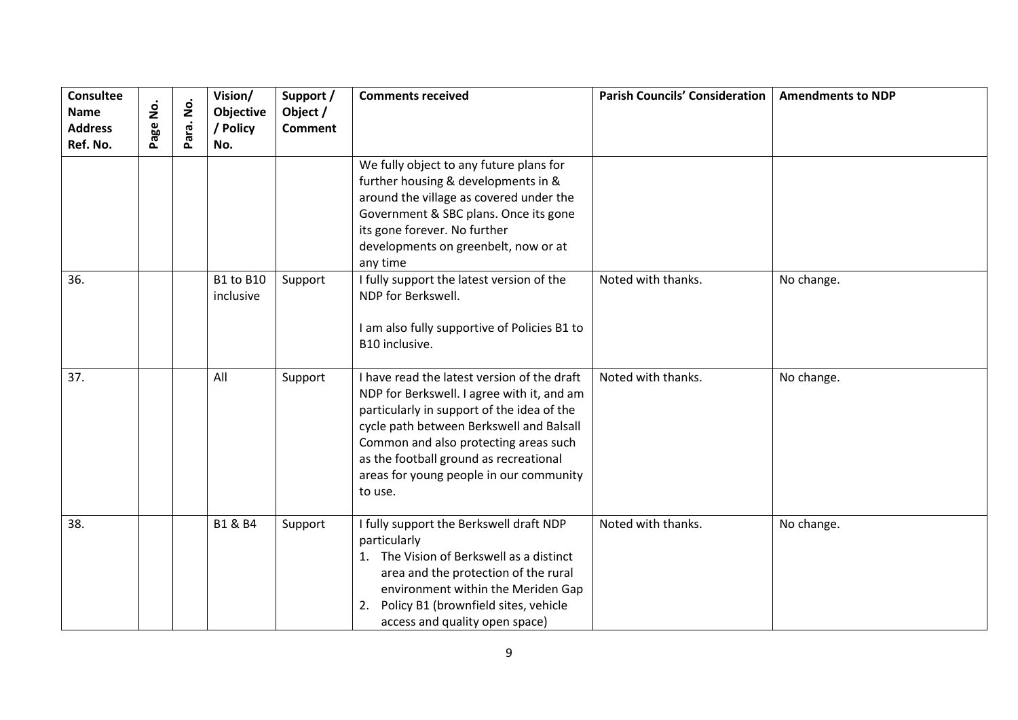| <b>Consultee</b><br><b>Name</b><br><b>Address</b><br>Ref. No. | å<br>age | $\dot{\mathsf{z}}$<br>ara.<br>$\sim$ | Vision/<br>Objective<br>/ Policy<br>No. | Support /<br>Object /<br><b>Comment</b> | <b>Comments received</b>                                                                                                                                                                                                                                                                                                     | <b>Parish Councils' Consideration</b> | <b>Amendments to NDP</b> |
|---------------------------------------------------------------|----------|--------------------------------------|-----------------------------------------|-----------------------------------------|------------------------------------------------------------------------------------------------------------------------------------------------------------------------------------------------------------------------------------------------------------------------------------------------------------------------------|---------------------------------------|--------------------------|
|                                                               |          |                                      |                                         |                                         | We fully object to any future plans for<br>further housing & developments in &<br>around the village as covered under the<br>Government & SBC plans. Once its gone<br>its gone forever. No further<br>developments on greenbelt, now or at<br>any time                                                                       |                                       |                          |
| 36.                                                           |          |                                      | <b>B1 to B10</b><br>inclusive           | Support                                 | I fully support the latest version of the<br>NDP for Berkswell.<br>I am also fully supportive of Policies B1 to<br>B10 inclusive.                                                                                                                                                                                            | Noted with thanks.                    | No change.               |
| 37.                                                           |          |                                      | All                                     | Support                                 | I have read the latest version of the draft<br>NDP for Berkswell. I agree with it, and am<br>particularly in support of the idea of the<br>cycle path between Berkswell and Balsall<br>Common and also protecting areas such<br>as the football ground as recreational<br>areas for young people in our community<br>to use. | Noted with thanks.                    | No change.               |
| 38.                                                           |          |                                      | <b>B1 &amp; B4</b>                      | Support                                 | I fully support the Berkswell draft NDP<br>particularly<br>1. The Vision of Berkswell as a distinct<br>area and the protection of the rural<br>environment within the Meriden Gap<br>Policy B1 (brownfield sites, vehicle<br>2.<br>access and quality open space)                                                            | Noted with thanks.                    | No change.               |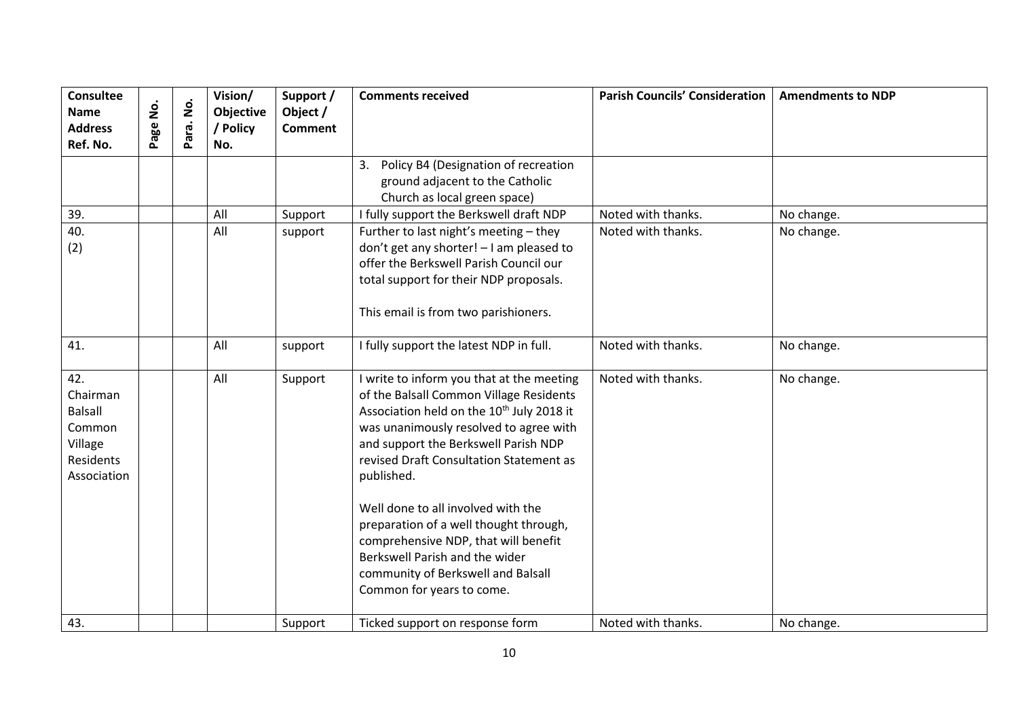| <b>Consultee</b><br><b>Name</b><br><b>Address</b><br>Ref. No.                      | <u>o</u><br>Z<br>age | $\dot{\mathsf{p}}$<br>Para. | Vision/<br>Objective<br>/ Policy<br>No. | Support /<br>Object /<br><b>Comment</b> | <b>Comments received</b>                                                                                                                                                                                                                                                                                                                                                                                                                                                                                              | <b>Parish Councils' Consideration</b> | <b>Amendments to NDP</b> |
|------------------------------------------------------------------------------------|----------------------|-----------------------------|-----------------------------------------|-----------------------------------------|-----------------------------------------------------------------------------------------------------------------------------------------------------------------------------------------------------------------------------------------------------------------------------------------------------------------------------------------------------------------------------------------------------------------------------------------------------------------------------------------------------------------------|---------------------------------------|--------------------------|
|                                                                                    |                      |                             |                                         |                                         | Policy B4 (Designation of recreation<br>3.<br>ground adjacent to the Catholic<br>Church as local green space)                                                                                                                                                                                                                                                                                                                                                                                                         |                                       |                          |
| 39.                                                                                |                      |                             | All                                     | Support                                 | I fully support the Berkswell draft NDP                                                                                                                                                                                                                                                                                                                                                                                                                                                                               | Noted with thanks.                    | No change.               |
| 40.<br>(2)                                                                         |                      |                             | All                                     | support                                 | Further to last night's meeting - they<br>don't get any shorter! - I am pleased to<br>offer the Berkswell Parish Council our<br>total support for their NDP proposals.<br>This email is from two parishioners.                                                                                                                                                                                                                                                                                                        | Noted with thanks.                    | No change.               |
| 41.                                                                                |                      |                             | All                                     | support                                 | I fully support the latest NDP in full.                                                                                                                                                                                                                                                                                                                                                                                                                                                                               | Noted with thanks.                    | No change.               |
| 42.<br>Chairman<br><b>Balsall</b><br>Common<br>Village<br>Residents<br>Association |                      |                             | All                                     | Support                                 | I write to inform you that at the meeting<br>of the Balsall Common Village Residents<br>Association held on the 10 <sup>th</sup> July 2018 it<br>was unanimously resolved to agree with<br>and support the Berkswell Parish NDP<br>revised Draft Consultation Statement as<br>published.<br>Well done to all involved with the<br>preparation of a well thought through,<br>comprehensive NDP, that will benefit<br>Berkswell Parish and the wider<br>community of Berkswell and Balsall<br>Common for years to come. | Noted with thanks.                    | No change.               |
| 43.                                                                                |                      |                             |                                         | Support                                 | Ticked support on response form                                                                                                                                                                                                                                                                                                                                                                                                                                                                                       | Noted with thanks.                    | No change.               |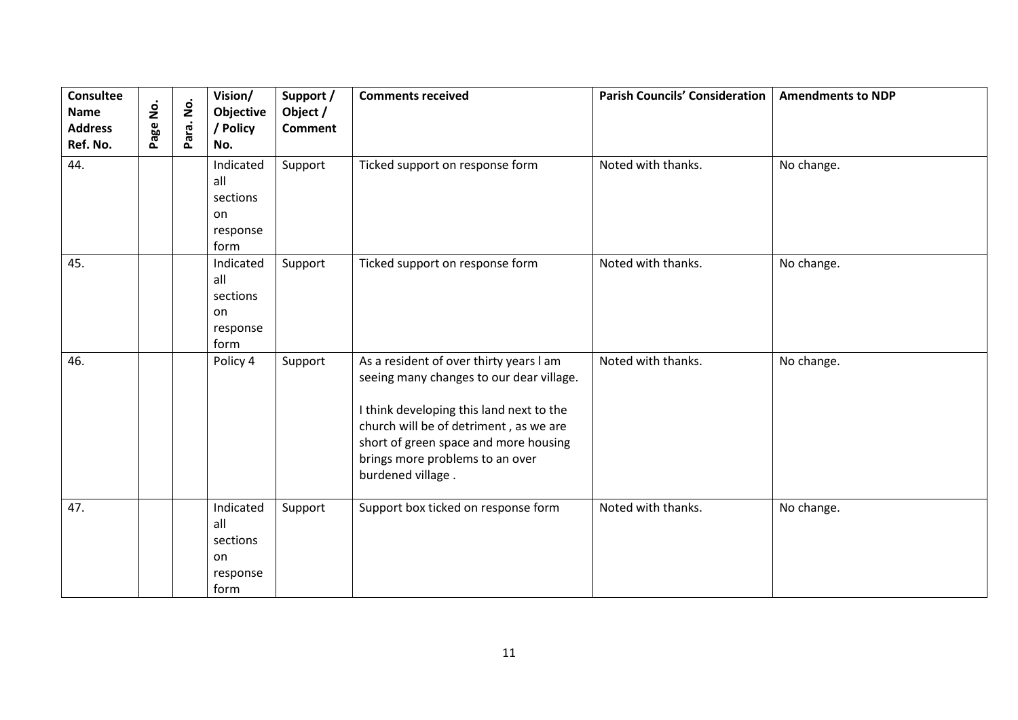| <b>Consultee</b><br><b>Name</b><br><b>Address</b><br>Ref. No. | $\dot{\mathbf{2}}$<br>Page | $\dot{\mathbf{z}}$<br>Para. | Vision/<br>Objective<br>/ Policy<br>No.                | Support /<br>Object /<br><b>Comment</b> | <b>Comments received</b>                                                                                                                                                                                                                                                   | <b>Parish Councils' Consideration</b> | <b>Amendments to NDP</b> |
|---------------------------------------------------------------|----------------------------|-----------------------------|--------------------------------------------------------|-----------------------------------------|----------------------------------------------------------------------------------------------------------------------------------------------------------------------------------------------------------------------------------------------------------------------------|---------------------------------------|--------------------------|
| 44.                                                           |                            |                             | Indicated<br>all<br>sections<br>on<br>response<br>form | Support                                 | Ticked support on response form                                                                                                                                                                                                                                            | Noted with thanks.                    | No change.               |
| 45.                                                           |                            |                             | Indicated<br>all<br>sections<br>on<br>response<br>form | Support                                 | Ticked support on response form                                                                                                                                                                                                                                            | Noted with thanks.                    | No change.               |
| 46.                                                           |                            |                             | Policy 4                                               | Support                                 | As a resident of over thirty years I am<br>seeing many changes to our dear village.<br>I think developing this land next to the<br>church will be of detriment, as we are<br>short of green space and more housing<br>brings more problems to an over<br>burdened village. | Noted with thanks.                    | No change.               |
| 47.                                                           |                            |                             | Indicated<br>all<br>sections<br>on<br>response<br>form | Support                                 | Support box ticked on response form                                                                                                                                                                                                                                        | Noted with thanks.                    | No change.               |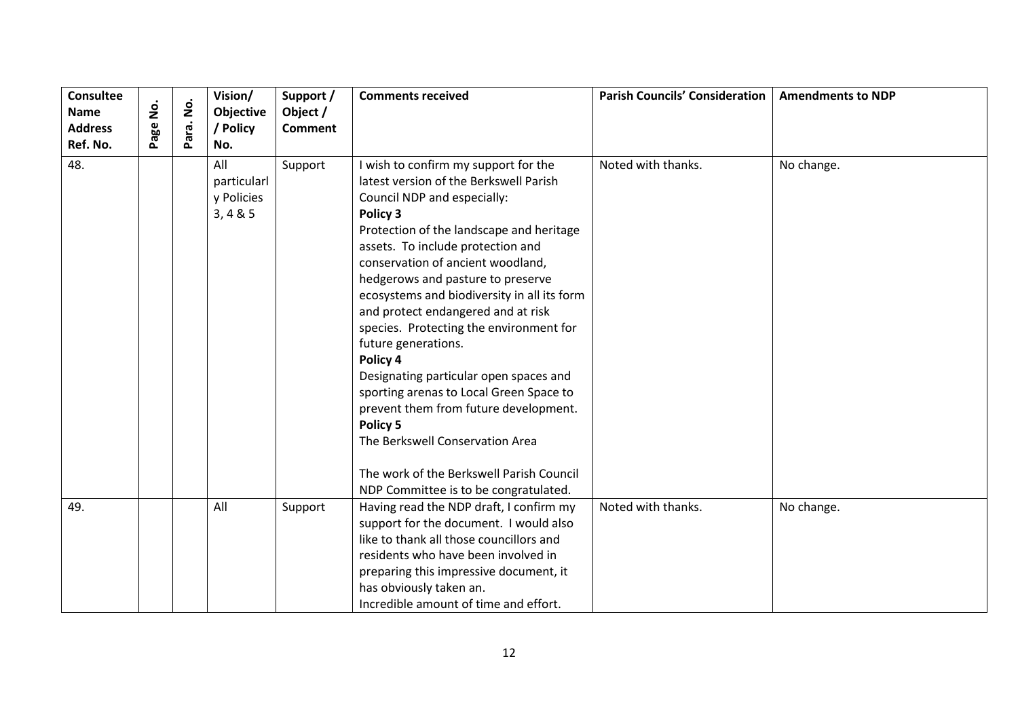| <b>Consultee</b><br>Name<br><b>Address</b><br>Ref. No. | $\dot{\mathsf{S}}$<br>Page | $\dot{\mathsf{S}}$<br>Para. | Vision/<br>Objective<br>/ Policy<br>No.      | Support /<br>Object /<br><b>Comment</b> | <b>Comments received</b>                                                                                                                                                                                                                                                                                                                                                                                                                                                                                                                                                                                                                                                                                                  | <b>Parish Councils' Consideration</b> | <b>Amendments to NDP</b> |
|--------------------------------------------------------|----------------------------|-----------------------------|----------------------------------------------|-----------------------------------------|---------------------------------------------------------------------------------------------------------------------------------------------------------------------------------------------------------------------------------------------------------------------------------------------------------------------------------------------------------------------------------------------------------------------------------------------------------------------------------------------------------------------------------------------------------------------------------------------------------------------------------------------------------------------------------------------------------------------------|---------------------------------------|--------------------------|
| 48.                                                    |                            |                             | All<br>particularl<br>y Policies<br>3, 4 & 5 | Support                                 | I wish to confirm my support for the<br>latest version of the Berkswell Parish<br>Council NDP and especially:<br>Policy 3<br>Protection of the landscape and heritage<br>assets. To include protection and<br>conservation of ancient woodland,<br>hedgerows and pasture to preserve<br>ecosystems and biodiversity in all its form<br>and protect endangered and at risk<br>species. Protecting the environment for<br>future generations.<br>Policy 4<br>Designating particular open spaces and<br>sporting arenas to Local Green Space to<br>prevent them from future development.<br>Policy 5<br>The Berkswell Conservation Area<br>The work of the Berkswell Parish Council<br>NDP Committee is to be congratulated. | Noted with thanks.                    | No change.               |
| 49.                                                    |                            |                             | All                                          | Support                                 | Having read the NDP draft, I confirm my<br>support for the document. I would also<br>like to thank all those councillors and<br>residents who have been involved in<br>preparing this impressive document, it<br>has obviously taken an.<br>Incredible amount of time and effort.                                                                                                                                                                                                                                                                                                                                                                                                                                         | Noted with thanks.                    | No change.               |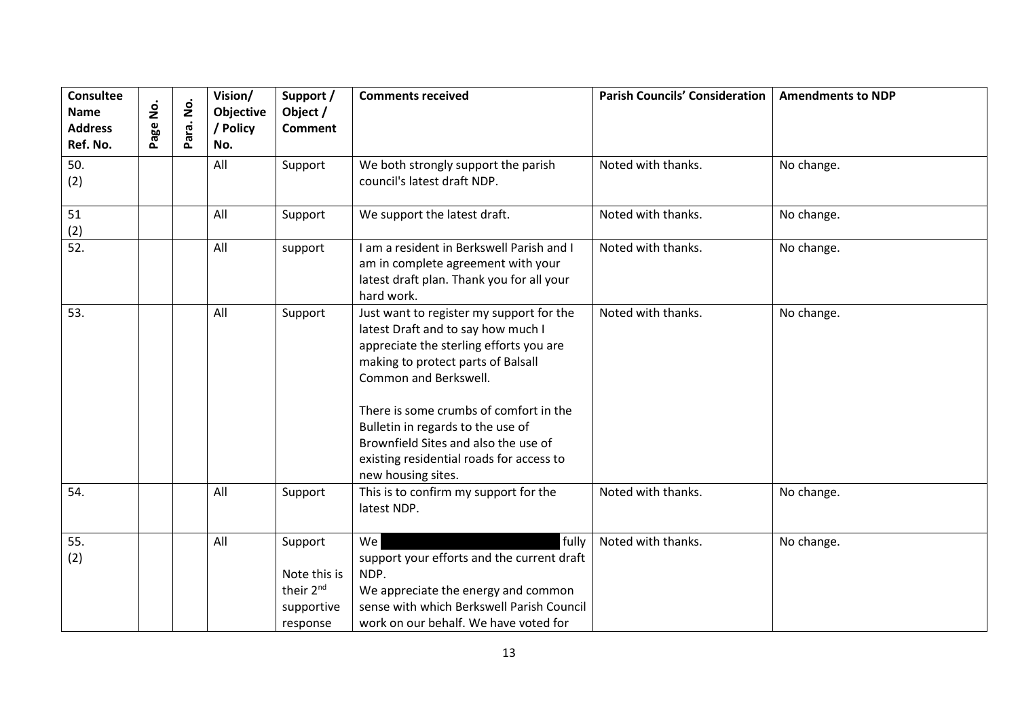| Consultee<br><b>Name</b><br><b>Address</b><br>Ref. No. | ġ<br>Page | $\dot{\mathsf{S}}$<br>Para. | Vision/<br>Objective<br>/ Policy<br>No. | Support /<br>Object /<br><b>Comment</b>                                    | <b>Comments received</b>                                                                                                                                                                                                                                                                                                                                                          | <b>Parish Councils' Consideration</b> | <b>Amendments to NDP</b> |
|--------------------------------------------------------|-----------|-----------------------------|-----------------------------------------|----------------------------------------------------------------------------|-----------------------------------------------------------------------------------------------------------------------------------------------------------------------------------------------------------------------------------------------------------------------------------------------------------------------------------------------------------------------------------|---------------------------------------|--------------------------|
| 50.<br>(2)                                             |           |                             | All                                     | Support                                                                    | We both strongly support the parish<br>council's latest draft NDP.                                                                                                                                                                                                                                                                                                                | Noted with thanks.                    | No change.               |
| 51<br>(2)                                              |           |                             | All                                     | Support                                                                    | We support the latest draft.                                                                                                                                                                                                                                                                                                                                                      | Noted with thanks.                    | No change.               |
| $\overline{52}$ .                                      |           |                             | All                                     | support                                                                    | I am a resident in Berkswell Parish and I<br>am in complete agreement with your<br>latest draft plan. Thank you for all your<br>hard work.                                                                                                                                                                                                                                        | Noted with thanks.                    | No change.               |
| 53.                                                    |           |                             | All                                     | Support                                                                    | Just want to register my support for the<br>latest Draft and to say how much I<br>appreciate the sterling efforts you are<br>making to protect parts of Balsall<br>Common and Berkswell.<br>There is some crumbs of comfort in the<br>Bulletin in regards to the use of<br>Brownfield Sites and also the use of<br>existing residential roads for access to<br>new housing sites. | Noted with thanks.                    | No change.               |
| 54.                                                    |           |                             | All                                     | Support                                                                    | This is to confirm my support for the<br>latest NDP.                                                                                                                                                                                                                                                                                                                              | Noted with thanks.                    | No change.               |
| 55.<br>(2)                                             |           |                             | All                                     | Support<br>Note this is<br>their 2 <sup>nd</sup><br>supportive<br>response | fully<br>We<br>support your efforts and the current draft<br>NDP.<br>We appreciate the energy and common<br>sense with which Berkswell Parish Council<br>work on our behalf. We have voted for                                                                                                                                                                                    | Noted with thanks.                    | No change.               |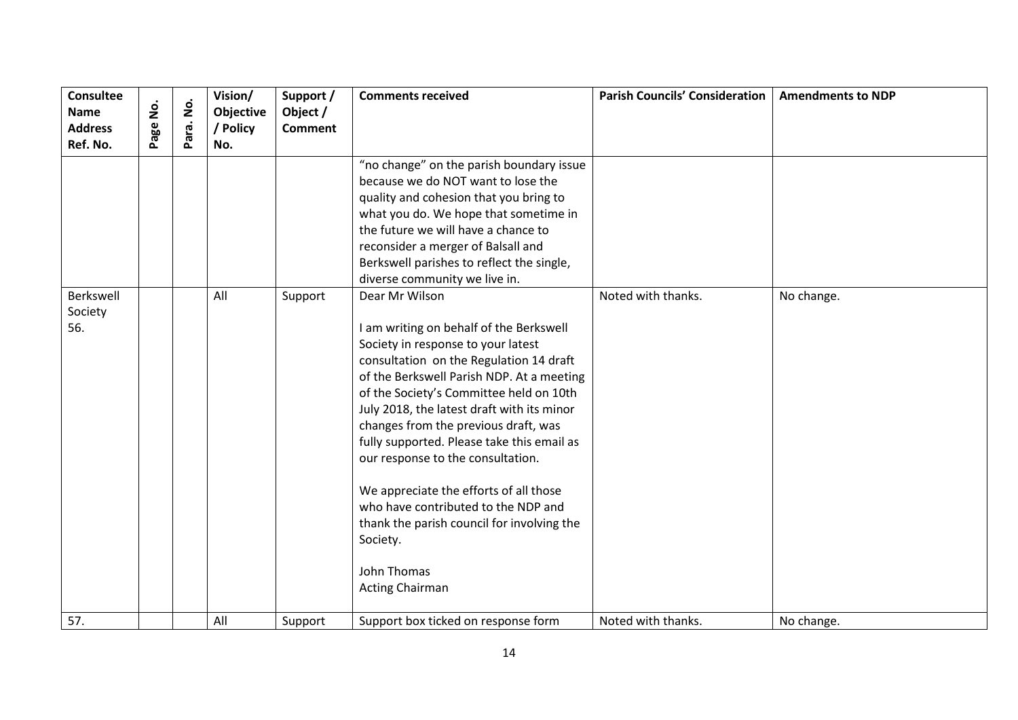| <b>Consultee</b><br><b>Name</b> | <u>o</u><br>Z | $\dot{\mathsf{S}}$ | Vision/<br>Objective | Support /<br>Object / | <b>Comments received</b>                                                                                                                                                                                                                                                                                                                                                                                                                                                                                                                                                                        | <b>Parish Councils' Consideration</b> | <b>Amendments to NDP</b> |
|---------------------------------|---------------|--------------------|----------------------|-----------------------|-------------------------------------------------------------------------------------------------------------------------------------------------------------------------------------------------------------------------------------------------------------------------------------------------------------------------------------------------------------------------------------------------------------------------------------------------------------------------------------------------------------------------------------------------------------------------------------------------|---------------------------------------|--------------------------|
| <b>Address</b><br>Ref. No.      | Page          | Para.              | / Policy<br>No.      | <b>Comment</b>        |                                                                                                                                                                                                                                                                                                                                                                                                                                                                                                                                                                                                 |                                       |                          |
|                                 |               |                    |                      |                       | "no change" on the parish boundary issue<br>because we do NOT want to lose the<br>quality and cohesion that you bring to<br>what you do. We hope that sometime in<br>the future we will have a chance to<br>reconsider a merger of Balsall and<br>Berkswell parishes to reflect the single,<br>diverse community we live in.                                                                                                                                                                                                                                                                    |                                       |                          |
| Berkswell<br>Society<br>56.     |               |                    | All                  | Support               | Dear Mr Wilson<br>I am writing on behalf of the Berkswell<br>Society in response to your latest<br>consultation on the Regulation 14 draft<br>of the Berkswell Parish NDP. At a meeting<br>of the Society's Committee held on 10th<br>July 2018, the latest draft with its minor<br>changes from the previous draft, was<br>fully supported. Please take this email as<br>our response to the consultation.<br>We appreciate the efforts of all those<br>who have contributed to the NDP and<br>thank the parish council for involving the<br>Society.<br>John Thomas<br><b>Acting Chairman</b> | Noted with thanks.                    | No change.               |
| 57.                             |               |                    | All                  | Support               | Support box ticked on response form                                                                                                                                                                                                                                                                                                                                                                                                                                                                                                                                                             | Noted with thanks.                    | No change.               |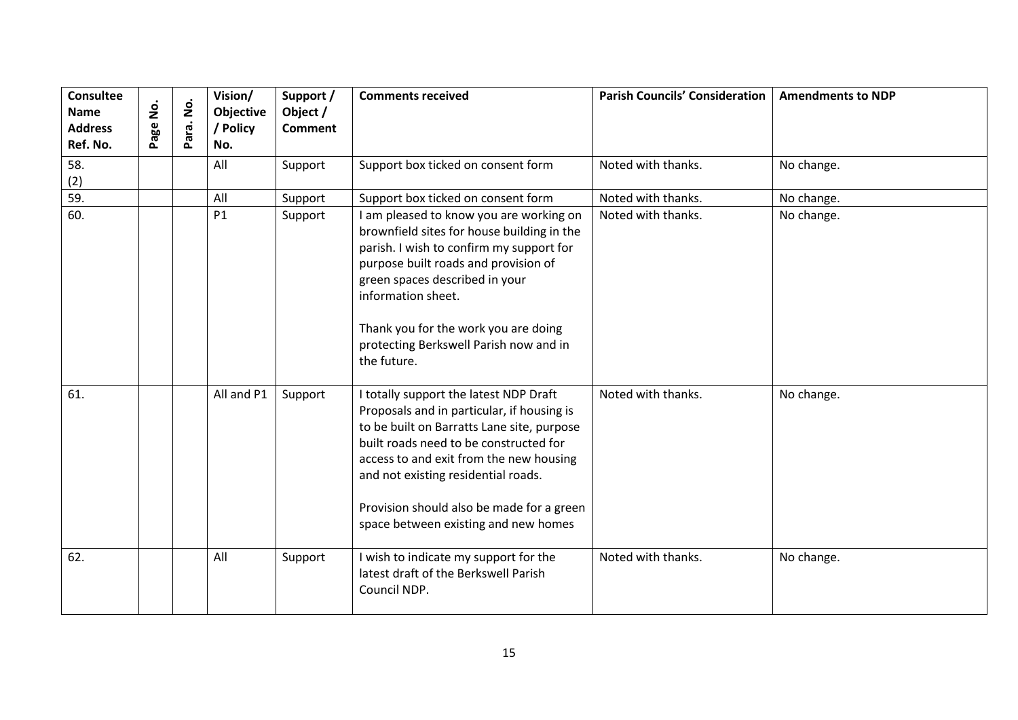| <b>Consultee</b><br><b>Name</b><br><b>Address</b><br>Ref. No. | <u>s</u><br>Page | $\dot{\mathsf{S}}$<br>Para. | Vision/<br>Objective<br>/ Policy<br>No. | Support /<br>Object /<br><b>Comment</b> | <b>Comments received</b>                                                                                                                                                                                                                                                                                                                            | <b>Parish Councils' Consideration</b> | <b>Amendments to NDP</b> |
|---------------------------------------------------------------|------------------|-----------------------------|-----------------------------------------|-----------------------------------------|-----------------------------------------------------------------------------------------------------------------------------------------------------------------------------------------------------------------------------------------------------------------------------------------------------------------------------------------------------|---------------------------------------|--------------------------|
| 58.<br>(2)                                                    |                  |                             | All                                     | Support                                 | Support box ticked on consent form                                                                                                                                                                                                                                                                                                                  | Noted with thanks.                    | No change.               |
| 59.                                                           |                  |                             | All                                     | Support                                 | Support box ticked on consent form                                                                                                                                                                                                                                                                                                                  | Noted with thanks.                    | No change.               |
| 60.                                                           |                  |                             | P1                                      | Support                                 | I am pleased to know you are working on<br>brownfield sites for house building in the<br>parish. I wish to confirm my support for<br>purpose built roads and provision of<br>green spaces described in your<br>information sheet.<br>Thank you for the work you are doing<br>protecting Berkswell Parish now and in<br>the future.                  | Noted with thanks.                    | No change.               |
| 61.                                                           |                  |                             | All and P1                              | Support                                 | I totally support the latest NDP Draft<br>Proposals and in particular, if housing is<br>to be built on Barratts Lane site, purpose<br>built roads need to be constructed for<br>access to and exit from the new housing<br>and not existing residential roads.<br>Provision should also be made for a green<br>space between existing and new homes | Noted with thanks.                    | No change.               |
| 62.                                                           |                  |                             | All                                     | Support                                 | I wish to indicate my support for the<br>latest draft of the Berkswell Parish<br>Council NDP.                                                                                                                                                                                                                                                       | Noted with thanks.                    | No change.               |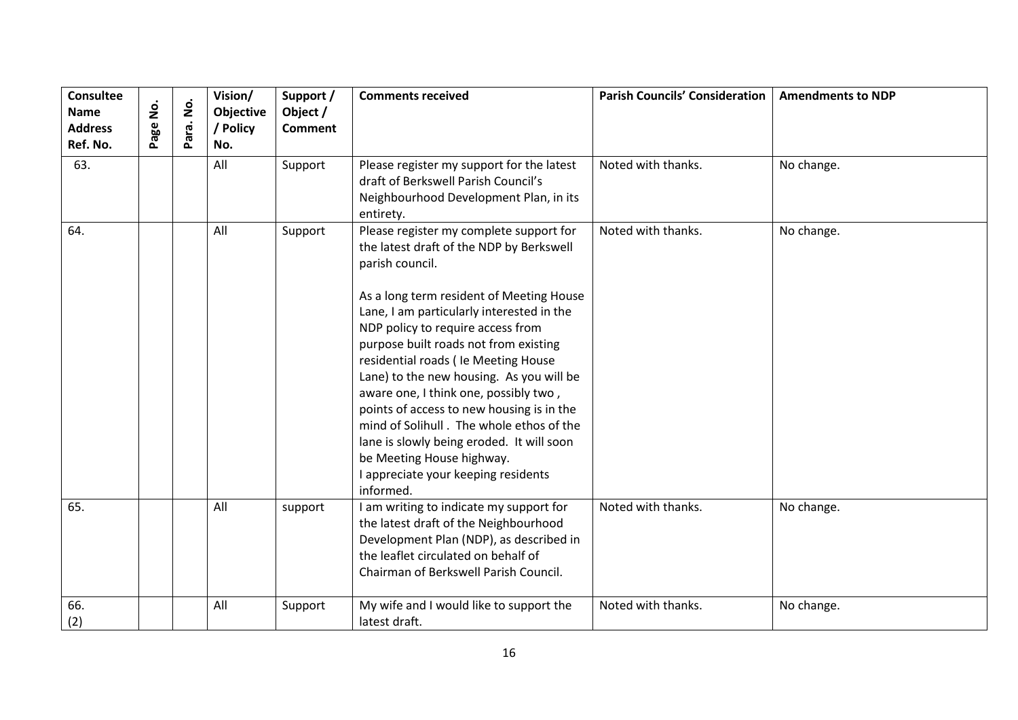| <b>Consultee</b><br><b>Name</b><br><b>Address</b><br>Ref. No. | <u>o</u><br>Z<br>age | $\dot{\mathbf{z}}$<br>Para. | Vision/<br>Objective<br>/ Policy<br>No. | Support /<br>Object /<br><b>Comment</b> | <b>Comments received</b>                                                                                                                                                                                                                                                                                                                                                                                                                                                                                                                                                                                                          | <b>Parish Councils' Consideration</b> | <b>Amendments to NDP</b> |
|---------------------------------------------------------------|----------------------|-----------------------------|-----------------------------------------|-----------------------------------------|-----------------------------------------------------------------------------------------------------------------------------------------------------------------------------------------------------------------------------------------------------------------------------------------------------------------------------------------------------------------------------------------------------------------------------------------------------------------------------------------------------------------------------------------------------------------------------------------------------------------------------------|---------------------------------------|--------------------------|
| 63.                                                           |                      |                             | All                                     | Support                                 | Please register my support for the latest<br>draft of Berkswell Parish Council's<br>Neighbourhood Development Plan, in its<br>entirety.                                                                                                                                                                                                                                                                                                                                                                                                                                                                                           | Noted with thanks.                    | No change.               |
| 64.                                                           |                      |                             | All                                     | Support                                 | Please register my complete support for<br>the latest draft of the NDP by Berkswell<br>parish council.<br>As a long term resident of Meeting House<br>Lane, I am particularly interested in the<br>NDP policy to require access from<br>purpose built roads not from existing<br>residential roads ( le Meeting House<br>Lane) to the new housing. As you will be<br>aware one, I think one, possibly two,<br>points of access to new housing is in the<br>mind of Solihull. The whole ethos of the<br>lane is slowly being eroded. It will soon<br>be Meeting House highway.<br>I appreciate your keeping residents<br>informed. | Noted with thanks.                    | No change.               |
| 65.                                                           |                      |                             | All                                     | support                                 | I am writing to indicate my support for<br>the latest draft of the Neighbourhood<br>Development Plan (NDP), as described in<br>the leaflet circulated on behalf of<br>Chairman of Berkswell Parish Council.                                                                                                                                                                                                                                                                                                                                                                                                                       | Noted with thanks.                    | No change.               |
| 66.<br>(2)                                                    |                      |                             | All                                     | Support                                 | My wife and I would like to support the<br>latest draft.                                                                                                                                                                                                                                                                                                                                                                                                                                                                                                                                                                          | Noted with thanks.                    | No change.               |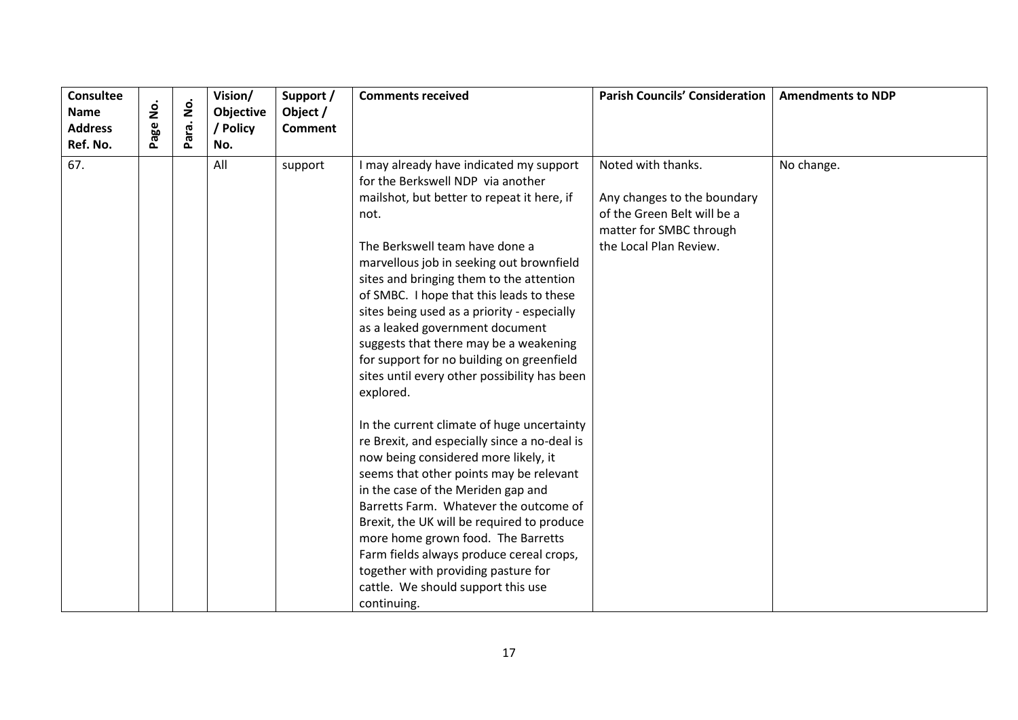| <b>Consultee</b><br><b>Name</b><br><b>Address</b> | ġ<br>Page | $\dot{\mathsf{S}}$<br>Para. | Vision/<br>Objective<br>/ Policy | Support /<br>Object /<br><b>Comment</b> | <b>Comments received</b>                                                                                                                                                                                                                                                                                                                                                                                                                                                                                                                       | <b>Parish Councils' Consideration</b>                                                                                                 | <b>Amendments to NDP</b> |
|---------------------------------------------------|-----------|-----------------------------|----------------------------------|-----------------------------------------|------------------------------------------------------------------------------------------------------------------------------------------------------------------------------------------------------------------------------------------------------------------------------------------------------------------------------------------------------------------------------------------------------------------------------------------------------------------------------------------------------------------------------------------------|---------------------------------------------------------------------------------------------------------------------------------------|--------------------------|
| Ref. No.                                          |           |                             | No.                              |                                         |                                                                                                                                                                                                                                                                                                                                                                                                                                                                                                                                                |                                                                                                                                       |                          |
| 67.                                               |           |                             | All                              | support                                 | I may already have indicated my support<br>for the Berkswell NDP via another<br>mailshot, but better to repeat it here, if<br>not.<br>The Berkswell team have done a<br>marvellous job in seeking out brownfield<br>sites and bringing them to the attention<br>of SMBC. I hope that this leads to these<br>sites being used as a priority - especially<br>as a leaked government document<br>suggests that there may be a weakening<br>for support for no building on greenfield<br>sites until every other possibility has been<br>explored. | Noted with thanks.<br>Any changes to the boundary<br>of the Green Belt will be a<br>matter for SMBC through<br>the Local Plan Review. | No change.               |
|                                                   |           |                             |                                  |                                         | In the current climate of huge uncertainty<br>re Brexit, and especially since a no-deal is<br>now being considered more likely, it<br>seems that other points may be relevant<br>in the case of the Meriden gap and<br>Barretts Farm. Whatever the outcome of<br>Brexit, the UK will be required to produce<br>more home grown food. The Barretts<br>Farm fields always produce cereal crops,<br>together with providing pasture for<br>cattle. We should support this use<br>continuing.                                                      |                                                                                                                                       |                          |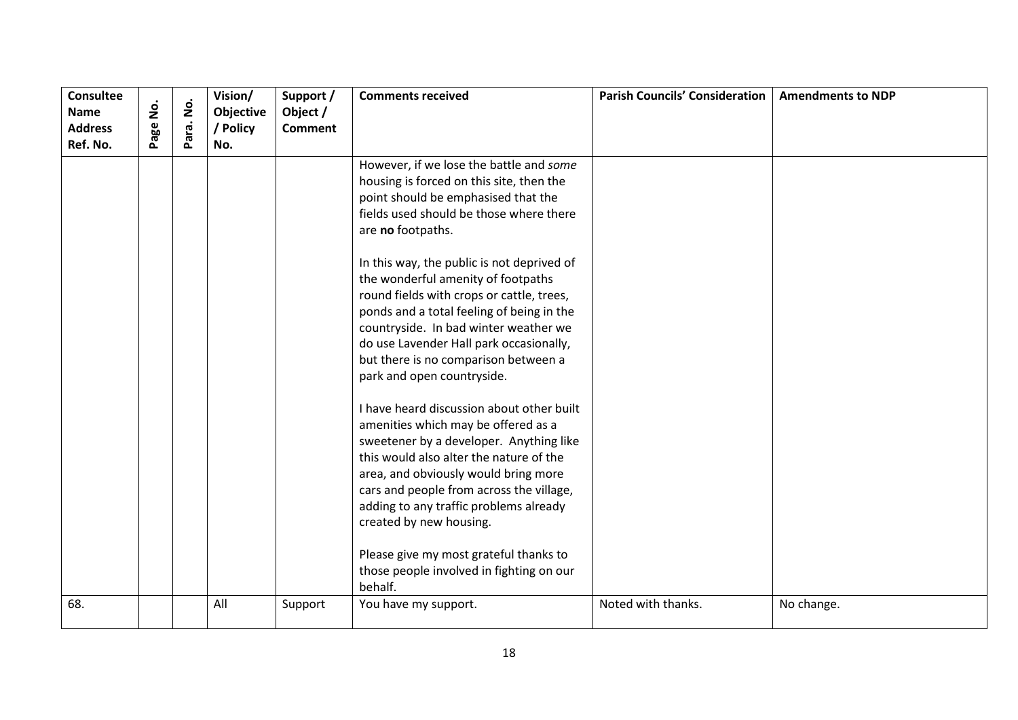| <b>Consultee</b><br><b>Name</b><br><b>Address</b><br>Ref. No. | <u>o</u><br>Z<br>age | $\dot{\mathsf{p}}$<br>Para. | Vision/<br>Objective<br>/ Policy<br>No. | Support /<br>Object /<br><b>Comment</b> | <b>Comments received</b>                                                                                                                                                                                                                                                                                                                                                                                                                                                                                                           | <b>Parish Councils' Consideration</b> | <b>Amendments to NDP</b> |
|---------------------------------------------------------------|----------------------|-----------------------------|-----------------------------------------|-----------------------------------------|------------------------------------------------------------------------------------------------------------------------------------------------------------------------------------------------------------------------------------------------------------------------------------------------------------------------------------------------------------------------------------------------------------------------------------------------------------------------------------------------------------------------------------|---------------------------------------|--------------------------|
|                                                               |                      |                             |                                         |                                         | However, if we lose the battle and some<br>housing is forced on this site, then the<br>point should be emphasised that the<br>fields used should be those where there<br>are no footpaths.<br>In this way, the public is not deprived of<br>the wonderful amenity of footpaths<br>round fields with crops or cattle, trees,<br>ponds and a total feeling of being in the<br>countryside. In bad winter weather we<br>do use Lavender Hall park occasionally,<br>but there is no comparison between a<br>park and open countryside. |                                       |                          |
|                                                               |                      |                             |                                         |                                         | I have heard discussion about other built<br>amenities which may be offered as a<br>sweetener by a developer. Anything like<br>this would also alter the nature of the<br>area, and obviously would bring more<br>cars and people from across the village,<br>adding to any traffic problems already<br>created by new housing.<br>Please give my most grateful thanks to<br>those people involved in fighting on our<br>behalf.                                                                                                   |                                       |                          |
| 68.                                                           |                      |                             | All                                     | Support                                 | You have my support.                                                                                                                                                                                                                                                                                                                                                                                                                                                                                                               | Noted with thanks.                    | No change.               |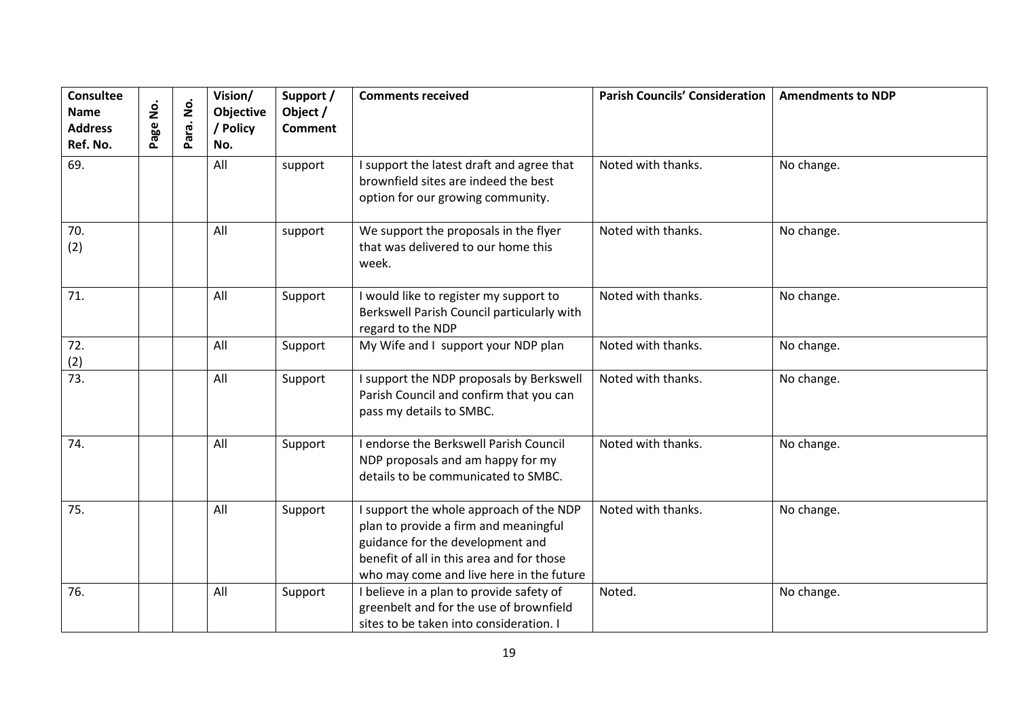| <b>Consultee</b><br><b>Name</b><br><b>Address</b><br>Ref. No. | <u>o</u><br>Z<br>Page | $\dot{\mathsf{e}}$<br>Para. | Vision/<br>Objective<br>/ Policy<br>No. | Support /<br>Object /<br><b>Comment</b> | <b>Comments received</b>                                                                                                                                                                                      | <b>Parish Councils' Consideration</b> | <b>Amendments to NDP</b> |
|---------------------------------------------------------------|-----------------------|-----------------------------|-----------------------------------------|-----------------------------------------|---------------------------------------------------------------------------------------------------------------------------------------------------------------------------------------------------------------|---------------------------------------|--------------------------|
| 69.                                                           |                       |                             | All                                     | support                                 | I support the latest draft and agree that<br>brownfield sites are indeed the best<br>option for our growing community.                                                                                        | Noted with thanks.                    | No change.               |
| 70.<br>(2)                                                    |                       |                             | All                                     | support                                 | We support the proposals in the flyer<br>that was delivered to our home this<br>week.                                                                                                                         | Noted with thanks.                    | No change.               |
| 71.                                                           |                       |                             | All                                     | Support                                 | I would like to register my support to<br>Berkswell Parish Council particularly with<br>regard to the NDP                                                                                                     | Noted with thanks.                    | No change.               |
| 72.<br>(2)                                                    |                       |                             | All                                     | Support                                 | My Wife and I support your NDP plan                                                                                                                                                                           | Noted with thanks.                    | No change.               |
| $\overline{73}$ .                                             |                       |                             | All                                     | Support                                 | I support the NDP proposals by Berkswell<br>Parish Council and confirm that you can<br>pass my details to SMBC.                                                                                               | Noted with thanks.                    | No change.               |
| 74.                                                           |                       |                             | All                                     | Support                                 | I endorse the Berkswell Parish Council<br>NDP proposals and am happy for my<br>details to be communicated to SMBC.                                                                                            | Noted with thanks.                    | No change.               |
| 75.                                                           |                       |                             | All                                     | Support                                 | I support the whole approach of the NDP<br>plan to provide a firm and meaningful<br>guidance for the development and<br>benefit of all in this area and for those<br>who may come and live here in the future | Noted with thanks.                    | No change.               |
| 76.                                                           |                       |                             | All                                     | Support                                 | I believe in a plan to provide safety of<br>greenbelt and for the use of brownfield<br>sites to be taken into consideration. I                                                                                | Noted.                                | No change.               |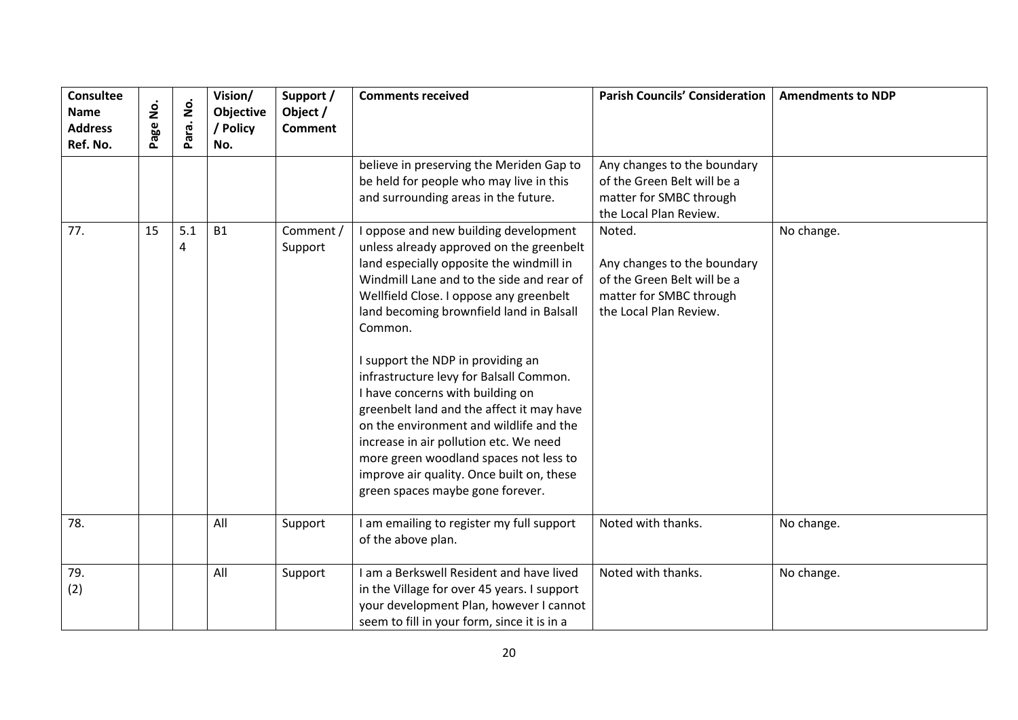| <b>Consultee</b><br><b>Name</b><br><b>Address</b><br>Ref. No. | .<br>S<br>age | $\dot{\mathsf{S}}$<br>Para. | Vision/<br>Objective<br>/ Policy<br>No. | Support /<br>Object /<br><b>Comment</b> | <b>Comments received</b>                                                                                                                                                                                                                                                                                                                                                                                                                                                                                                                                                                                                                                    | <b>Parish Councils' Consideration</b>                                                                                     | <b>Amendments to NDP</b> |
|---------------------------------------------------------------|---------------|-----------------------------|-----------------------------------------|-----------------------------------------|-------------------------------------------------------------------------------------------------------------------------------------------------------------------------------------------------------------------------------------------------------------------------------------------------------------------------------------------------------------------------------------------------------------------------------------------------------------------------------------------------------------------------------------------------------------------------------------------------------------------------------------------------------------|---------------------------------------------------------------------------------------------------------------------------|--------------------------|
|                                                               |               |                             |                                         |                                         | believe in preserving the Meriden Gap to<br>be held for people who may live in this<br>and surrounding areas in the future.                                                                                                                                                                                                                                                                                                                                                                                                                                                                                                                                 | Any changes to the boundary<br>of the Green Belt will be a<br>matter for SMBC through<br>the Local Plan Review.           |                          |
| 77.                                                           | 15            | 5.1<br>4                    | <b>B1</b>                               | Comment /<br>Support                    | oppose and new building development<br>unless already approved on the greenbelt<br>land especially opposite the windmill in<br>Windmill Lane and to the side and rear of<br>Wellfield Close. I oppose any greenbelt<br>land becoming brownfield land in Balsall<br>Common.<br>I support the NDP in providing an<br>infrastructure levy for Balsall Common.<br>I have concerns with building on<br>greenbelt land and the affect it may have<br>on the environment and wildlife and the<br>increase in air pollution etc. We need<br>more green woodland spaces not less to<br>improve air quality. Once built on, these<br>green spaces maybe gone forever. | Noted.<br>Any changes to the boundary<br>of the Green Belt will be a<br>matter for SMBC through<br>the Local Plan Review. | No change.               |
| 78.                                                           |               |                             | All                                     | Support                                 | am emailing to register my full support<br>of the above plan.                                                                                                                                                                                                                                                                                                                                                                                                                                                                                                                                                                                               | Noted with thanks.                                                                                                        | No change.               |
| 79.<br>(2)                                                    |               |                             | All                                     | Support                                 | am a Berkswell Resident and have lived<br>in the Village for over 45 years. I support<br>your development Plan, however I cannot<br>seem to fill in your form, since it is in a                                                                                                                                                                                                                                                                                                                                                                                                                                                                             | Noted with thanks.                                                                                                        | No change.               |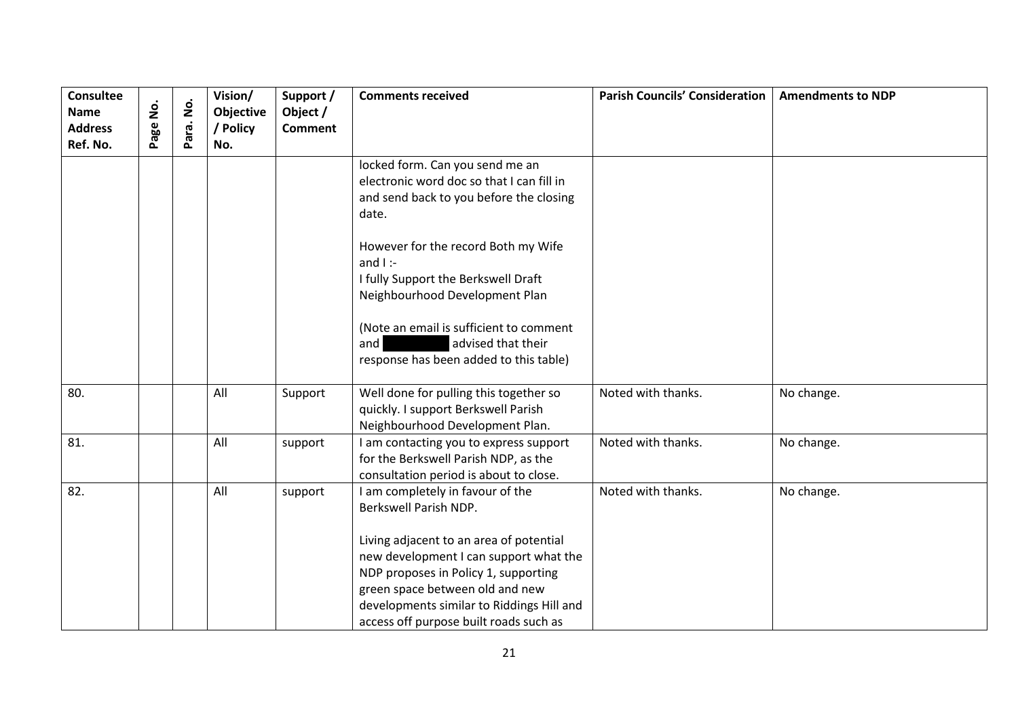| <b>Consultee</b><br><b>Name</b><br><b>Address</b><br>Ref. No. | <u>S</u><br>age | $\dot{\mathsf{z}}$<br>Para. | Vision/<br>Objective<br>/ Policy<br>No. | Support /<br>Object /<br><b>Comment</b> | <b>Comments received</b>                                                                                                                                                                                                                                                                                         | <b>Parish Councils' Consideration</b> | <b>Amendments to NDP</b> |
|---------------------------------------------------------------|-----------------|-----------------------------|-----------------------------------------|-----------------------------------------|------------------------------------------------------------------------------------------------------------------------------------------------------------------------------------------------------------------------------------------------------------------------------------------------------------------|---------------------------------------|--------------------------|
|                                                               |                 |                             |                                         |                                         | locked form. Can you send me an<br>electronic word doc so that I can fill in<br>and send back to you before the closing<br>date.<br>However for the record Both my Wife<br>and $I$ :-<br>I fully Support the Berkswell Draft<br>Neighbourhood Development Plan<br>(Note an email is sufficient to comment        |                                       |                          |
|                                                               |                 |                             |                                         |                                         | advised that their<br>and<br>response has been added to this table)                                                                                                                                                                                                                                              |                                       |                          |
| 80.                                                           |                 |                             | All                                     | Support                                 | Well done for pulling this together so<br>quickly. I support Berkswell Parish<br>Neighbourhood Development Plan.                                                                                                                                                                                                 | Noted with thanks.                    | No change.               |
| 81.                                                           |                 |                             | All                                     | support                                 | I am contacting you to express support<br>for the Berkswell Parish NDP, as the<br>consultation period is about to close.                                                                                                                                                                                         | Noted with thanks.                    | No change.               |
| 82.                                                           |                 |                             | All                                     | support                                 | I am completely in favour of the<br>Berkswell Parish NDP.<br>Living adjacent to an area of potential<br>new development I can support what the<br>NDP proposes in Policy 1, supporting<br>green space between old and new<br>developments similar to Riddings Hill and<br>access off purpose built roads such as | Noted with thanks.                    | No change.               |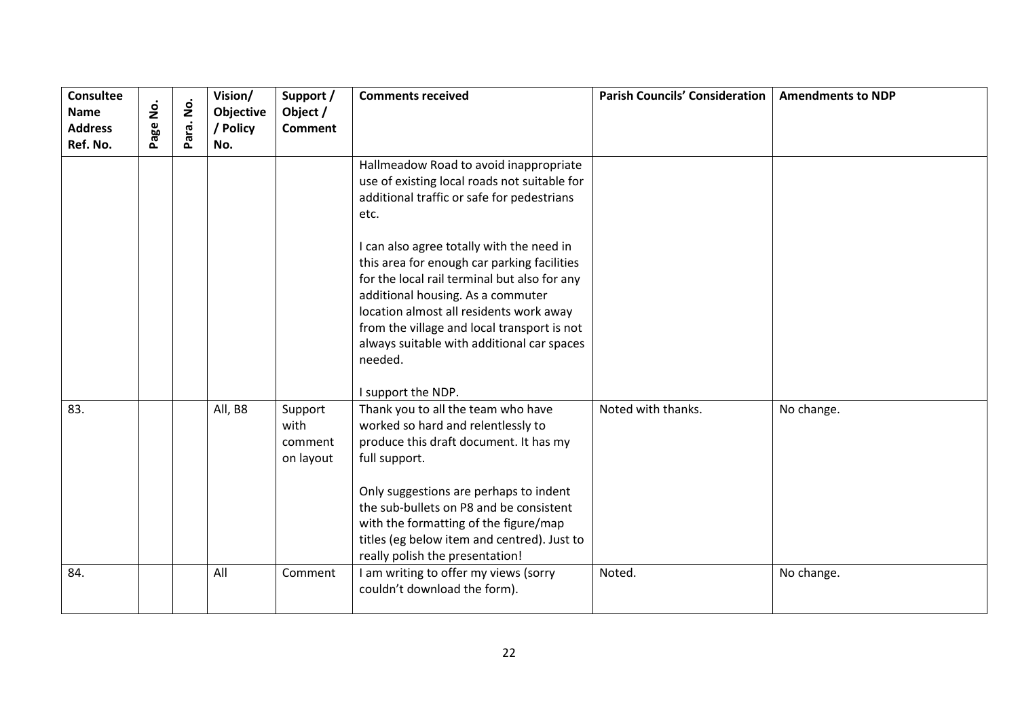| Consultee<br><b>Name</b><br><b>Address</b><br>Ref. No. | <u>s</u><br>Page | $\dot{\mathsf{S}}$<br>Para. | Vision/<br>Objective<br>/ Policy<br>No. | Support /<br>Object /<br><b>Comment</b> | <b>Comments received</b>                                                                                                                                                                                                                                                                                                                                                                                                                                                                               | <b>Parish Councils' Consideration</b> | <b>Amendments to NDP</b> |
|--------------------------------------------------------|------------------|-----------------------------|-----------------------------------------|-----------------------------------------|--------------------------------------------------------------------------------------------------------------------------------------------------------------------------------------------------------------------------------------------------------------------------------------------------------------------------------------------------------------------------------------------------------------------------------------------------------------------------------------------------------|---------------------------------------|--------------------------|
|                                                        |                  |                             |                                         |                                         | Hallmeadow Road to avoid inappropriate<br>use of existing local roads not suitable for<br>additional traffic or safe for pedestrians<br>etc.<br>I can also agree totally with the need in<br>this area for enough car parking facilities<br>for the local rail terminal but also for any<br>additional housing. As a commuter<br>location almost all residents work away<br>from the village and local transport is not<br>always suitable with additional car spaces<br>needed.<br>I support the NDP. |                                       |                          |
| 83.                                                    |                  |                             | All, B8                                 | Support<br>with<br>comment<br>on layout | Thank you to all the team who have<br>worked so hard and relentlessly to<br>produce this draft document. It has my<br>full support.<br>Only suggestions are perhaps to indent<br>the sub-bullets on P8 and be consistent<br>with the formatting of the figure/map<br>titles (eg below item and centred). Just to<br>really polish the presentation!                                                                                                                                                    | Noted with thanks.                    | No change.               |
| 84.                                                    |                  |                             | All                                     | Comment                                 | I am writing to offer my views (sorry<br>couldn't download the form).                                                                                                                                                                                                                                                                                                                                                                                                                                  | Noted.                                | No change.               |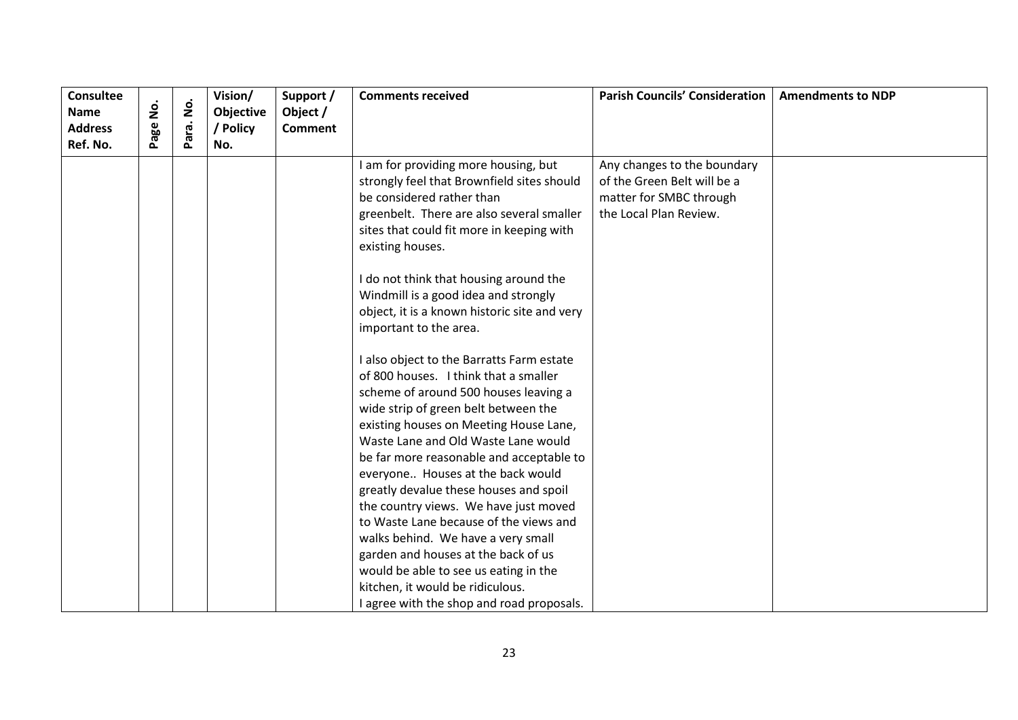| <b>Consultee</b><br><b>Name</b><br><b>Address</b><br>Ref. No. | age No. | $\dot{\mathsf{z}}$<br>ara.<br>௳ | Vision/<br>Objective<br>/ Policy<br>No. | Support /<br>Object /<br><b>Comment</b> | <b>Comments received</b>                                                                                                                                                                                                      | <b>Parish Councils' Consideration</b>                                                                           | <b>Amendments to NDP</b> |
|---------------------------------------------------------------|---------|---------------------------------|-----------------------------------------|-----------------------------------------|-------------------------------------------------------------------------------------------------------------------------------------------------------------------------------------------------------------------------------|-----------------------------------------------------------------------------------------------------------------|--------------------------|
|                                                               |         |                                 |                                         |                                         | I am for providing more housing, but<br>strongly feel that Brownfield sites should<br>be considered rather than<br>greenbelt. There are also several smaller<br>sites that could fit more in keeping with<br>existing houses. | Any changes to the boundary<br>of the Green Belt will be a<br>matter for SMBC through<br>the Local Plan Review. |                          |
|                                                               |         |                                 |                                         |                                         | I do not think that housing around the<br>Windmill is a good idea and strongly                                                                                                                                                |                                                                                                                 |                          |
|                                                               |         |                                 |                                         |                                         | object, it is a known historic site and very                                                                                                                                                                                  |                                                                                                                 |                          |
|                                                               |         |                                 |                                         |                                         | important to the area.                                                                                                                                                                                                        |                                                                                                                 |                          |
|                                                               |         |                                 |                                         |                                         | I also object to the Barratts Farm estate                                                                                                                                                                                     |                                                                                                                 |                          |
|                                                               |         |                                 |                                         |                                         | of 800 houses. I think that a smaller                                                                                                                                                                                         |                                                                                                                 |                          |
|                                                               |         |                                 |                                         |                                         | scheme of around 500 houses leaving a                                                                                                                                                                                         |                                                                                                                 |                          |
|                                                               |         |                                 |                                         |                                         | wide strip of green belt between the                                                                                                                                                                                          |                                                                                                                 |                          |
|                                                               |         |                                 |                                         |                                         | existing houses on Meeting House Lane,                                                                                                                                                                                        |                                                                                                                 |                          |
|                                                               |         |                                 |                                         |                                         | Waste Lane and Old Waste Lane would                                                                                                                                                                                           |                                                                                                                 |                          |
|                                                               |         |                                 |                                         |                                         | be far more reasonable and acceptable to                                                                                                                                                                                      |                                                                                                                 |                          |
|                                                               |         |                                 |                                         |                                         | everyone Houses at the back would                                                                                                                                                                                             |                                                                                                                 |                          |
|                                                               |         |                                 |                                         |                                         | greatly devalue these houses and spoil                                                                                                                                                                                        |                                                                                                                 |                          |
|                                                               |         |                                 |                                         |                                         | the country views. We have just moved                                                                                                                                                                                         |                                                                                                                 |                          |
|                                                               |         |                                 |                                         |                                         | to Waste Lane because of the views and                                                                                                                                                                                        |                                                                                                                 |                          |
|                                                               |         |                                 |                                         |                                         | walks behind. We have a very small<br>garden and houses at the back of us                                                                                                                                                     |                                                                                                                 |                          |
|                                                               |         |                                 |                                         |                                         | would be able to see us eating in the                                                                                                                                                                                         |                                                                                                                 |                          |
|                                                               |         |                                 |                                         |                                         | kitchen, it would be ridiculous.                                                                                                                                                                                              |                                                                                                                 |                          |
|                                                               |         |                                 |                                         |                                         | I agree with the shop and road proposals.                                                                                                                                                                                     |                                                                                                                 |                          |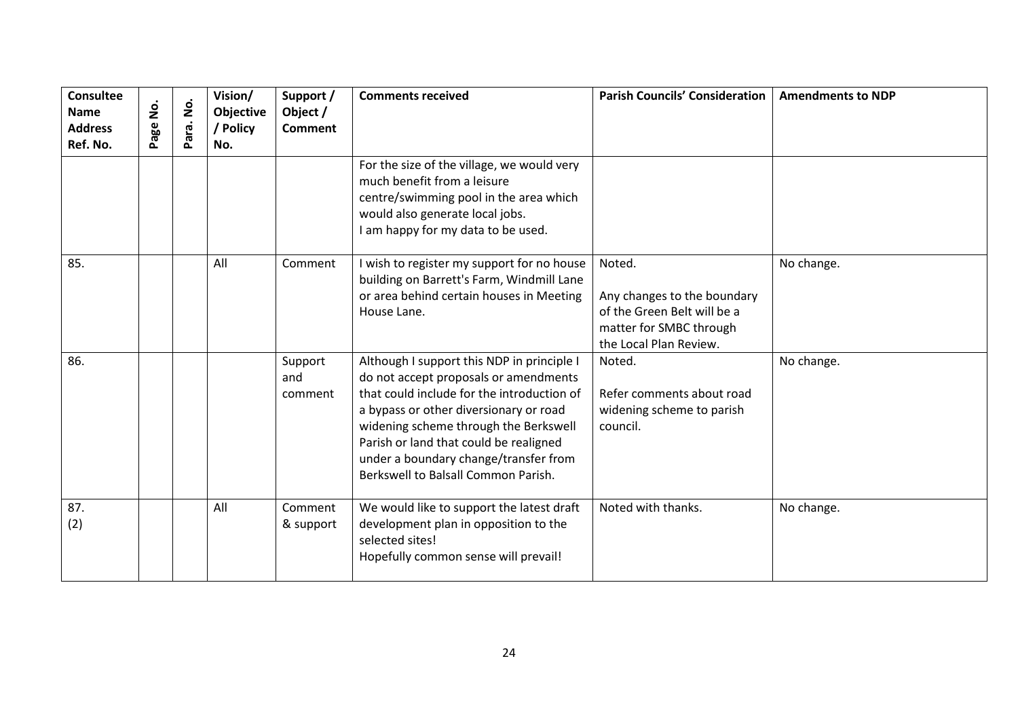| <b>Consultee</b><br><b>Name</b><br><b>Address</b><br>Ref. No. | $\mathbf{\dot{g}}$<br>Page | Para. No. | Vision/<br><b>Objective</b><br>/ Policy<br>No. | Support /<br>Object /<br><b>Comment</b> | <b>Comments received</b>                                                                                                                                                                                                                                                                                                                       | <b>Parish Councils' Consideration</b>                                                                                     | <b>Amendments to NDP</b> |
|---------------------------------------------------------------|----------------------------|-----------|------------------------------------------------|-----------------------------------------|------------------------------------------------------------------------------------------------------------------------------------------------------------------------------------------------------------------------------------------------------------------------------------------------------------------------------------------------|---------------------------------------------------------------------------------------------------------------------------|--------------------------|
|                                                               |                            |           |                                                |                                         | For the size of the village, we would very<br>much benefit from a leisure<br>centre/swimming pool in the area which<br>would also generate local jobs.<br>I am happy for my data to be used.                                                                                                                                                   |                                                                                                                           |                          |
| 85.                                                           |                            |           | All                                            | Comment                                 | I wish to register my support for no house<br>building on Barrett's Farm, Windmill Lane<br>or area behind certain houses in Meeting<br>House Lane.                                                                                                                                                                                             | Noted.<br>Any changes to the boundary<br>of the Green Belt will be a<br>matter for SMBC through<br>the Local Plan Review. | No change.               |
| 86.                                                           |                            |           |                                                | Support<br>and<br>comment               | Although I support this NDP in principle I<br>do not accept proposals or amendments<br>that could include for the introduction of<br>a bypass or other diversionary or road<br>widening scheme through the Berkswell<br>Parish or land that could be realigned<br>under a boundary change/transfer from<br>Berkswell to Balsall Common Parish. | Noted.<br>Refer comments about road<br>widening scheme to parish<br>council.                                              | No change.               |
| 87.<br>(2)                                                    |                            |           | All                                            | Comment<br>& support                    | We would like to support the latest draft<br>development plan in opposition to the<br>selected sites!<br>Hopefully common sense will prevail!                                                                                                                                                                                                  | Noted with thanks.                                                                                                        | No change.               |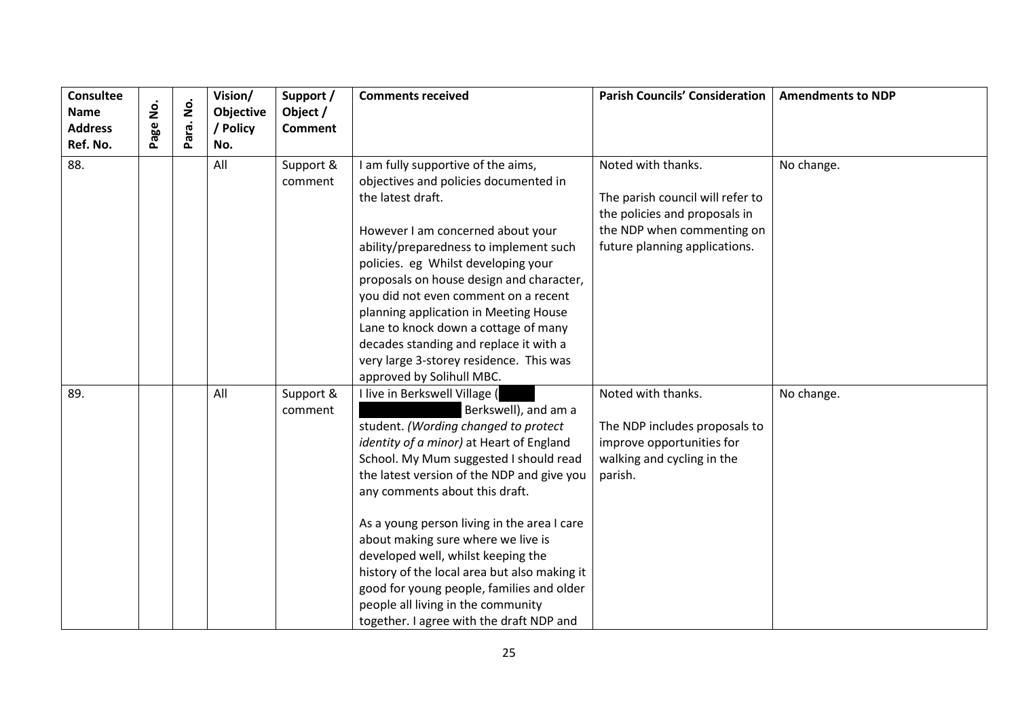| <b>Consultee</b><br><b>Name</b><br><b>Address</b> | <u>o</u><br>Z<br>age | $\dot{\mathbf{z}}$<br>Para. | Vision/<br>Objective<br>/ Policy | Support /<br>Object /<br><b>Comment</b> | <b>Comments received</b>                                                                                                                                                                                                                                                                                                                                                                                                                                                                                                                                                      | <b>Parish Councils' Consideration</b>                                                                                                                  | <b>Amendments to NDP</b> |
|---------------------------------------------------|----------------------|-----------------------------|----------------------------------|-----------------------------------------|-------------------------------------------------------------------------------------------------------------------------------------------------------------------------------------------------------------------------------------------------------------------------------------------------------------------------------------------------------------------------------------------------------------------------------------------------------------------------------------------------------------------------------------------------------------------------------|--------------------------------------------------------------------------------------------------------------------------------------------------------|--------------------------|
| Ref. No.<br>88.                                   |                      |                             | No.<br>All                       | Support &<br>comment                    | I am fully supportive of the aims,<br>objectives and policies documented in<br>the latest draft.<br>However I am concerned about your<br>ability/preparedness to implement such<br>policies. eg Whilst developing your<br>proposals on house design and character,<br>you did not even comment on a recent                                                                                                                                                                                                                                                                    | Noted with thanks.<br>The parish council will refer to<br>the policies and proposals in<br>the NDP when commenting on<br>future planning applications. | No change.               |
|                                                   |                      |                             |                                  |                                         | planning application in Meeting House<br>Lane to knock down a cottage of many<br>decades standing and replace it with a<br>very large 3-storey residence. This was<br>approved by Solihull MBC.                                                                                                                                                                                                                                                                                                                                                                               |                                                                                                                                                        |                          |
| 89.                                               |                      |                             | All                              | Support &<br>comment                    | I live in Berkswell Village (<br>Berkswell), and am a<br>student. (Wording changed to protect<br>identity of a minor) at Heart of England<br>School. My Mum suggested I should read<br>the latest version of the NDP and give you<br>any comments about this draft.<br>As a young person living in the area I care<br>about making sure where we live is<br>developed well, whilst keeping the<br>history of the local area but also making it<br>good for young people, families and older<br>people all living in the community<br>together. I agree with the draft NDP and | Noted with thanks.<br>The NDP includes proposals to<br>improve opportunities for<br>walking and cycling in the<br>parish.                              | No change.               |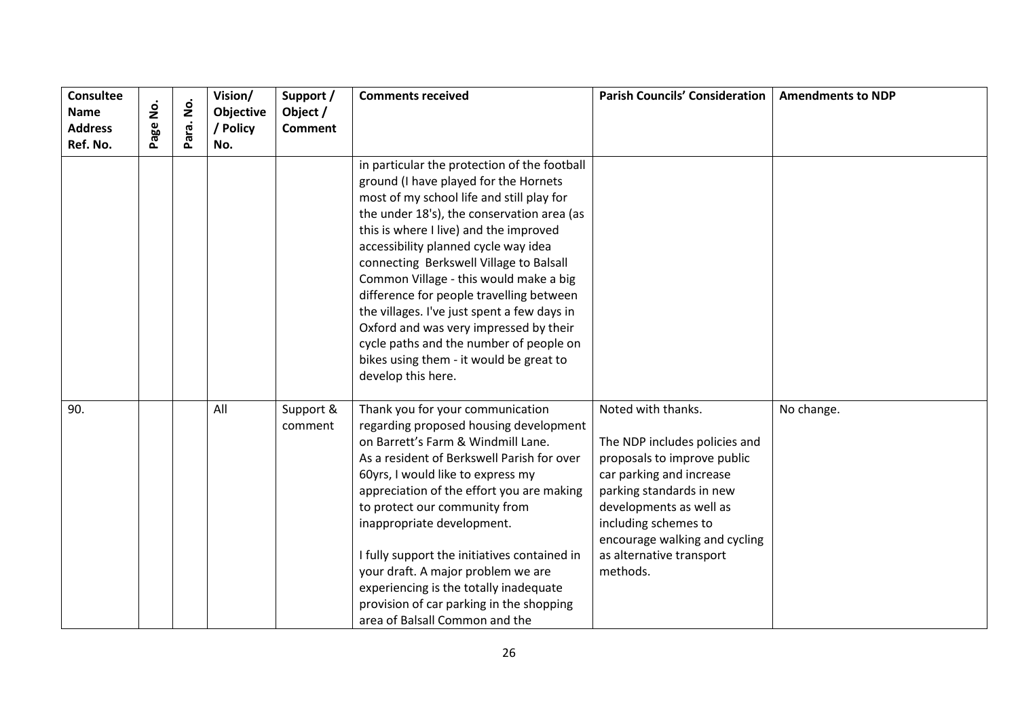| Consultee<br><b>Name</b><br><b>Address</b> | <u>o</u><br>age | $\dot{\mathsf{S}}$<br>ara. | Vision/<br>Objective<br>/ Policy | Support /<br>Object /<br><b>Comment</b> | <b>Comments received</b>                                                                                                                                                                                                                                                                                                                                                                                                                                                                                                      | <b>Parish Councils' Consideration</b>                                                                                                                                                                                                                                  | <b>Amendments to NDP</b> |
|--------------------------------------------|-----------------|----------------------------|----------------------------------|-----------------------------------------|-------------------------------------------------------------------------------------------------------------------------------------------------------------------------------------------------------------------------------------------------------------------------------------------------------------------------------------------------------------------------------------------------------------------------------------------------------------------------------------------------------------------------------|------------------------------------------------------------------------------------------------------------------------------------------------------------------------------------------------------------------------------------------------------------------------|--------------------------|
| Ref. No.                                   |                 | Ä                          | No.                              |                                         | in particular the protection of the football<br>ground (I have played for the Hornets<br>most of my school life and still play for<br>the under 18's), the conservation area (as<br>this is where I live) and the improved<br>accessibility planned cycle way idea<br>connecting Berkswell Village to Balsall<br>Common Village - this would make a big                                                                                                                                                                       |                                                                                                                                                                                                                                                                        |                          |
|                                            |                 |                            |                                  |                                         | difference for people travelling between<br>the villages. I've just spent a few days in<br>Oxford and was very impressed by their<br>cycle paths and the number of people on<br>bikes using them - it would be great to<br>develop this here.                                                                                                                                                                                                                                                                                 |                                                                                                                                                                                                                                                                        |                          |
| 90.                                        |                 |                            | All                              | Support &<br>comment                    | Thank you for your communication<br>regarding proposed housing development<br>on Barrett's Farm & Windmill Lane.<br>As a resident of Berkswell Parish for over<br>60yrs, I would like to express my<br>appreciation of the effort you are making<br>to protect our community from<br>inappropriate development.<br>I fully support the initiatives contained in<br>your draft. A major problem we are<br>experiencing is the totally inadequate<br>provision of car parking in the shopping<br>area of Balsall Common and the | Noted with thanks.<br>The NDP includes policies and<br>proposals to improve public<br>car parking and increase<br>parking standards in new<br>developments as well as<br>including schemes to<br>encourage walking and cycling<br>as alternative transport<br>methods. | No change.               |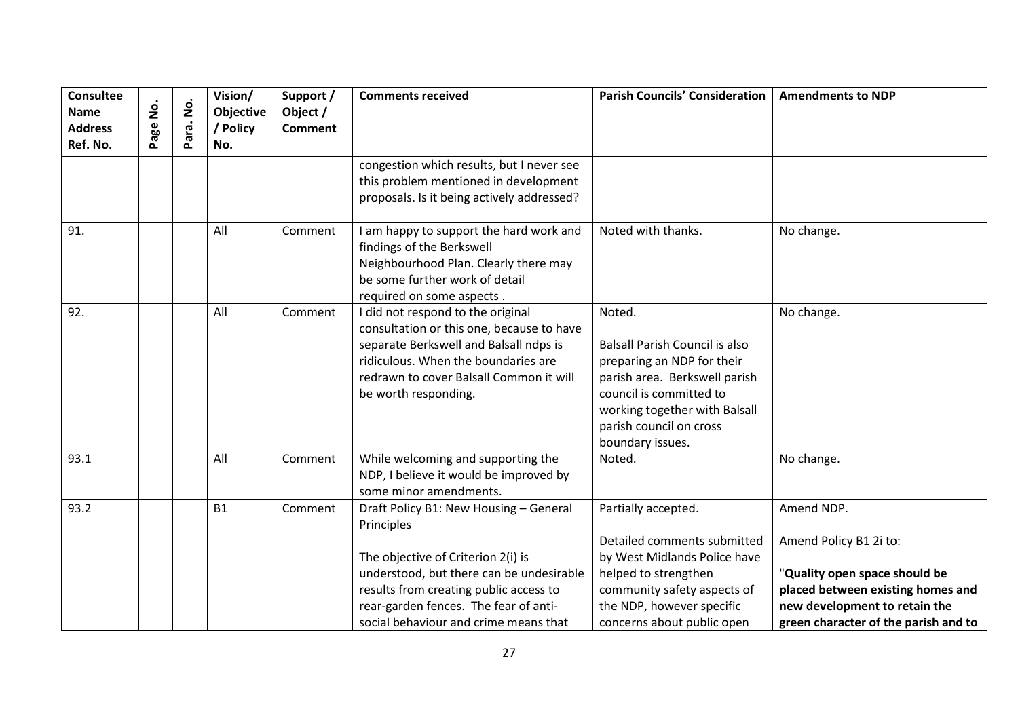| Consultee<br><b>Name</b><br><b>Address</b><br>Ref. No. | age No. | $\dot{\mathsf{S}}$<br>ara.<br>Ő. | Vision/<br>Objective<br>/ Policy<br>No. | Support /<br>Object /<br><b>Comment</b> | <b>Comments received</b>                                                                                                                                                                                                                                           | <b>Parish Councils' Consideration</b>                                                                                                                                                                                     | <b>Amendments to NDP</b>                                                                                                                                                            |
|--------------------------------------------------------|---------|----------------------------------|-----------------------------------------|-----------------------------------------|--------------------------------------------------------------------------------------------------------------------------------------------------------------------------------------------------------------------------------------------------------------------|---------------------------------------------------------------------------------------------------------------------------------------------------------------------------------------------------------------------------|-------------------------------------------------------------------------------------------------------------------------------------------------------------------------------------|
|                                                        |         |                                  |                                         |                                         | congestion which results, but I never see<br>this problem mentioned in development<br>proposals. Is it being actively addressed?                                                                                                                                   |                                                                                                                                                                                                                           |                                                                                                                                                                                     |
| 91.                                                    |         |                                  | All                                     | Comment                                 | I am happy to support the hard work and<br>findings of the Berkswell<br>Neighbourhood Plan. Clearly there may<br>be some further work of detail<br>required on some aspects.                                                                                       | Noted with thanks.                                                                                                                                                                                                        | No change.                                                                                                                                                                          |
| 92.                                                    |         |                                  | All                                     | Comment                                 | I did not respond to the original<br>consultation or this one, because to have<br>separate Berkswell and Balsall ndps is<br>ridiculous. When the boundaries are<br>redrawn to cover Balsall Common it will<br>be worth responding.                                 | Noted.<br><b>Balsall Parish Council is also</b><br>preparing an NDP for their<br>parish area. Berkswell parish<br>council is committed to<br>working together with Balsall<br>parish council on cross<br>boundary issues. | No change.                                                                                                                                                                          |
| 93.1                                                   |         |                                  | All                                     | Comment                                 | While welcoming and supporting the<br>NDP, I believe it would be improved by<br>some minor amendments.                                                                                                                                                             | Noted.                                                                                                                                                                                                                    | No change.                                                                                                                                                                          |
| 93.2                                                   |         |                                  | <b>B1</b>                               | Comment                                 | Draft Policy B1: New Housing - General<br>Principles<br>The objective of Criterion 2(i) is<br>understood, but there can be undesirable<br>results from creating public access to<br>rear-garden fences. The fear of anti-<br>social behaviour and crime means that | Partially accepted.<br>Detailed comments submitted<br>by West Midlands Police have<br>helped to strengthen<br>community safety aspects of<br>the NDP, however specific<br>concerns about public open                      | Amend NDP.<br>Amend Policy B1 2i to:<br>"Quality open space should be<br>placed between existing homes and<br>new development to retain the<br>green character of the parish and to |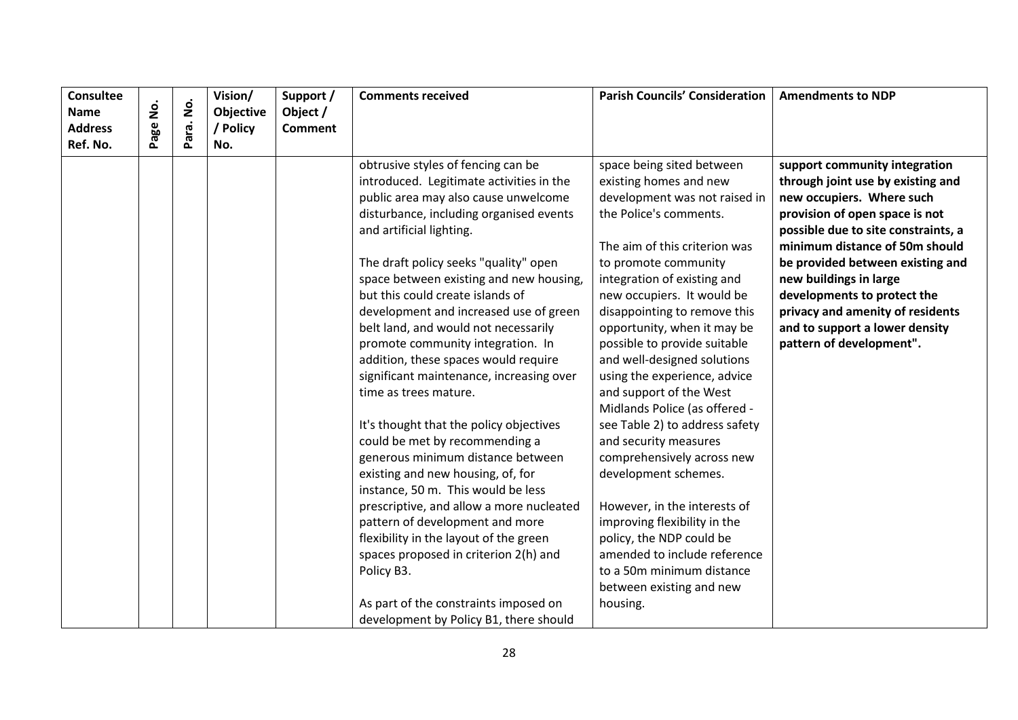| <b>Consultee</b><br><b>Name</b> | <u>o</u><br>2 | $\dot{\mathsf{S}}$ | Vision/<br>Objective | Support /<br>Object / | <b>Comments received</b>                                                                                               | <b>Parish Councils' Consideration</b>                                                | <b>Amendments to NDP</b>                                                                        |
|---------------------------------|---------------|--------------------|----------------------|-----------------------|------------------------------------------------------------------------------------------------------------------------|--------------------------------------------------------------------------------------|-------------------------------------------------------------------------------------------------|
| <b>Address</b>                  |               | Para.              | / Policy             | <b>Comment</b>        |                                                                                                                        |                                                                                      |                                                                                                 |
| Ref. No.                        | Page          |                    | No.                  |                       |                                                                                                                        |                                                                                      |                                                                                                 |
|                                 |               |                    |                      |                       | obtrusive styles of fencing can be<br>introduced. Legitimate activities in the<br>public area may also cause unwelcome | space being sited between<br>existing homes and new<br>development was not raised in | support community integration<br>through joint use by existing and<br>new occupiers. Where such |
|                                 |               |                    |                      |                       | disturbance, including organised events<br>and artificial lighting.                                                    | the Police's comments.                                                               | provision of open space is not<br>possible due to site constraints, a                           |
|                                 |               |                    |                      |                       | The draft policy seeks "quality" open                                                                                  | The aim of this criterion was<br>to promote community                                | minimum distance of 50m should<br>be provided between existing and                              |
|                                 |               |                    |                      |                       | space between existing and new housing,<br>but this could create islands of                                            | integration of existing and<br>new occupiers. It would be                            | new buildings in large<br>developments to protect the                                           |
|                                 |               |                    |                      |                       | development and increased use of green<br>belt land, and would not necessarily                                         | disappointing to remove this<br>opportunity, when it may be                          | privacy and amenity of residents<br>and to support a lower density                              |
|                                 |               |                    |                      |                       | promote community integration. In<br>addition, these spaces would require                                              | possible to provide suitable                                                         | pattern of development".                                                                        |
|                                 |               |                    |                      |                       | significant maintenance, increasing over                                                                               | and well-designed solutions<br>using the experience, advice                          |                                                                                                 |
|                                 |               |                    |                      |                       | time as trees mature.                                                                                                  | and support of the West<br>Midlands Police (as offered -                             |                                                                                                 |
|                                 |               |                    |                      |                       | It's thought that the policy objectives<br>could be met by recommending a                                              | see Table 2) to address safety<br>and security measures                              |                                                                                                 |
|                                 |               |                    |                      |                       | generous minimum distance between<br>existing and new housing, of, for                                                 | comprehensively across new<br>development schemes.                                   |                                                                                                 |
|                                 |               |                    |                      |                       | instance, 50 m. This would be less                                                                                     |                                                                                      |                                                                                                 |
|                                 |               |                    |                      |                       | prescriptive, and allow a more nucleated<br>pattern of development and more                                            | However, in the interests of<br>improving flexibility in the                         |                                                                                                 |
|                                 |               |                    |                      |                       | flexibility in the layout of the green<br>spaces proposed in criterion 2(h) and                                        | policy, the NDP could be<br>amended to include reference                             |                                                                                                 |
|                                 |               |                    |                      |                       | Policy B3.                                                                                                             | to a 50m minimum distance                                                            |                                                                                                 |
|                                 |               |                    |                      |                       |                                                                                                                        | between existing and new                                                             |                                                                                                 |
|                                 |               |                    |                      |                       | As part of the constraints imposed on<br>development by Policy B1, there should                                        | housing.                                                                             |                                                                                                 |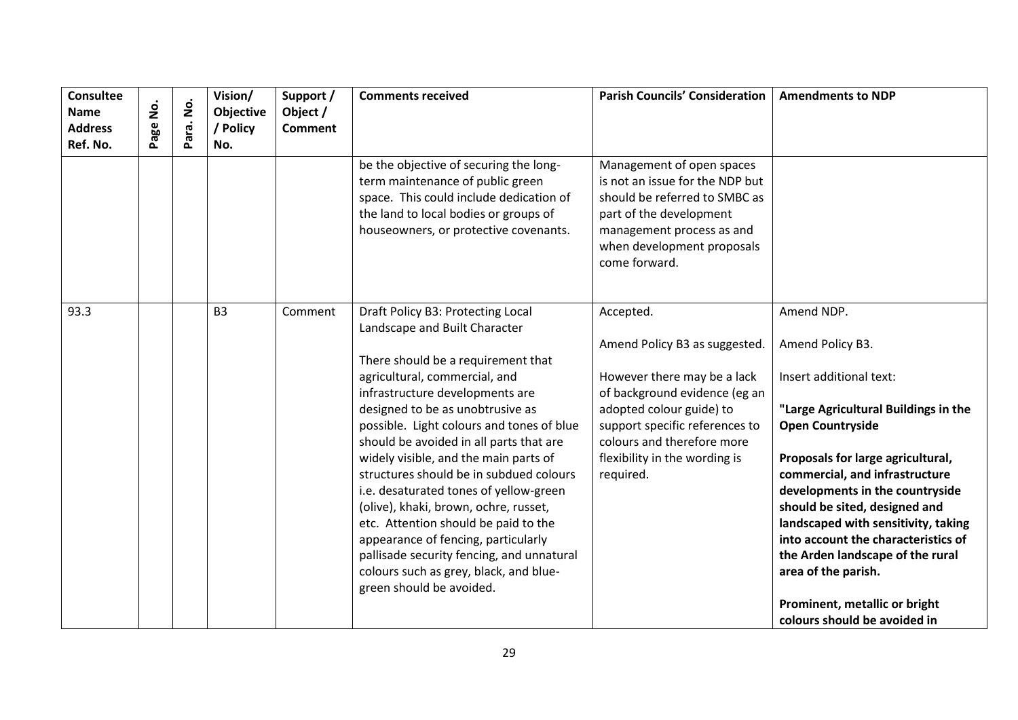| <b>Consultee</b><br><b>Name</b><br><b>Address</b><br>Ref. No. | $\dot{\mathsf{S}}$<br>age | $\dot{\mathsf{S}}$<br>Para. | Vision/<br>Objective<br>/ Policy<br>No. | Support /<br>Object /<br><b>Comment</b> | <b>Comments received</b>                                                                                                                                                                                                                                                                                                                                                                                                                                                                                                                                                                                                                                                          | <b>Parish Councils' Consideration</b>                                                                                                                                                                                                                | <b>Amendments to NDP</b>                                                                                                                                                                                                                                                                                                                                                                                                                                                          |
|---------------------------------------------------------------|---------------------------|-----------------------------|-----------------------------------------|-----------------------------------------|-----------------------------------------------------------------------------------------------------------------------------------------------------------------------------------------------------------------------------------------------------------------------------------------------------------------------------------------------------------------------------------------------------------------------------------------------------------------------------------------------------------------------------------------------------------------------------------------------------------------------------------------------------------------------------------|------------------------------------------------------------------------------------------------------------------------------------------------------------------------------------------------------------------------------------------------------|-----------------------------------------------------------------------------------------------------------------------------------------------------------------------------------------------------------------------------------------------------------------------------------------------------------------------------------------------------------------------------------------------------------------------------------------------------------------------------------|
|                                                               |                           |                             |                                         |                                         | be the objective of securing the long-<br>term maintenance of public green<br>space. This could include dedication of<br>the land to local bodies or groups of<br>houseowners, or protective covenants.                                                                                                                                                                                                                                                                                                                                                                                                                                                                           | Management of open spaces<br>is not an issue for the NDP but<br>should be referred to SMBC as<br>part of the development<br>management process as and<br>when development proposals<br>come forward.                                                 |                                                                                                                                                                                                                                                                                                                                                                                                                                                                                   |
| 93.3                                                          |                           |                             | B <sub>3</sub>                          | Comment                                 | Draft Policy B3: Protecting Local<br>Landscape and Built Character<br>There should be a requirement that<br>agricultural, commercial, and<br>infrastructure developments are<br>designed to be as unobtrusive as<br>possible. Light colours and tones of blue<br>should be avoided in all parts that are<br>widely visible, and the main parts of<br>structures should be in subdued colours<br>i.e. desaturated tones of yellow-green<br>(olive), khaki, brown, ochre, russet,<br>etc. Attention should be paid to the<br>appearance of fencing, particularly<br>pallisade security fencing, and unnatural<br>colours such as grey, black, and blue-<br>green should be avoided. | Accepted.<br>Amend Policy B3 as suggested.<br>However there may be a lack<br>of background evidence (eg an<br>adopted colour guide) to<br>support specific references to<br>colours and therefore more<br>flexibility in the wording is<br>required. | Amend NDP.<br>Amend Policy B3.<br>Insert additional text:<br>"Large Agricultural Buildings in the<br><b>Open Countryside</b><br>Proposals for large agricultural,<br>commercial, and infrastructure<br>developments in the countryside<br>should be sited, designed and<br>landscaped with sensitivity, taking<br>into account the characteristics of<br>the Arden landscape of the rural<br>area of the parish.<br>Prominent, metallic or bright<br>colours should be avoided in |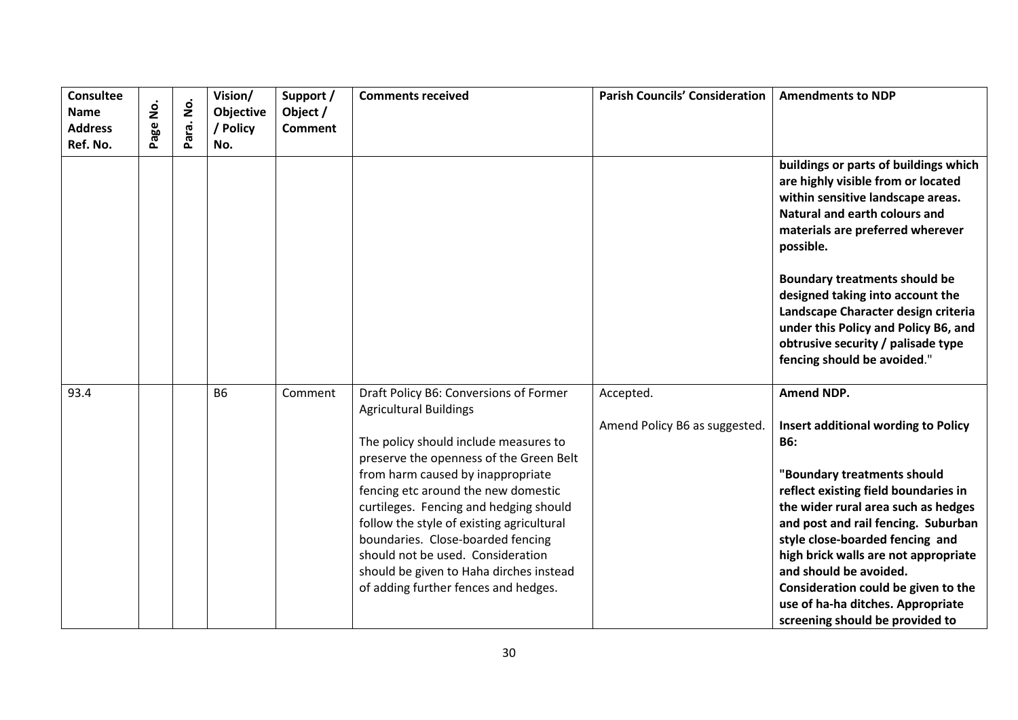| <b>Consultee</b><br><b>Name</b><br><b>Address</b><br>Ref. No. | $\dot{\mathsf{z}}$<br>Page | $\dot{\mathsf{p}}$<br>Para. | Vision/<br>Objective<br>/ Policy<br>No. | Support /<br>Object /<br><b>Comment</b> | <b>Comments received</b>                                                     | <b>Parish Councils' Consideration</b> | <b>Amendments to NDP</b>                                                                                                                                                                                                                                                                                                                                                                                                           |
|---------------------------------------------------------------|----------------------------|-----------------------------|-----------------------------------------|-----------------------------------------|------------------------------------------------------------------------------|---------------------------------------|------------------------------------------------------------------------------------------------------------------------------------------------------------------------------------------------------------------------------------------------------------------------------------------------------------------------------------------------------------------------------------------------------------------------------------|
|                                                               |                            |                             |                                         |                                         |                                                                              |                                       | buildings or parts of buildings which<br>are highly visible from or located<br>within sensitive landscape areas.<br>Natural and earth colours and<br>materials are preferred wherever<br>possible.<br><b>Boundary treatments should be</b><br>designed taking into account the<br>Landscape Character design criteria<br>under this Policy and Policy B6, and<br>obtrusive security / palisade type<br>fencing should be avoided." |
| 93.4                                                          |                            |                             | <b>B6</b>                               | Comment                                 | Draft Policy B6: Conversions of Former<br><b>Agricultural Buildings</b>      | Accepted.                             | <b>Amend NDP.</b>                                                                                                                                                                                                                                                                                                                                                                                                                  |
|                                                               |                            |                             |                                         |                                         |                                                                              | Amend Policy B6 as suggested.         | Insert additional wording to Policy                                                                                                                                                                                                                                                                                                                                                                                                |
|                                                               |                            |                             |                                         |                                         | The policy should include measures to                                        |                                       | <b>B6:</b>                                                                                                                                                                                                                                                                                                                                                                                                                         |
|                                                               |                            |                             |                                         |                                         | preserve the openness of the Green Belt<br>from harm caused by inappropriate |                                       |                                                                                                                                                                                                                                                                                                                                                                                                                                    |
|                                                               |                            |                             |                                         |                                         | fencing etc around the new domestic                                          |                                       | "Boundary treatments should<br>reflect existing field boundaries in                                                                                                                                                                                                                                                                                                                                                                |
|                                                               |                            |                             |                                         |                                         | curtileges. Fencing and hedging should                                       |                                       | the wider rural area such as hedges                                                                                                                                                                                                                                                                                                                                                                                                |
|                                                               |                            |                             |                                         |                                         | follow the style of existing agricultural                                    |                                       | and post and rail fencing. Suburban                                                                                                                                                                                                                                                                                                                                                                                                |
|                                                               |                            |                             |                                         |                                         | boundaries. Close-boarded fencing<br>should not be used. Consideration       |                                       | style close-boarded fencing and<br>high brick walls are not appropriate                                                                                                                                                                                                                                                                                                                                                            |
|                                                               |                            |                             |                                         |                                         | should be given to Haha dirches instead                                      |                                       | and should be avoided.                                                                                                                                                                                                                                                                                                                                                                                                             |
|                                                               |                            |                             |                                         |                                         | of adding further fences and hedges.                                         |                                       | Consideration could be given to the                                                                                                                                                                                                                                                                                                                                                                                                |
|                                                               |                            |                             |                                         |                                         |                                                                              |                                       | use of ha-ha ditches. Appropriate                                                                                                                                                                                                                                                                                                                                                                                                  |
|                                                               |                            |                             |                                         |                                         |                                                                              |                                       | screening should be provided to                                                                                                                                                                                                                                                                                                                                                                                                    |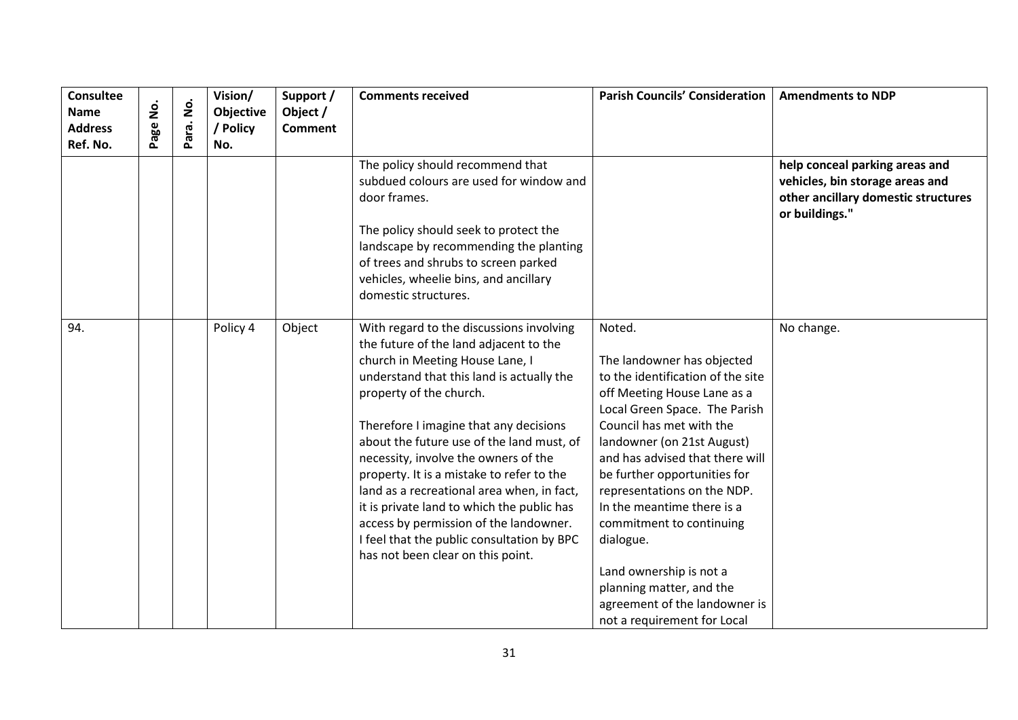| <b>Consultee</b><br><b>Name</b><br><b>Address</b><br>Ref. No. | <u>ş</u><br>age | $\dot{\mathsf{S}}$<br>ara.<br>Δ. | Vision/<br>Objective<br>/ Policy<br>No. | Support /<br>Object /<br><b>Comment</b> | <b>Comments received</b>                                                                                                                                                                                                                                                                                                                                                                                                                                                                                                                                                                           | <b>Parish Councils' Consideration</b>                                                                                                                                                                                                                                                                                                                                                                                                                                                               | <b>Amendments to NDP</b>                                                                                                   |
|---------------------------------------------------------------|-----------------|----------------------------------|-----------------------------------------|-----------------------------------------|----------------------------------------------------------------------------------------------------------------------------------------------------------------------------------------------------------------------------------------------------------------------------------------------------------------------------------------------------------------------------------------------------------------------------------------------------------------------------------------------------------------------------------------------------------------------------------------------------|-----------------------------------------------------------------------------------------------------------------------------------------------------------------------------------------------------------------------------------------------------------------------------------------------------------------------------------------------------------------------------------------------------------------------------------------------------------------------------------------------------|----------------------------------------------------------------------------------------------------------------------------|
|                                                               |                 |                                  |                                         |                                         | The policy should recommend that<br>subdued colours are used for window and<br>door frames.<br>The policy should seek to protect the<br>landscape by recommending the planting<br>of trees and shrubs to screen parked<br>vehicles, wheelie bins, and ancillary<br>domestic structures.                                                                                                                                                                                                                                                                                                            |                                                                                                                                                                                                                                                                                                                                                                                                                                                                                                     | help conceal parking areas and<br>vehicles, bin storage areas and<br>other ancillary domestic structures<br>or buildings." |
| 94.                                                           |                 |                                  | Policy 4                                | Object                                  | With regard to the discussions involving<br>the future of the land adjacent to the<br>church in Meeting House Lane, I<br>understand that this land is actually the<br>property of the church.<br>Therefore I imagine that any decisions<br>about the future use of the land must, of<br>necessity, involve the owners of the<br>property. It is a mistake to refer to the<br>land as a recreational area when, in fact,<br>it is private land to which the public has<br>access by permission of the landowner.<br>I feel that the public consultation by BPC<br>has not been clear on this point. | Noted.<br>The landowner has objected<br>to the identification of the site<br>off Meeting House Lane as a<br>Local Green Space. The Parish<br>Council has met with the<br>landowner (on 21st August)<br>and has advised that there will<br>be further opportunities for<br>representations on the NDP.<br>In the meantime there is a<br>commitment to continuing<br>dialogue.<br>Land ownership is not a<br>planning matter, and the<br>agreement of the landowner is<br>not a requirement for Local | No change.                                                                                                                 |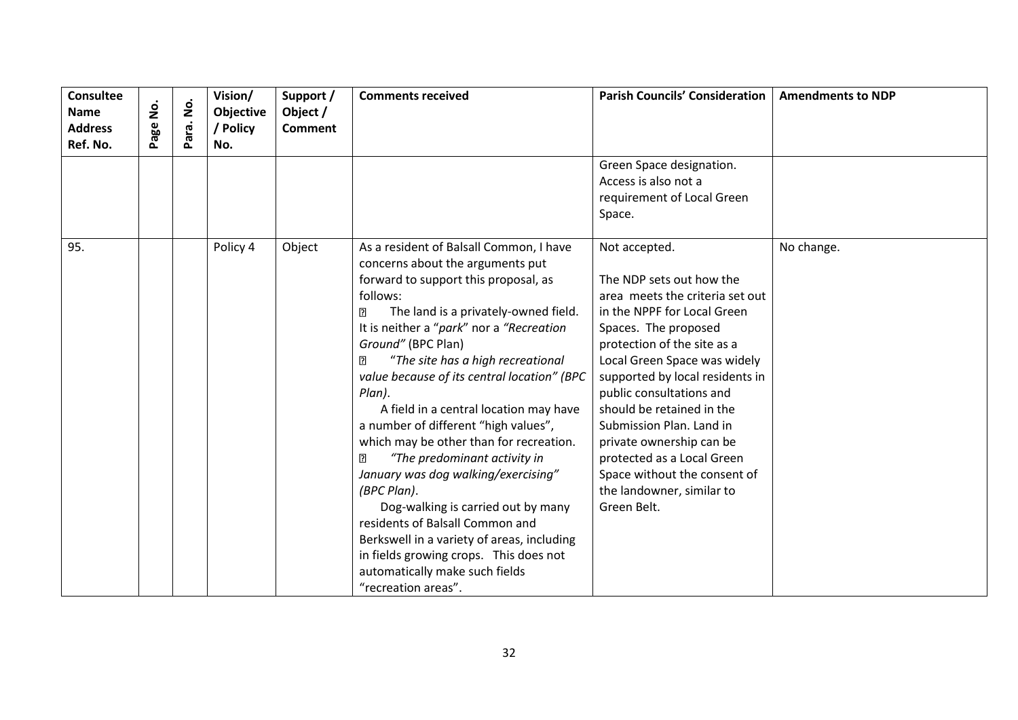| <b>Consultee</b><br><u>ş</u><br><b>Name</b><br>Page<br><b>Address</b><br>Ref. No. | $\dot{\mathsf{p}}$<br>Para. | Vision/<br>Objective<br>/ Policy<br>No. | Support /<br>Object /<br><b>Comment</b> | <b>Comments received</b>                                                                                                                                                                                                                                                                                                                                                                                                                                                                                                                                                                                                                                                                                                                                                                                           | <b>Parish Councils' Consideration</b>                                                                                                                                                                                                                                                                                                                                                                                                                            | <b>Amendments to NDP</b> |
|-----------------------------------------------------------------------------------|-----------------------------|-----------------------------------------|-----------------------------------------|--------------------------------------------------------------------------------------------------------------------------------------------------------------------------------------------------------------------------------------------------------------------------------------------------------------------------------------------------------------------------------------------------------------------------------------------------------------------------------------------------------------------------------------------------------------------------------------------------------------------------------------------------------------------------------------------------------------------------------------------------------------------------------------------------------------------|------------------------------------------------------------------------------------------------------------------------------------------------------------------------------------------------------------------------------------------------------------------------------------------------------------------------------------------------------------------------------------------------------------------------------------------------------------------|--------------------------|
|                                                                                   |                             |                                         |                                         |                                                                                                                                                                                                                                                                                                                                                                                                                                                                                                                                                                                                                                                                                                                                                                                                                    | Green Space designation.<br>Access is also not a<br>requirement of Local Green<br>Space.                                                                                                                                                                                                                                                                                                                                                                         |                          |
| 95.                                                                               |                             | Policy 4                                | Object                                  | As a resident of Balsall Common, I have<br>concerns about the arguments put<br>forward to support this proposal, as<br>follows:<br>The land is a privately-owned field.<br>2<br>It is neither a "park" nor a "Recreation<br>Ground" (BPC Plan)<br>"The site has a high recreational<br>[?]<br>value because of its central location" (BPC<br>Plan).<br>A field in a central location may have<br>a number of different "high values",<br>which may be other than for recreation.<br>$\overline{2}$<br>"The predominant activity in<br>January was dog walking/exercising"<br>(BPC Plan).<br>Dog-walking is carried out by many<br>residents of Balsall Common and<br>Berkswell in a variety of areas, including<br>in fields growing crops. This does not<br>automatically make such fields<br>"recreation areas". | Not accepted.<br>The NDP sets out how the<br>area meets the criteria set out<br>in the NPPF for Local Green<br>Spaces. The proposed<br>protection of the site as a<br>Local Green Space was widely<br>supported by local residents in<br>public consultations and<br>should be retained in the<br>Submission Plan. Land in<br>private ownership can be<br>protected as a Local Green<br>Space without the consent of<br>the landowner, similar to<br>Green Belt. | No change.               |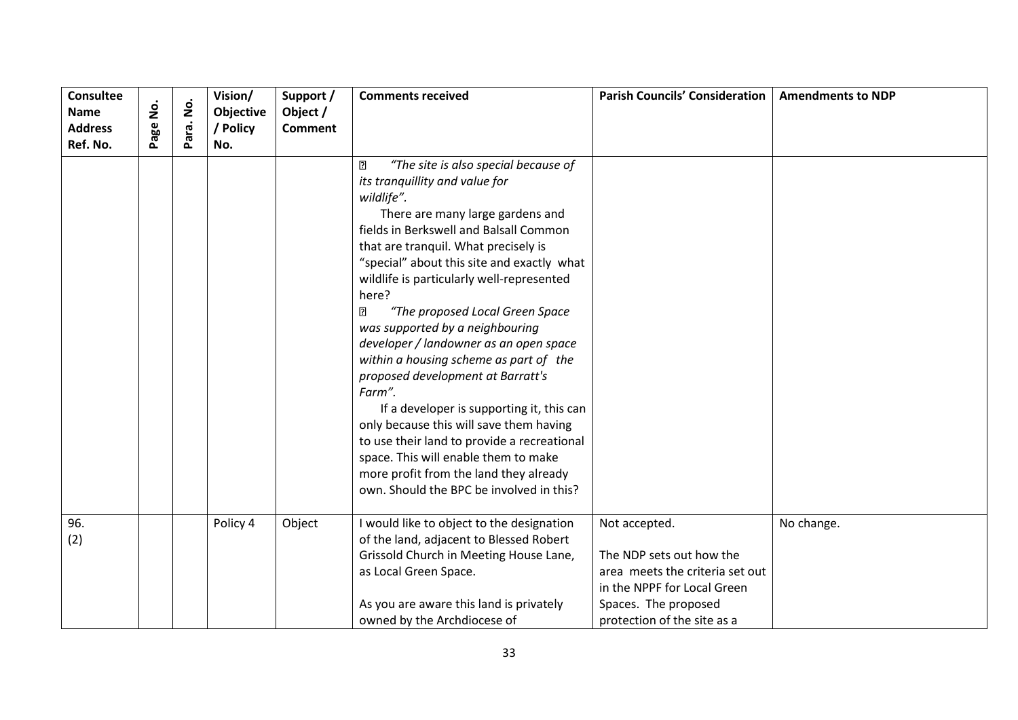| Consultee<br><b>Name</b><br><b>Address</b><br>Ref. No. | .<br>ع<br>age | $\dot{\mathsf{g}}$<br>ara.<br>௳ | Vision/<br>Objective<br>/ Policy<br>No. | Support /<br>Object /<br><b>Comment</b> | <b>Comments received</b>                                                                                                                                                                                                                                                                                                                                                                                                                                                                                                                                                                                                                                                                                                                                                                                            | <b>Parish Councils' Consideration</b>                                                                                                                              | <b>Amendments to NDP</b> |
|--------------------------------------------------------|---------------|---------------------------------|-----------------------------------------|-----------------------------------------|---------------------------------------------------------------------------------------------------------------------------------------------------------------------------------------------------------------------------------------------------------------------------------------------------------------------------------------------------------------------------------------------------------------------------------------------------------------------------------------------------------------------------------------------------------------------------------------------------------------------------------------------------------------------------------------------------------------------------------------------------------------------------------------------------------------------|--------------------------------------------------------------------------------------------------------------------------------------------------------------------|--------------------------|
|                                                        |               |                                 |                                         |                                         | $\overline{2}$<br>"The site is also special because of<br>its tranquillity and value for<br>wildlife".<br>There are many large gardens and<br>fields in Berkswell and Balsall Common<br>that are tranquil. What precisely is<br>"special" about this site and exactly what<br>wildlife is particularly well-represented<br>here?<br>"The proposed Local Green Space<br>2<br>was supported by a neighbouring<br>developer / landowner as an open space<br>within a housing scheme as part of the<br>proposed development at Barratt's<br>Farm".<br>If a developer is supporting it, this can<br>only because this will save them having<br>to use their land to provide a recreational<br>space. This will enable them to make<br>more profit from the land they already<br>own. Should the BPC be involved in this? |                                                                                                                                                                    |                          |
| 96.<br>(2)                                             |               |                                 | Policy 4                                | Object                                  | I would like to object to the designation<br>of the land, adjacent to Blessed Robert<br>Grissold Church in Meeting House Lane,<br>as Local Green Space.<br>As you are aware this land is privately<br>owned by the Archdiocese of                                                                                                                                                                                                                                                                                                                                                                                                                                                                                                                                                                                   | Not accepted.<br>The NDP sets out how the<br>area meets the criteria set out<br>in the NPPF for Local Green<br>Spaces. The proposed<br>protection of the site as a | No change.               |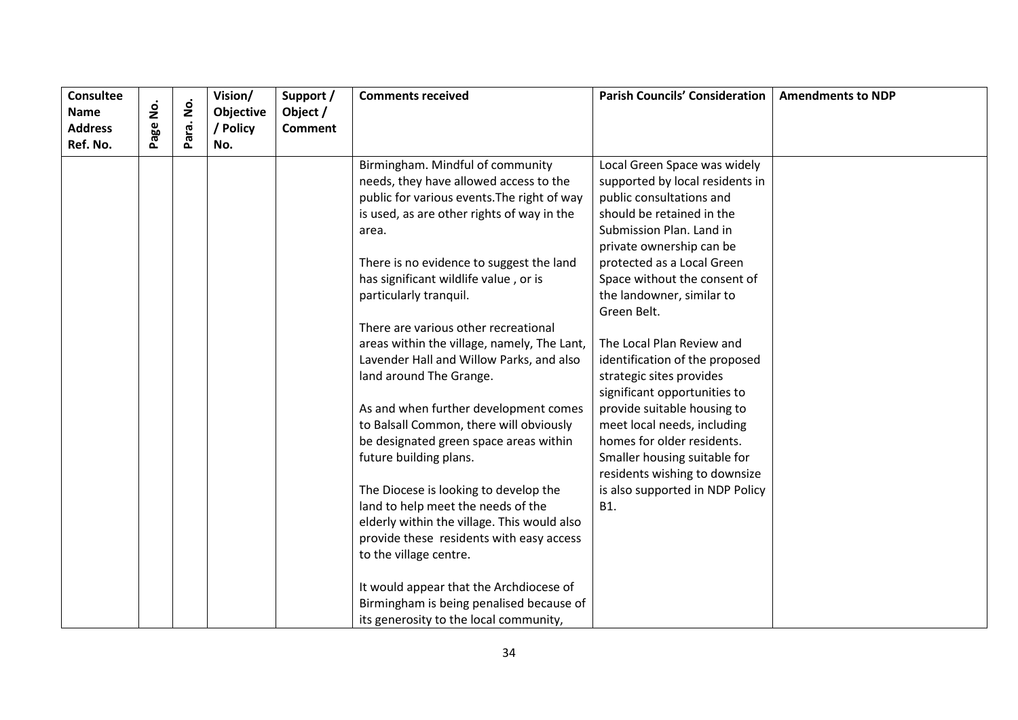| <b>Consultee</b> |          |                    | Vision/   | Support /      | <b>Comments received</b>                    | <b>Parish Councils' Consideration</b> | <b>Amendments to NDP</b> |
|------------------|----------|--------------------|-----------|----------------|---------------------------------------------|---------------------------------------|--------------------------|
| Name             | <u>ş</u> | $\dot{\mathsf{S}}$ | Objective | Object /       |                                             |                                       |                          |
| <b>Address</b>   | Page     | Para.              | / Policy  | <b>Comment</b> |                                             |                                       |                          |
| Ref. No.         |          |                    | No.       |                |                                             |                                       |                          |
|                  |          |                    |           |                | Birmingham. Mindful of community            | Local Green Space was widely          |                          |
|                  |          |                    |           |                | needs, they have allowed access to the      | supported by local residents in       |                          |
|                  |          |                    |           |                | public for various events. The right of way | public consultations and              |                          |
|                  |          |                    |           |                | is used, as are other rights of way in the  | should be retained in the             |                          |
|                  |          |                    |           |                | area.                                       | Submission Plan. Land in              |                          |
|                  |          |                    |           |                |                                             | private ownership can be              |                          |
|                  |          |                    |           |                | There is no evidence to suggest the land    | protected as a Local Green            |                          |
|                  |          |                    |           |                | has significant wildlife value, or is       | Space without the consent of          |                          |
|                  |          |                    |           |                | particularly tranquil.                      | the landowner, similar to             |                          |
|                  |          |                    |           |                |                                             | Green Belt.                           |                          |
|                  |          |                    |           |                | There are various other recreational        |                                       |                          |
|                  |          |                    |           |                | areas within the village, namely, The Lant, | The Local Plan Review and             |                          |
|                  |          |                    |           |                | Lavender Hall and Willow Parks, and also    | identification of the proposed        |                          |
|                  |          |                    |           |                | land around The Grange.                     | strategic sites provides              |                          |
|                  |          |                    |           |                |                                             | significant opportunities to          |                          |
|                  |          |                    |           |                | As and when further development comes       | provide suitable housing to           |                          |
|                  |          |                    |           |                | to Balsall Common, there will obviously     | meet local needs, including           |                          |
|                  |          |                    |           |                | be designated green space areas within      | homes for older residents.            |                          |
|                  |          |                    |           |                | future building plans.                      | Smaller housing suitable for          |                          |
|                  |          |                    |           |                |                                             | residents wishing to downsize         |                          |
|                  |          |                    |           |                | The Diocese is looking to develop the       | is also supported in NDP Policy       |                          |
|                  |          |                    |           |                | land to help meet the needs of the          | B1.                                   |                          |
|                  |          |                    |           |                | elderly within the village. This would also |                                       |                          |
|                  |          |                    |           |                | provide these residents with easy access    |                                       |                          |
|                  |          |                    |           |                | to the village centre.                      |                                       |                          |
|                  |          |                    |           |                | It would appear that the Archdiocese of     |                                       |                          |
|                  |          |                    |           |                | Birmingham is being penalised because of    |                                       |                          |
|                  |          |                    |           |                | its generosity to the local community,      |                                       |                          |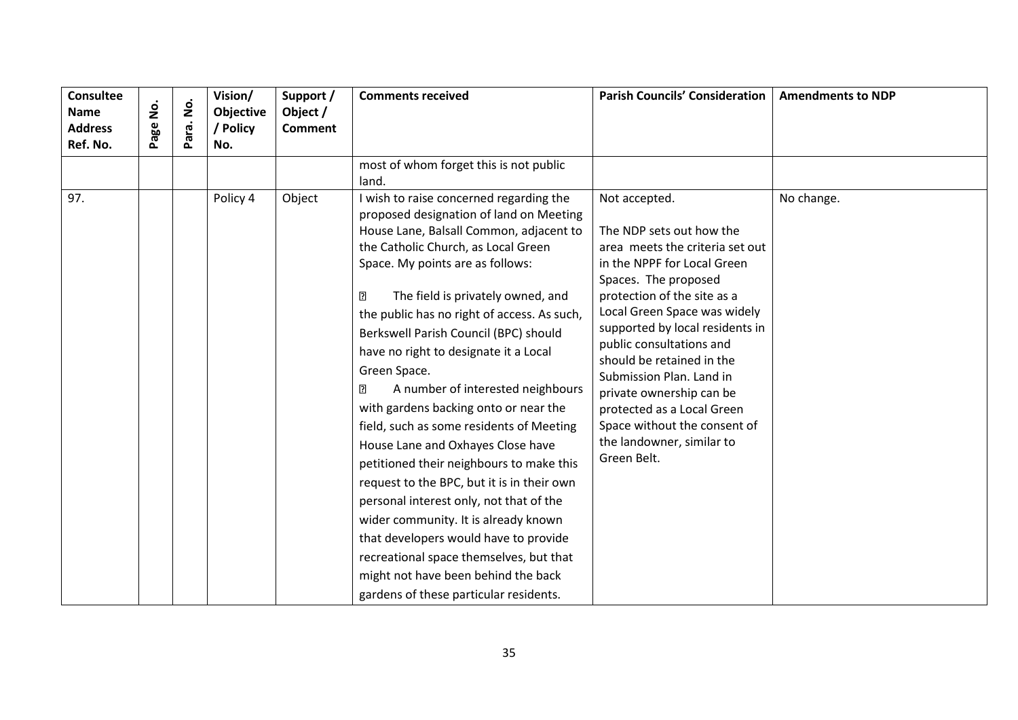| <b>Consultee</b><br><b>Name</b><br><b>Address</b><br>Ref. No. | š<br>Page | $\dot{\mathsf{S}}$<br>Para. | Vision/<br>Objective<br>' Policy<br>No. | Support /<br>Object /<br><b>Comment</b> | <b>Comments received</b>                                                                                                                                                                                                                                                                                                                                                                                                                                                                                                                                                                                                                                                                                                                                                                                                                                                                                                     | <b>Parish Councils' Consideration</b>                                                                                                                                                                                                                                                                                                                                                                                                                            | <b>Amendments to NDP</b> |
|---------------------------------------------------------------|-----------|-----------------------------|-----------------------------------------|-----------------------------------------|------------------------------------------------------------------------------------------------------------------------------------------------------------------------------------------------------------------------------------------------------------------------------------------------------------------------------------------------------------------------------------------------------------------------------------------------------------------------------------------------------------------------------------------------------------------------------------------------------------------------------------------------------------------------------------------------------------------------------------------------------------------------------------------------------------------------------------------------------------------------------------------------------------------------------|------------------------------------------------------------------------------------------------------------------------------------------------------------------------------------------------------------------------------------------------------------------------------------------------------------------------------------------------------------------------------------------------------------------------------------------------------------------|--------------------------|
|                                                               |           |                             |                                         |                                         | most of whom forget this is not public<br>land.                                                                                                                                                                                                                                                                                                                                                                                                                                                                                                                                                                                                                                                                                                                                                                                                                                                                              |                                                                                                                                                                                                                                                                                                                                                                                                                                                                  |                          |
| 97.                                                           |           |                             | Policy 4                                | Object                                  | I wish to raise concerned regarding the<br>proposed designation of land on Meeting<br>House Lane, Balsall Common, adjacent to<br>the Catholic Church, as Local Green<br>Space. My points are as follows:<br>?<br>The field is privately owned, and<br>the public has no right of access. As such,<br>Berkswell Parish Council (BPC) should<br>have no right to designate it a Local<br>Green Space.<br>A number of interested neighbours<br>ิืืื<br>with gardens backing onto or near the<br>field, such as some residents of Meeting<br>House Lane and Oxhayes Close have<br>petitioned their neighbours to make this<br>request to the BPC, but it is in their own<br>personal interest only, not that of the<br>wider community. It is already known<br>that developers would have to provide<br>recreational space themselves, but that<br>might not have been behind the back<br>gardens of these particular residents. | Not accepted.<br>The NDP sets out how the<br>area meets the criteria set out<br>in the NPPF for Local Green<br>Spaces. The proposed<br>protection of the site as a<br>Local Green Space was widely<br>supported by local residents in<br>public consultations and<br>should be retained in the<br>Submission Plan. Land in<br>private ownership can be<br>protected as a Local Green<br>Space without the consent of<br>the landowner, similar to<br>Green Belt. | No change.               |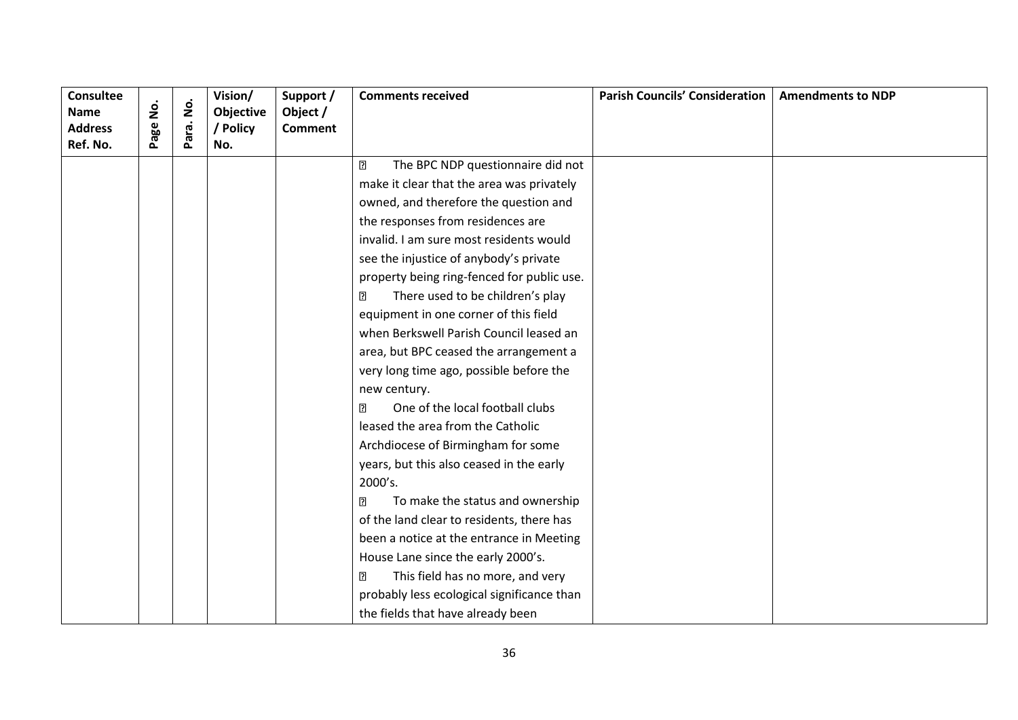| <b>Consultee</b>              | .<br>2 | $\dot{\mathsf{S}}$ | Vision/               | Support /                  | <b>Comments received</b>                            | <b>Parish Councils' Consideration</b> | <b>Amendments to NDP</b> |
|-------------------------------|--------|--------------------|-----------------------|----------------------------|-----------------------------------------------------|---------------------------------------|--------------------------|
| <b>Name</b><br><b>Address</b> | age    | ara.               | Objective<br>/ Policy | Object /<br><b>Comment</b> |                                                     |                                       |                          |
| Ref. No.                      |        | ௳                  | No.                   |                            |                                                     |                                       |                          |
|                               |        |                    |                       |                            | $\overline{2}$<br>The BPC NDP questionnaire did not |                                       |                          |
|                               |        |                    |                       |                            | make it clear that the area was privately           |                                       |                          |
|                               |        |                    |                       |                            | owned, and therefore the question and               |                                       |                          |
|                               |        |                    |                       |                            | the responses from residences are                   |                                       |                          |
|                               |        |                    |                       |                            | invalid. I am sure most residents would             |                                       |                          |
|                               |        |                    |                       |                            | see the injustice of anybody's private              |                                       |                          |
|                               |        |                    |                       |                            | property being ring-fenced for public use.          |                                       |                          |
|                               |        |                    |                       |                            | There used to be children's play<br>$\overline{2}$  |                                       |                          |
|                               |        |                    |                       |                            | equipment in one corner of this field               |                                       |                          |
|                               |        |                    |                       |                            | when Berkswell Parish Council leased an             |                                       |                          |
|                               |        |                    |                       |                            | area, but BPC ceased the arrangement a              |                                       |                          |
|                               |        |                    |                       |                            | very long time ago, possible before the             |                                       |                          |
|                               |        |                    |                       |                            | new century.                                        |                                       |                          |
|                               |        |                    |                       |                            | One of the local football clubs<br>$\overline{2}$   |                                       |                          |
|                               |        |                    |                       |                            | leased the area from the Catholic                   |                                       |                          |
|                               |        |                    |                       |                            | Archdiocese of Birmingham for some                  |                                       |                          |
|                               |        |                    |                       |                            | years, but this also ceased in the early            |                                       |                          |
|                               |        |                    |                       |                            | 2000's.                                             |                                       |                          |
|                               |        |                    |                       |                            | To make the status and ownership<br>?               |                                       |                          |
|                               |        |                    |                       |                            | of the land clear to residents, there has           |                                       |                          |
|                               |        |                    |                       |                            | been a notice at the entrance in Meeting            |                                       |                          |
|                               |        |                    |                       |                            | House Lane since the early 2000's.                  |                                       |                          |
|                               |        |                    |                       |                            | This field has no more, and very<br>$\overline{2}$  |                                       |                          |
|                               |        |                    |                       |                            | probably less ecological significance than          |                                       |                          |
|                               |        |                    |                       |                            | the fields that have already been                   |                                       |                          |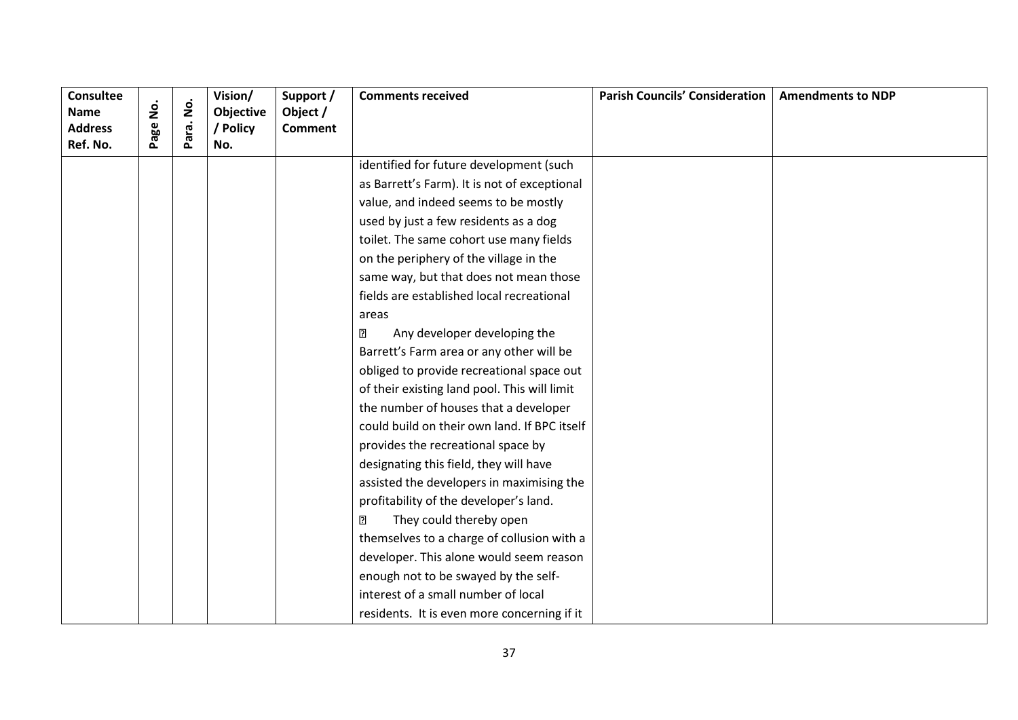| Consultee<br><b>Name</b>   | .<br>2 | $\dot{\mathsf{p}}$ | Vision/<br>Objective | Support /<br>Object / | <b>Comments received</b>                     | <b>Parish Councils' Consideration</b> | <b>Amendments to NDP</b> |
|----------------------------|--------|--------------------|----------------------|-----------------------|----------------------------------------------|---------------------------------------|--------------------------|
| <b>Address</b><br>Ref. No. | age    | ara.<br>Ä.         | / Policy<br>No.      | <b>Comment</b>        |                                              |                                       |                          |
|                            |        |                    |                      |                       | identified for future development (such      |                                       |                          |
|                            |        |                    |                      |                       | as Barrett's Farm). It is not of exceptional |                                       |                          |
|                            |        |                    |                      |                       | value, and indeed seems to be mostly         |                                       |                          |
|                            |        |                    |                      |                       | used by just a few residents as a dog        |                                       |                          |
|                            |        |                    |                      |                       | toilet. The same cohort use many fields      |                                       |                          |
|                            |        |                    |                      |                       | on the periphery of the village in the       |                                       |                          |
|                            |        |                    |                      |                       | same way, but that does not mean those       |                                       |                          |
|                            |        |                    |                      |                       | fields are established local recreational    |                                       |                          |
|                            |        |                    |                      |                       | areas                                        |                                       |                          |
|                            |        |                    |                      |                       | Any developer developing the<br>?            |                                       |                          |
|                            |        |                    |                      |                       | Barrett's Farm area or any other will be     |                                       |                          |
|                            |        |                    |                      |                       | obliged to provide recreational space out    |                                       |                          |
|                            |        |                    |                      |                       | of their existing land pool. This will limit |                                       |                          |
|                            |        |                    |                      |                       | the number of houses that a developer        |                                       |                          |
|                            |        |                    |                      |                       | could build on their own land. If BPC itself |                                       |                          |
|                            |        |                    |                      |                       | provides the recreational space by           |                                       |                          |
|                            |        |                    |                      |                       | designating this field, they will have       |                                       |                          |
|                            |        |                    |                      |                       | assisted the developers in maximising the    |                                       |                          |
|                            |        |                    |                      |                       | profitability of the developer's land.       |                                       |                          |
|                            |        |                    |                      |                       | 2<br>They could thereby open                 |                                       |                          |
|                            |        |                    |                      |                       | themselves to a charge of collusion with a   |                                       |                          |
|                            |        |                    |                      |                       | developer. This alone would seem reason      |                                       |                          |
|                            |        |                    |                      |                       | enough not to be swayed by the self-         |                                       |                          |
|                            |        |                    |                      |                       | interest of a small number of local          |                                       |                          |
|                            |        |                    |                      |                       | residents. It is even more concerning if it  |                                       |                          |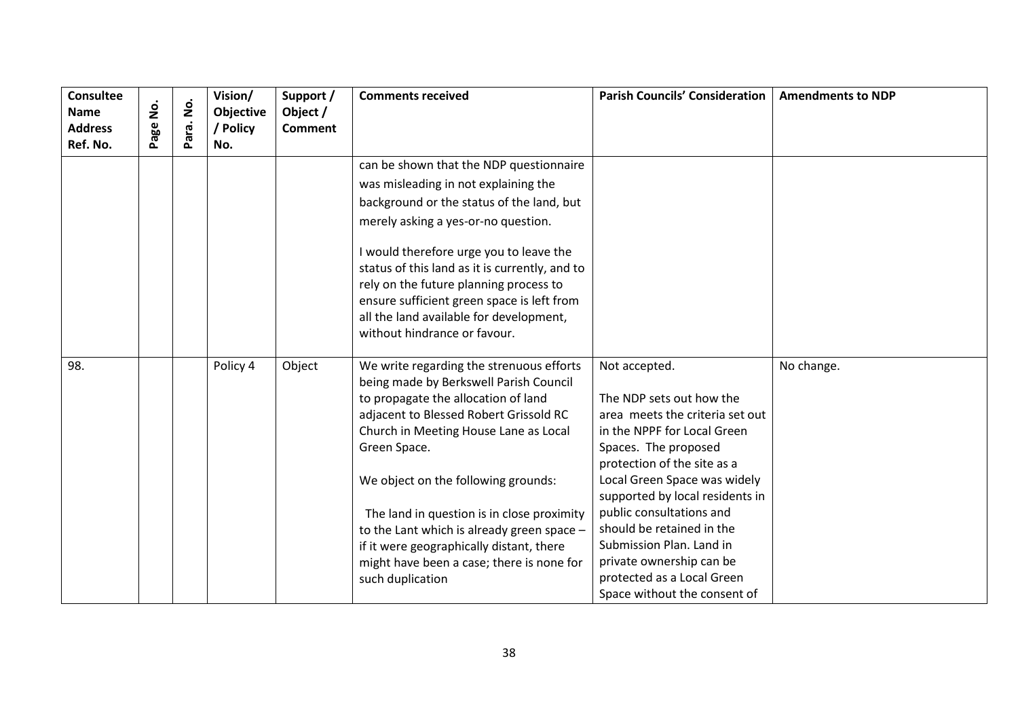| <b>Consultee</b><br><b>Name</b><br><b>Address</b><br>Ref. No. | <u>o</u><br>2<br>Page | $\dot{\mathsf{p}}$<br>Para. | Vision/<br>Objective<br>/ Policy<br>No. | Support /<br>Object /<br><b>Comment</b> | <b>Comments received</b>                                                                                                                                                                                                                                                                                                                                                                                                                                                     | <b>Parish Councils' Consideration</b>                                                                                                                                                                                                                                                                                                                                                                                | <b>Amendments to NDP</b> |
|---------------------------------------------------------------|-----------------------|-----------------------------|-----------------------------------------|-----------------------------------------|------------------------------------------------------------------------------------------------------------------------------------------------------------------------------------------------------------------------------------------------------------------------------------------------------------------------------------------------------------------------------------------------------------------------------------------------------------------------------|----------------------------------------------------------------------------------------------------------------------------------------------------------------------------------------------------------------------------------------------------------------------------------------------------------------------------------------------------------------------------------------------------------------------|--------------------------|
|                                                               |                       |                             |                                         |                                         | can be shown that the NDP questionnaire<br>was misleading in not explaining the<br>background or the status of the land, but<br>merely asking a yes-or-no question.<br>I would therefore urge you to leave the<br>status of this land as it is currently, and to<br>rely on the future planning process to<br>ensure sufficient green space is left from<br>all the land available for development,<br>without hindrance or favour.                                          |                                                                                                                                                                                                                                                                                                                                                                                                                      |                          |
| 98.                                                           |                       |                             | Policy 4                                | Object                                  | We write regarding the strenuous efforts<br>being made by Berkswell Parish Council<br>to propagate the allocation of land<br>adjacent to Blessed Robert Grissold RC<br>Church in Meeting House Lane as Local<br>Green Space.<br>We object on the following grounds:<br>The land in question is in close proximity<br>to the Lant which is already green space -<br>if it were geographically distant, there<br>might have been a case; there is none for<br>such duplication | Not accepted.<br>The NDP sets out how the<br>area meets the criteria set out<br>in the NPPF for Local Green<br>Spaces. The proposed<br>protection of the site as a<br>Local Green Space was widely<br>supported by local residents in<br>public consultations and<br>should be retained in the<br>Submission Plan. Land in<br>private ownership can be<br>protected as a Local Green<br>Space without the consent of | No change.               |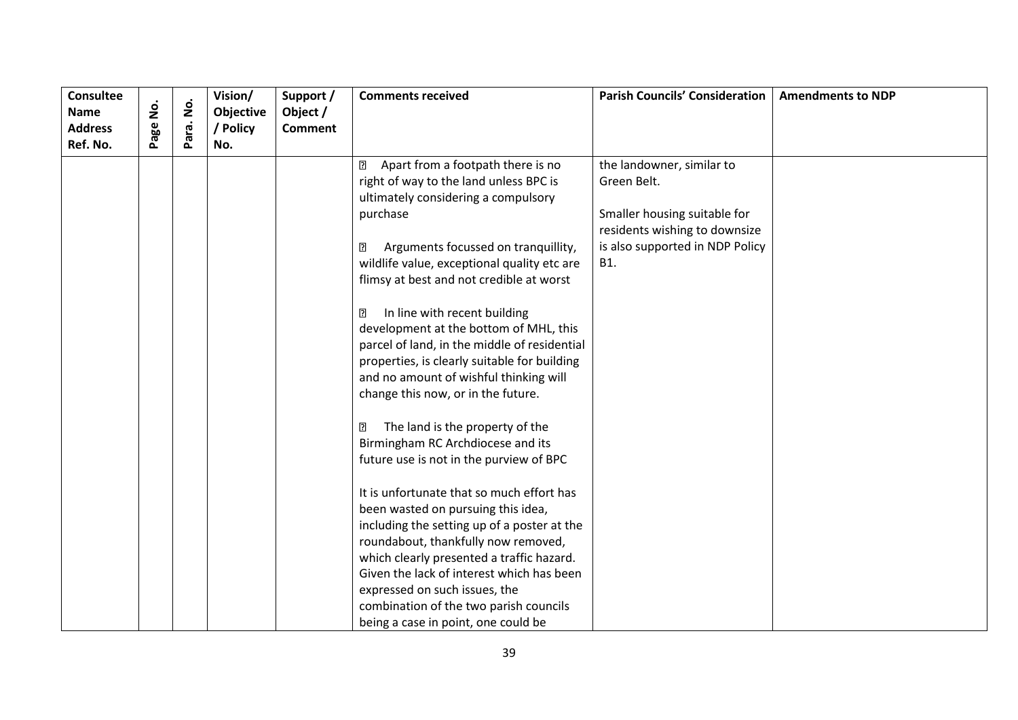| <b>Consultee</b>           |      | $\dot{\mathsf{g}}$ | Vision/   | Support /      | <b>Comments received</b>                            | <b>Parish Councils' Consideration</b> | <b>Amendments to NDP</b> |
|----------------------------|------|--------------------|-----------|----------------|-----------------------------------------------------|---------------------------------------|--------------------------|
| <b>Name</b>                | ġ    |                    | Objective | Object /       |                                                     |                                       |                          |
| <b>Address</b><br>Ref. No. | Page | Para.              | / Policy  | <b>Comment</b> |                                                     |                                       |                          |
|                            |      |                    | No.       |                |                                                     |                                       |                          |
|                            |      |                    |           |                | Apart from a footpath there is no<br>$\overline{2}$ | the landowner, similar to             |                          |
|                            |      |                    |           |                | right of way to the land unless BPC is              | Green Belt.                           |                          |
|                            |      |                    |           |                | ultimately considering a compulsory                 |                                       |                          |
|                            |      |                    |           |                | purchase                                            | Smaller housing suitable for          |                          |
|                            |      |                    |           |                |                                                     | residents wishing to downsize         |                          |
|                            |      |                    |           |                | Arguments focussed on tranquillity,<br>₽            | is also supported in NDP Policy       |                          |
|                            |      |                    |           |                | wildlife value, exceptional quality etc are         | <b>B1.</b>                            |                          |
|                            |      |                    |           |                | flimsy at best and not credible at worst            |                                       |                          |
|                            |      |                    |           |                | In line with recent building<br>$\overline{2}$      |                                       |                          |
|                            |      |                    |           |                | development at the bottom of MHL, this              |                                       |                          |
|                            |      |                    |           |                | parcel of land, in the middle of residential        |                                       |                          |
|                            |      |                    |           |                | properties, is clearly suitable for building        |                                       |                          |
|                            |      |                    |           |                | and no amount of wishful thinking will              |                                       |                          |
|                            |      |                    |           |                | change this now, or in the future.                  |                                       |                          |
|                            |      |                    |           |                | The land is the property of the<br>⊡                |                                       |                          |
|                            |      |                    |           |                | Birmingham RC Archdiocese and its                   |                                       |                          |
|                            |      |                    |           |                | future use is not in the purview of BPC             |                                       |                          |
|                            |      |                    |           |                |                                                     |                                       |                          |
|                            |      |                    |           |                | It is unfortunate that so much effort has           |                                       |                          |
|                            |      |                    |           |                | been wasted on pursuing this idea,                  |                                       |                          |
|                            |      |                    |           |                | including the setting up of a poster at the         |                                       |                          |
|                            |      |                    |           |                | roundabout, thankfully now removed,                 |                                       |                          |
|                            |      |                    |           |                | which clearly presented a traffic hazard.           |                                       |                          |
|                            |      |                    |           |                | Given the lack of interest which has been           |                                       |                          |
|                            |      |                    |           |                | expressed on such issues, the                       |                                       |                          |
|                            |      |                    |           |                | combination of the two parish councils              |                                       |                          |
|                            |      |                    |           |                | being a case in point, one could be                 |                                       |                          |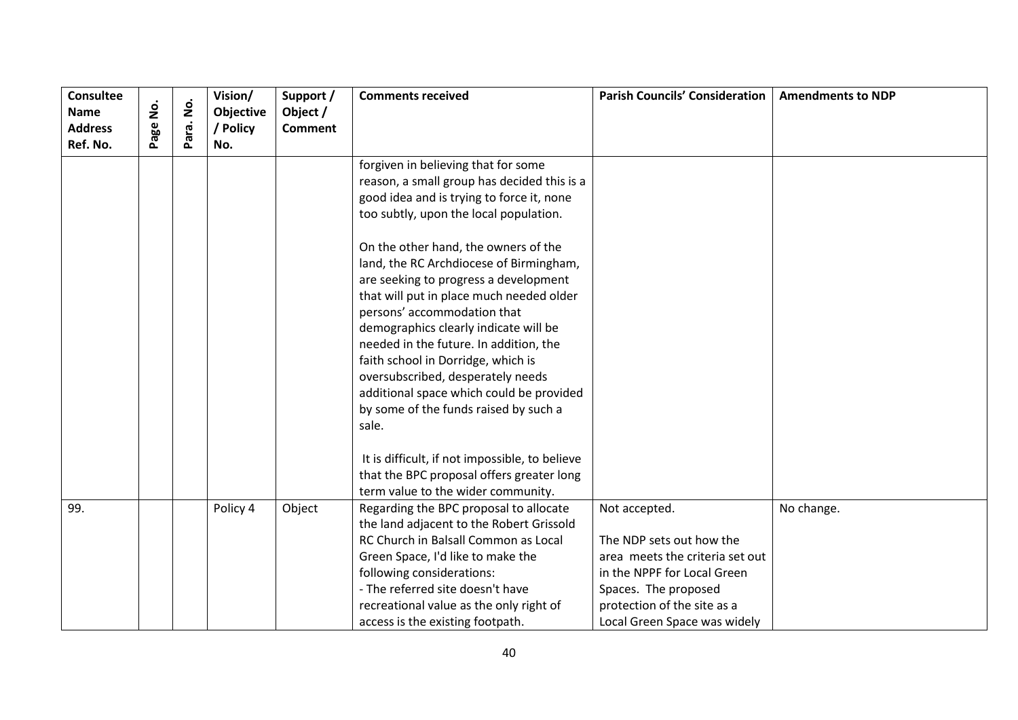| <b>Consultee</b><br><b>Name</b><br><b>Address</b><br>Ref. No. | <u>ş</u><br>age | $\dot{\mathsf{S}}$<br>Para. | Vision/<br>Objective<br>/ Policy<br>No. | Support /<br>Object /<br><b>Comment</b> | <b>Comments received</b>                                                                                                                                                                                                                                                                                                                                                                                                                                                  | <b>Parish Councils' Consideration</b>                                                                                                                                                              | <b>Amendments to NDP</b> |
|---------------------------------------------------------------|-----------------|-----------------------------|-----------------------------------------|-----------------------------------------|---------------------------------------------------------------------------------------------------------------------------------------------------------------------------------------------------------------------------------------------------------------------------------------------------------------------------------------------------------------------------------------------------------------------------------------------------------------------------|----------------------------------------------------------------------------------------------------------------------------------------------------------------------------------------------------|--------------------------|
|                                                               |                 |                             |                                         |                                         | forgiven in believing that for some<br>reason, a small group has decided this is a<br>good idea and is trying to force it, none<br>too subtly, upon the local population.<br>On the other hand, the owners of the                                                                                                                                                                                                                                                         |                                                                                                                                                                                                    |                          |
|                                                               |                 |                             |                                         |                                         | land, the RC Archdiocese of Birmingham,<br>are seeking to progress a development<br>that will put in place much needed older<br>persons' accommodation that<br>demographics clearly indicate will be<br>needed in the future. In addition, the<br>faith school in Dorridge, which is<br>oversubscribed, desperately needs<br>additional space which could be provided<br>by some of the funds raised by such a<br>sale.<br>It is difficult, if not impossible, to believe |                                                                                                                                                                                                    |                          |
|                                                               |                 |                             |                                         |                                         | that the BPC proposal offers greater long<br>term value to the wider community.                                                                                                                                                                                                                                                                                                                                                                                           |                                                                                                                                                                                                    |                          |
| 99.                                                           |                 |                             | Policy 4                                | Object                                  | Regarding the BPC proposal to allocate<br>the land adjacent to the Robert Grissold<br>RC Church in Balsall Common as Local<br>Green Space, I'd like to make the<br>following considerations:<br>- The referred site doesn't have<br>recreational value as the only right of<br>access is the existing footpath.                                                                                                                                                           | Not accepted.<br>The NDP sets out how the<br>area meets the criteria set out<br>in the NPPF for Local Green<br>Spaces. The proposed<br>protection of the site as a<br>Local Green Space was widely | No change.               |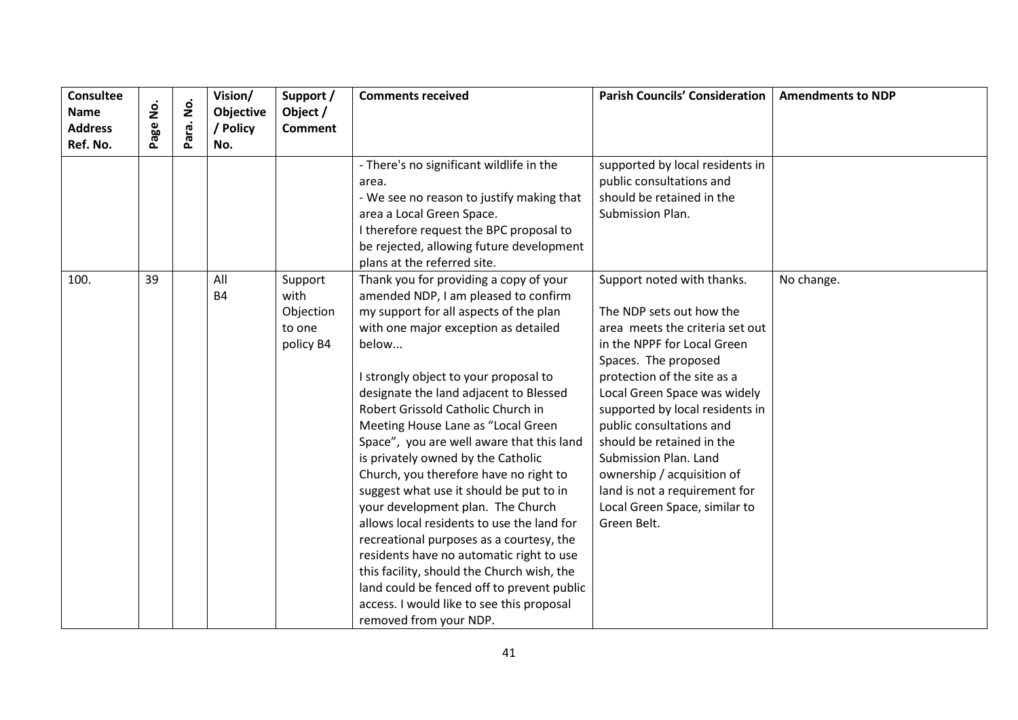| <b>Consultee</b><br><b>Name</b><br><b>Address</b><br>Ref. No. | <u>o</u><br>Z<br>age | $\dot{\mathsf{p}}$<br>Para. | Vision/<br>Objective<br>/ Policy<br>No. | Support /<br>Object /<br><b>Comment</b>             | <b>Comments received</b>                                                                                                                                                                                                                                                                                                                                                                                                                                                                                                                                                                                                                                                                                                                                                                                                                                       | <b>Parish Councils' Consideration</b>                                                                                                                                                                                                                                                                                                                                                                                                               | <b>Amendments to NDP</b> |
|---------------------------------------------------------------|----------------------|-----------------------------|-----------------------------------------|-----------------------------------------------------|----------------------------------------------------------------------------------------------------------------------------------------------------------------------------------------------------------------------------------------------------------------------------------------------------------------------------------------------------------------------------------------------------------------------------------------------------------------------------------------------------------------------------------------------------------------------------------------------------------------------------------------------------------------------------------------------------------------------------------------------------------------------------------------------------------------------------------------------------------------|-----------------------------------------------------------------------------------------------------------------------------------------------------------------------------------------------------------------------------------------------------------------------------------------------------------------------------------------------------------------------------------------------------------------------------------------------------|--------------------------|
|                                                               |                      |                             |                                         |                                                     | - There's no significant wildlife in the<br>area.<br>- We see no reason to justify making that<br>area a Local Green Space.<br>I therefore request the BPC proposal to<br>be rejected, allowing future development<br>plans at the referred site.                                                                                                                                                                                                                                                                                                                                                                                                                                                                                                                                                                                                              | supported by local residents in<br>public consultations and<br>should be retained in the<br>Submission Plan.                                                                                                                                                                                                                                                                                                                                        |                          |
| 100.                                                          | 39                   |                             | All<br><b>B4</b>                        | Support<br>with<br>Objection<br>to one<br>policy B4 | Thank you for providing a copy of your<br>amended NDP, I am pleased to confirm<br>my support for all aspects of the plan<br>with one major exception as detailed<br>below<br>I strongly object to your proposal to<br>designate the land adjacent to Blessed<br>Robert Grissold Catholic Church in<br>Meeting House Lane as "Local Green<br>Space", you are well aware that this land<br>is privately owned by the Catholic<br>Church, you therefore have no right to<br>suggest what use it should be put to in<br>your development plan. The Church<br>allows local residents to use the land for<br>recreational purposes as a courtesy, the<br>residents have no automatic right to use<br>this facility, should the Church wish, the<br>land could be fenced off to prevent public<br>access. I would like to see this proposal<br>removed from your NDP. | Support noted with thanks.<br>The NDP sets out how the<br>area meets the criteria set out<br>in the NPPF for Local Green<br>Spaces. The proposed<br>protection of the site as a<br>Local Green Space was widely<br>supported by local residents in<br>public consultations and<br>should be retained in the<br>Submission Plan. Land<br>ownership / acquisition of<br>land is not a requirement for<br>Local Green Space, similar to<br>Green Belt. | No change.               |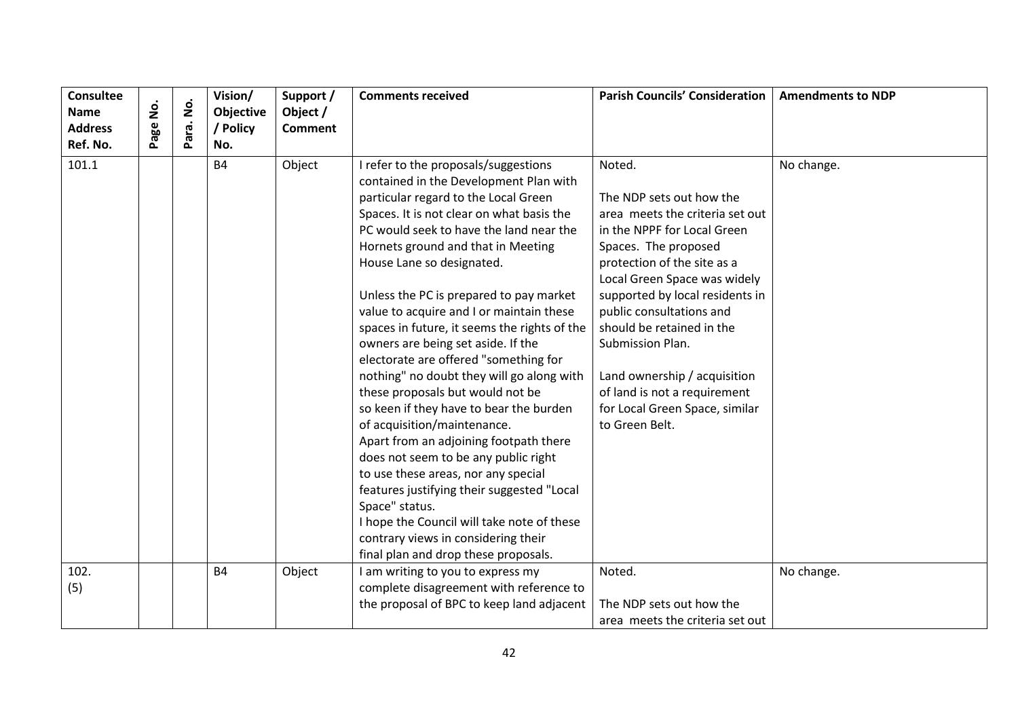| <b>Consultee</b><br><b>Name</b> | $\dot{\mathsf{S}}$ | $\dot{\mathbf{g}}$ | Vision/<br>Objective | Support /<br>Object / | <b>Comments received</b>                                     | <b>Parish Councils' Consideration</b> | <b>Amendments to NDP</b> |
|---------------------------------|--------------------|--------------------|----------------------|-----------------------|--------------------------------------------------------------|---------------------------------------|--------------------------|
| <b>Address</b>                  | Page               | Para.              | / Policy             | <b>Comment</b>        |                                                              |                                       |                          |
| Ref. No.                        |                    |                    | No.                  |                       |                                                              |                                       |                          |
| 101.1                           |                    |                    | <b>B4</b>            | Object                | I refer to the proposals/suggestions                         | Noted.                                | No change.               |
|                                 |                    |                    |                      |                       | contained in the Development Plan with                       |                                       |                          |
|                                 |                    |                    |                      |                       | particular regard to the Local Green                         | The NDP sets out how the              |                          |
|                                 |                    |                    |                      |                       | Spaces. It is not clear on what basis the                    | area meets the criteria set out       |                          |
|                                 |                    |                    |                      |                       | PC would seek to have the land near the                      | in the NPPF for Local Green           |                          |
|                                 |                    |                    |                      |                       | Hornets ground and that in Meeting                           | Spaces. The proposed                  |                          |
|                                 |                    |                    |                      |                       | House Lane so designated.                                    | protection of the site as a           |                          |
|                                 |                    |                    |                      |                       |                                                              | Local Green Space was widely          |                          |
|                                 |                    |                    |                      |                       | Unless the PC is prepared to pay market                      | supported by local residents in       |                          |
|                                 |                    |                    |                      |                       | value to acquire and I or maintain these                     | public consultations and              |                          |
|                                 |                    |                    |                      |                       | spaces in future, it seems the rights of the                 | should be retained in the             |                          |
|                                 |                    |                    |                      |                       | owners are being set aside. If the                           | Submission Plan.                      |                          |
|                                 |                    |                    |                      |                       | electorate are offered "something for                        |                                       |                          |
|                                 |                    |                    |                      |                       | nothing" no doubt they will go along with                    | Land ownership / acquisition          |                          |
|                                 |                    |                    |                      |                       | these proposals but would not be                             | of land is not a requirement          |                          |
|                                 |                    |                    |                      |                       | so keen if they have to bear the burden                      | for Local Green Space, similar        |                          |
|                                 |                    |                    |                      |                       | of acquisition/maintenance.                                  | to Green Belt.                        |                          |
|                                 |                    |                    |                      |                       | Apart from an adjoining footpath there                       |                                       |                          |
|                                 |                    |                    |                      |                       | does not seem to be any public right                         |                                       |                          |
|                                 |                    |                    |                      |                       | to use these areas, nor any special                          |                                       |                          |
|                                 |                    |                    |                      |                       | features justifying their suggested "Local<br>Space" status. |                                       |                          |
|                                 |                    |                    |                      |                       | I hope the Council will take note of these                   |                                       |                          |
|                                 |                    |                    |                      |                       | contrary views in considering their                          |                                       |                          |
|                                 |                    |                    |                      |                       | final plan and drop these proposals.                         |                                       |                          |
| 102.                            |                    |                    | <b>B4</b>            | Object                | I am writing to you to express my                            | Noted.                                | No change.               |
| (5)                             |                    |                    |                      |                       | complete disagreement with reference to                      |                                       |                          |
|                                 |                    |                    |                      |                       | the proposal of BPC to keep land adjacent                    | The NDP sets out how the              |                          |
|                                 |                    |                    |                      |                       |                                                              | area meets the criteria set out       |                          |
|                                 |                    |                    |                      |                       |                                                              |                                       |                          |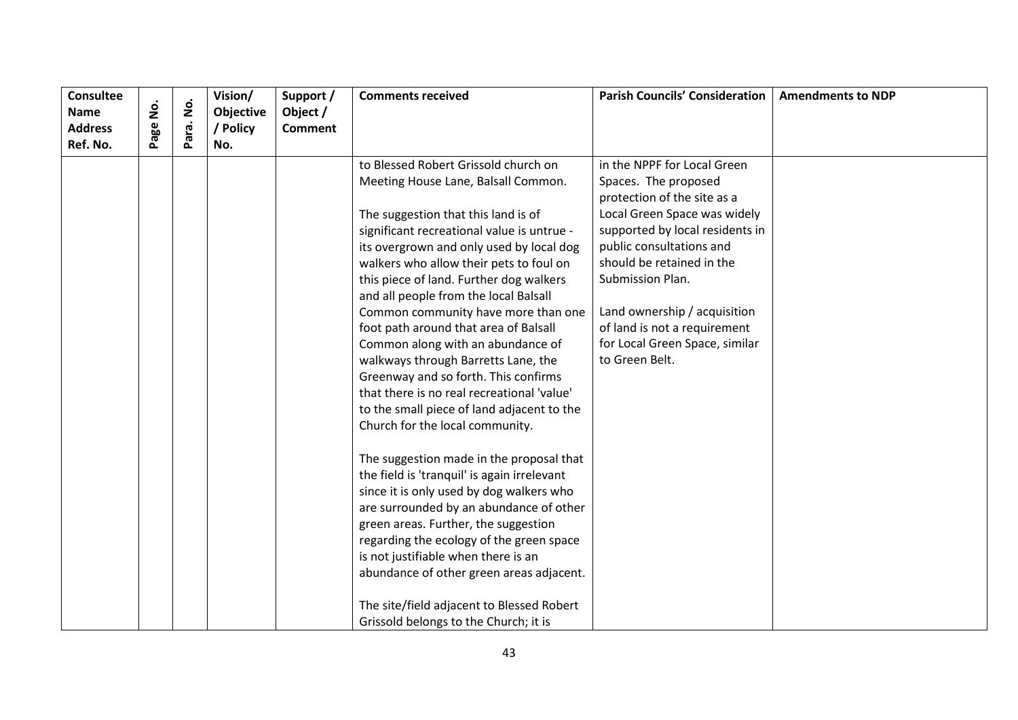| <b>Consultee</b><br><b>Name</b> |          |           | Vision/<br>Objective | Support /<br>Object / | <b>Comments received</b>                                                                                                                                                                                                                                                                                                                                                                                                                                                                                                                                                                                                                                                                                                                                                                                                                                                                                                                                                                                                                | <b>Parish Councils' Consideration</b>                                                                                                                                                                                                                                                                                                                  | <b>Amendments to NDP</b> |
|---------------------------------|----------|-----------|----------------------|-----------------------|-----------------------------------------------------------------------------------------------------------------------------------------------------------------------------------------------------------------------------------------------------------------------------------------------------------------------------------------------------------------------------------------------------------------------------------------------------------------------------------------------------------------------------------------------------------------------------------------------------------------------------------------------------------------------------------------------------------------------------------------------------------------------------------------------------------------------------------------------------------------------------------------------------------------------------------------------------------------------------------------------------------------------------------------|--------------------------------------------------------------------------------------------------------------------------------------------------------------------------------------------------------------------------------------------------------------------------------------------------------------------------------------------------------|--------------------------|
| <b>Address</b><br>Ref. No.      | Page No. | Para. No. | / Policy<br>No.      | <b>Comment</b>        |                                                                                                                                                                                                                                                                                                                                                                                                                                                                                                                                                                                                                                                                                                                                                                                                                                                                                                                                                                                                                                         |                                                                                                                                                                                                                                                                                                                                                        |                          |
|                                 |          |           |                      |                       | to Blessed Robert Grissold church on<br>Meeting House Lane, Balsall Common.<br>The suggestion that this land is of<br>significant recreational value is untrue -<br>its overgrown and only used by local dog<br>walkers who allow their pets to foul on<br>this piece of land. Further dog walkers<br>and all people from the local Balsall<br>Common community have more than one<br>foot path around that area of Balsall<br>Common along with an abundance of<br>walkways through Barretts Lane, the<br>Greenway and so forth. This confirms<br>that there is no real recreational 'value'<br>to the small piece of land adjacent to the<br>Church for the local community.<br>The suggestion made in the proposal that<br>the field is 'tranquil' is again irrelevant<br>since it is only used by dog walkers who<br>are surrounded by an abundance of other<br>green areas. Further, the suggestion<br>regarding the ecology of the green space<br>is not justifiable when there is an<br>abundance of other green areas adjacent. | in the NPPF for Local Green<br>Spaces. The proposed<br>protection of the site as a<br>Local Green Space was widely<br>supported by local residents in<br>public consultations and<br>should be retained in the<br>Submission Plan.<br>Land ownership / acquisition<br>of land is not a requirement<br>for Local Green Space, similar<br>to Green Belt. |                          |
|                                 |          |           |                      |                       | The site/field adjacent to Blessed Robert<br>Grissold belongs to the Church; it is                                                                                                                                                                                                                                                                                                                                                                                                                                                                                                                                                                                                                                                                                                                                                                                                                                                                                                                                                      |                                                                                                                                                                                                                                                                                                                                                        |                          |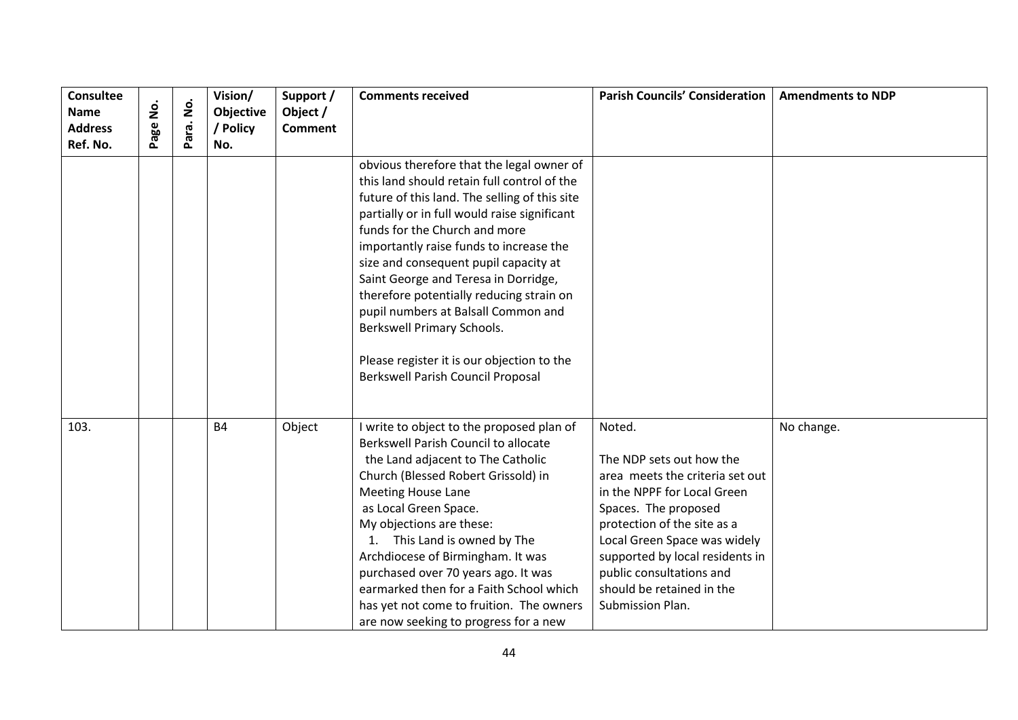| <b>Consultee</b><br><b>Name</b> | .<br>2 | $\dot{\mathsf{p}}$ | Vision/<br>Objective | Support /<br>Object / | <b>Comments received</b>                                                                                                                                                                                                                                                                                                                                                                                                                                                                                                                                   | <b>Parish Councils' Consideration</b>                                                                                                                                                                                                                                                                       | <b>Amendments to NDP</b> |
|---------------------------------|--------|--------------------|----------------------|-----------------------|------------------------------------------------------------------------------------------------------------------------------------------------------------------------------------------------------------------------------------------------------------------------------------------------------------------------------------------------------------------------------------------------------------------------------------------------------------------------------------------------------------------------------------------------------------|-------------------------------------------------------------------------------------------------------------------------------------------------------------------------------------------------------------------------------------------------------------------------------------------------------------|--------------------------|
| <b>Address</b><br>Ref. No.      | age    | Para.              | / Policy<br>No.      | <b>Comment</b>        |                                                                                                                                                                                                                                                                                                                                                                                                                                                                                                                                                            |                                                                                                                                                                                                                                                                                                             |                          |
|                                 |        |                    |                      |                       | obvious therefore that the legal owner of<br>this land should retain full control of the<br>future of this land. The selling of this site<br>partially or in full would raise significant<br>funds for the Church and more<br>importantly raise funds to increase the<br>size and consequent pupil capacity at<br>Saint George and Teresa in Dorridge,<br>therefore potentially reducing strain on<br>pupil numbers at Balsall Common and<br>Berkswell Primary Schools.<br>Please register it is our objection to the<br>Berkswell Parish Council Proposal |                                                                                                                                                                                                                                                                                                             |                          |
| 103.                            |        |                    | <b>B4</b>            | Object                | I write to object to the proposed plan of<br>Berkswell Parish Council to allocate<br>the Land adjacent to The Catholic<br>Church (Blessed Robert Grissold) in<br><b>Meeting House Lane</b><br>as Local Green Space.<br>My objections are these:<br>This Land is owned by The<br>$\mathbf{1}$ .<br>Archdiocese of Birmingham. It was<br>purchased over 70 years ago. It was<br>earmarked then for a Faith School which<br>has yet not come to fruition. The owners<br>are now seeking to progress for a new                                                 | Noted.<br>The NDP sets out how the<br>area meets the criteria set out<br>in the NPPF for Local Green<br>Spaces. The proposed<br>protection of the site as a<br>Local Green Space was widely<br>supported by local residents in<br>public consultations and<br>should be retained in the<br>Submission Plan. | No change.               |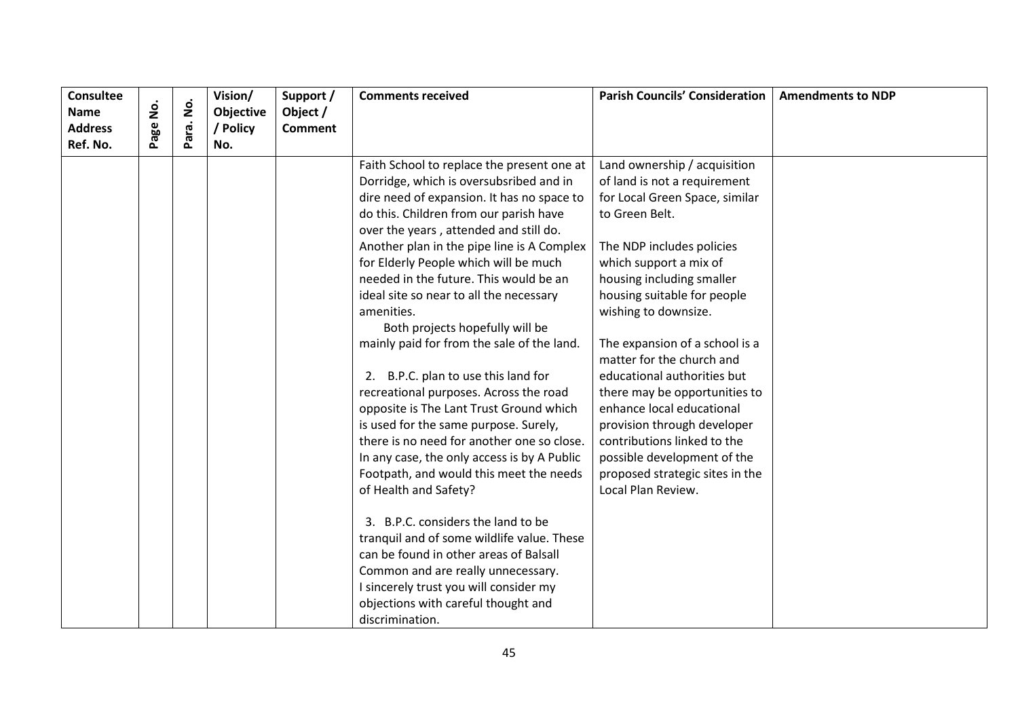| <b>Consultee</b> |               |                    | Vision/   | Support /      | <b>Comments received</b>                    | <b>Parish Councils' Consideration</b> | <b>Amendments to NDP</b> |
|------------------|---------------|--------------------|-----------|----------------|---------------------------------------------|---------------------------------------|--------------------------|
| <b>Name</b>      | <u>o</u><br>2 | $\dot{\mathbf{z}}$ | Objective | Object /       |                                             |                                       |                          |
| <b>Address</b>   | Page          | Para.              | / Policy  | <b>Comment</b> |                                             |                                       |                          |
| Ref. No.         |               |                    | No.       |                |                                             |                                       |                          |
|                  |               |                    |           |                | Faith School to replace the present one at  | Land ownership / acquisition          |                          |
|                  |               |                    |           |                | Dorridge, which is oversubsribed and in     | of land is not a requirement          |                          |
|                  |               |                    |           |                | dire need of expansion. It has no space to  | for Local Green Space, similar        |                          |
|                  |               |                    |           |                | do this. Children from our parish have      | to Green Belt.                        |                          |
|                  |               |                    |           |                | over the years, attended and still do.      |                                       |                          |
|                  |               |                    |           |                | Another plan in the pipe line is A Complex  | The NDP includes policies             |                          |
|                  |               |                    |           |                | for Elderly People which will be much       | which support a mix of                |                          |
|                  |               |                    |           |                | needed in the future. This would be an      | housing including smaller             |                          |
|                  |               |                    |           |                | ideal site so near to all the necessary     | housing suitable for people           |                          |
|                  |               |                    |           |                | amenities.                                  | wishing to downsize.                  |                          |
|                  |               |                    |           |                | Both projects hopefully will be             |                                       |                          |
|                  |               |                    |           |                | mainly paid for from the sale of the land.  | The expansion of a school is a        |                          |
|                  |               |                    |           |                |                                             | matter for the church and             |                          |
|                  |               |                    |           |                | 2. B.P.C. plan to use this land for         | educational authorities but           |                          |
|                  |               |                    |           |                | recreational purposes. Across the road      | there may be opportunities to         |                          |
|                  |               |                    |           |                | opposite is The Lant Trust Ground which     | enhance local educational             |                          |
|                  |               |                    |           |                | is used for the same purpose. Surely,       | provision through developer           |                          |
|                  |               |                    |           |                | there is no need for another one so close.  | contributions linked to the           |                          |
|                  |               |                    |           |                | In any case, the only access is by A Public | possible development of the           |                          |
|                  |               |                    |           |                | Footpath, and would this meet the needs     | proposed strategic sites in the       |                          |
|                  |               |                    |           |                | of Health and Safety?                       | Local Plan Review.                    |                          |
|                  |               |                    |           |                |                                             |                                       |                          |
|                  |               |                    |           |                | 3. B.P.C. considers the land to be          |                                       |                          |
|                  |               |                    |           |                | tranquil and of some wildlife value. These  |                                       |                          |
|                  |               |                    |           |                | can be found in other areas of Balsall      |                                       |                          |
|                  |               |                    |           |                | Common and are really unnecessary.          |                                       |                          |
|                  |               |                    |           |                | I sincerely trust you will consider my      |                                       |                          |
|                  |               |                    |           |                | objections with careful thought and         |                                       |                          |
|                  |               |                    |           |                | discrimination.                             |                                       |                          |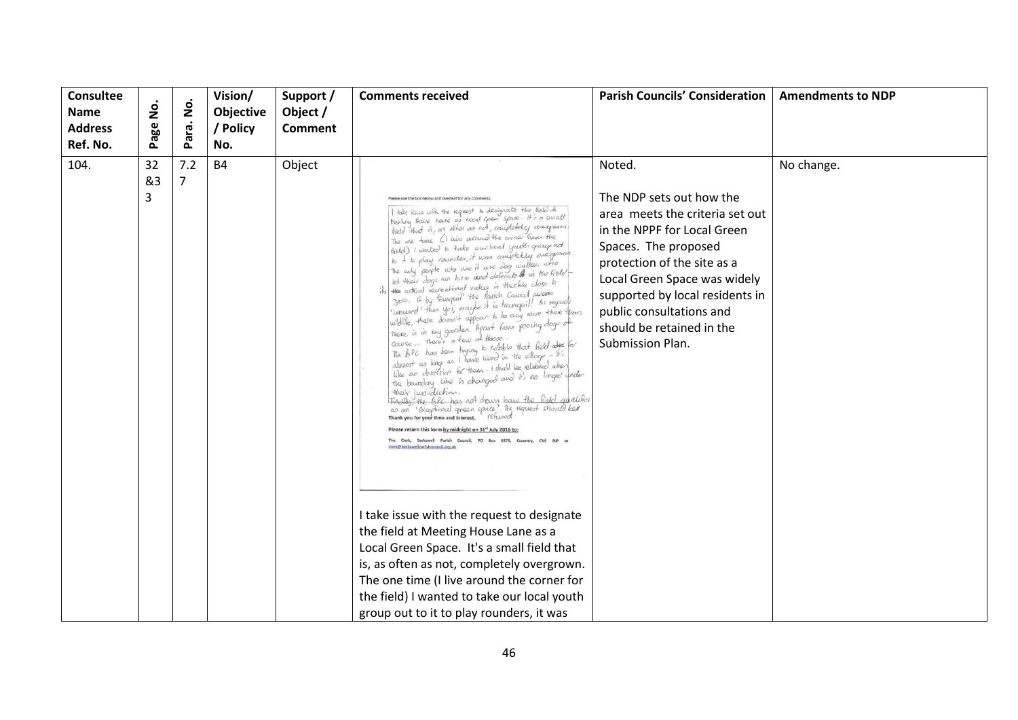| <b>Consultee</b><br>Name<br><b>Address</b><br>Ref. No. | Page No.      | <u>o</u><br>Para. | Vision/<br>Objective<br>/ Policy<br>No. | Support /<br>Object /<br><b>Comment</b> | <b>Comments received</b>                                                                                                                                                                                                                                                                                                                                                                                                                                                                                                                                                                                                                                                                                                                                                                                                                                                                                                                                                                                                                                                                                                                                                                                                                                                                                                                                                                                                                                                                                                                                                                                                                                                                                                                    | <b>Parish Councils' Consideration</b>                                                                                                                                                                                                                                                                       | <b>Amendments to NDP</b> |
|--------------------------------------------------------|---------------|-------------------|-----------------------------------------|-----------------------------------------|---------------------------------------------------------------------------------------------------------------------------------------------------------------------------------------------------------------------------------------------------------------------------------------------------------------------------------------------------------------------------------------------------------------------------------------------------------------------------------------------------------------------------------------------------------------------------------------------------------------------------------------------------------------------------------------------------------------------------------------------------------------------------------------------------------------------------------------------------------------------------------------------------------------------------------------------------------------------------------------------------------------------------------------------------------------------------------------------------------------------------------------------------------------------------------------------------------------------------------------------------------------------------------------------------------------------------------------------------------------------------------------------------------------------------------------------------------------------------------------------------------------------------------------------------------------------------------------------------------------------------------------------------------------------------------------------------------------------------------------------|-------------------------------------------------------------------------------------------------------------------------------------------------------------------------------------------------------------------------------------------------------------------------------------------------------------|--------------------------|
| 104.                                                   | 32<br>&3<br>3 | 7.2<br>7          | <b>B4</b>                               | Object                                  | rase use the box below and overleaf for any comm<br>I take issue with the request to designate the lield of<br>Meeling Houre hane as hood open space : it's a swall<br>hield that is, as other as not, couplebelly avertpreun.<br>The one time (I like around the corner Than the<br>hidd) I wanted to take our local youth group act<br>to it is play rounder, it was completely overgrown.<br>The any people who use it are any walker who<br>let their dogs non loose and defecute to in the Geld<br>the actual recreational value is theolete close to<br>3ero. If by tranquil' the Parish Caural wears<br>unived then yes, maybe it is tranquil! As regards<br>wildlife, there doesn't appear to be any more there than<br>there is in my garden. Apart hous pooing dogs of<br>Course Here's a few of those.<br>the BPC has been typing to noble that field after for<br>alwest as larg as I have word in the village - it's<br>when as larg as I have word in the village - it's<br>when the sum all the is changed and it's no larger under<br>them sum<br>Heavy Juvi-diction.<br>Tradily, the BIC has not down have the Gold qualifier<br>and an 'examplement inners. refused<br>Thankyou to your time and interest. refused<br>Please return this form by midnight on 31st July 2018 to<br>The Clerk, Berkswell Parish Council, PO Box 6379, Coventry, CV6 9LP o<br>clerk@berkswellparishcouncil.org.uk<br>I take issue with the request to designate<br>the field at Meeting House Lane as a<br>Local Green Space. It's a small field that<br>is, as often as not, completely overgrown.<br>The one time (I live around the corner for<br>the field) I wanted to take our local youth<br>group out to it to play rounders, it was | Noted.<br>The NDP sets out how the<br>area meets the criteria set out<br>in the NPPF for Local Green<br>Spaces. The proposed<br>protection of the site as a<br>Local Green Space was widely<br>supported by local residents in<br>public consultations and<br>should be retained in the<br>Submission Plan. | No change.               |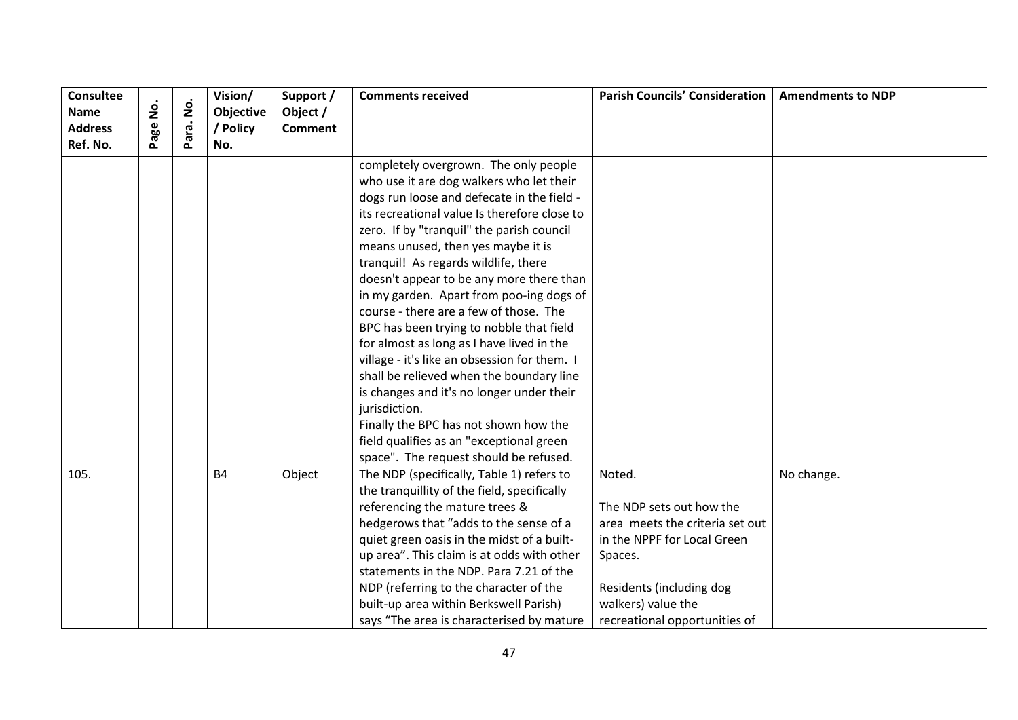| <b>Consultee</b> |          |                    | Vision/   | Support /      | <b>Comments received</b>                     | <b>Parish Councils' Consideration</b> | <b>Amendments to NDP</b> |
|------------------|----------|--------------------|-----------|----------------|----------------------------------------------|---------------------------------------|--------------------------|
| <b>Name</b>      | <u>ş</u> | $\dot{\mathsf{S}}$ | Objective | Object /       |                                              |                                       |                          |
| <b>Address</b>   | age      | Para.              | / Policy  | <b>Comment</b> |                                              |                                       |                          |
| Ref. No.         |          |                    | No.       |                |                                              |                                       |                          |
|                  |          |                    |           |                | completely overgrown. The only people        |                                       |                          |
|                  |          |                    |           |                | who use it are dog walkers who let their     |                                       |                          |
|                  |          |                    |           |                | dogs run loose and defecate in the field -   |                                       |                          |
|                  |          |                    |           |                | its recreational value Is therefore close to |                                       |                          |
|                  |          |                    |           |                | zero. If by "tranquil" the parish council    |                                       |                          |
|                  |          |                    |           |                | means unused, then yes maybe it is           |                                       |                          |
|                  |          |                    |           |                | tranquil! As regards wildlife, there         |                                       |                          |
|                  |          |                    |           |                | doesn't appear to be any more there than     |                                       |                          |
|                  |          |                    |           |                | in my garden. Apart from poo-ing dogs of     |                                       |                          |
|                  |          |                    |           |                | course - there are a few of those. The       |                                       |                          |
|                  |          |                    |           |                | BPC has been trying to nobble that field     |                                       |                          |
|                  |          |                    |           |                | for almost as long as I have lived in the    |                                       |                          |
|                  |          |                    |           |                | village - it's like an obsession for them. I |                                       |                          |
|                  |          |                    |           |                | shall be relieved when the boundary line     |                                       |                          |
|                  |          |                    |           |                | is changes and it's no longer under their    |                                       |                          |
|                  |          |                    |           |                | jurisdiction.                                |                                       |                          |
|                  |          |                    |           |                | Finally the BPC has not shown how the        |                                       |                          |
|                  |          |                    |           |                | field qualifies as an "exceptional green     |                                       |                          |
|                  |          |                    |           |                | space". The request should be refused.       |                                       |                          |
| 105.             |          |                    | <b>B4</b> | Object         | The NDP (specifically, Table 1) refers to    | Noted.                                | No change.               |
|                  |          |                    |           |                | the tranquillity of the field, specifically  |                                       |                          |
|                  |          |                    |           |                | referencing the mature trees &               | The NDP sets out how the              |                          |
|                  |          |                    |           |                | hedgerows that "adds to the sense of a       | area meets the criteria set out       |                          |
|                  |          |                    |           |                | quiet green oasis in the midst of a built-   | in the NPPF for Local Green           |                          |
|                  |          |                    |           |                | up area". This claim is at odds with other   | Spaces.                               |                          |
|                  |          |                    |           |                | statements in the NDP. Para 7.21 of the      |                                       |                          |
|                  |          |                    |           |                | NDP (referring to the character of the       | Residents (including dog              |                          |
|                  |          |                    |           |                | built-up area within Berkswell Parish)       | walkers) value the                    |                          |
|                  |          |                    |           |                | says "The area is characterised by mature    | recreational opportunities of         |                          |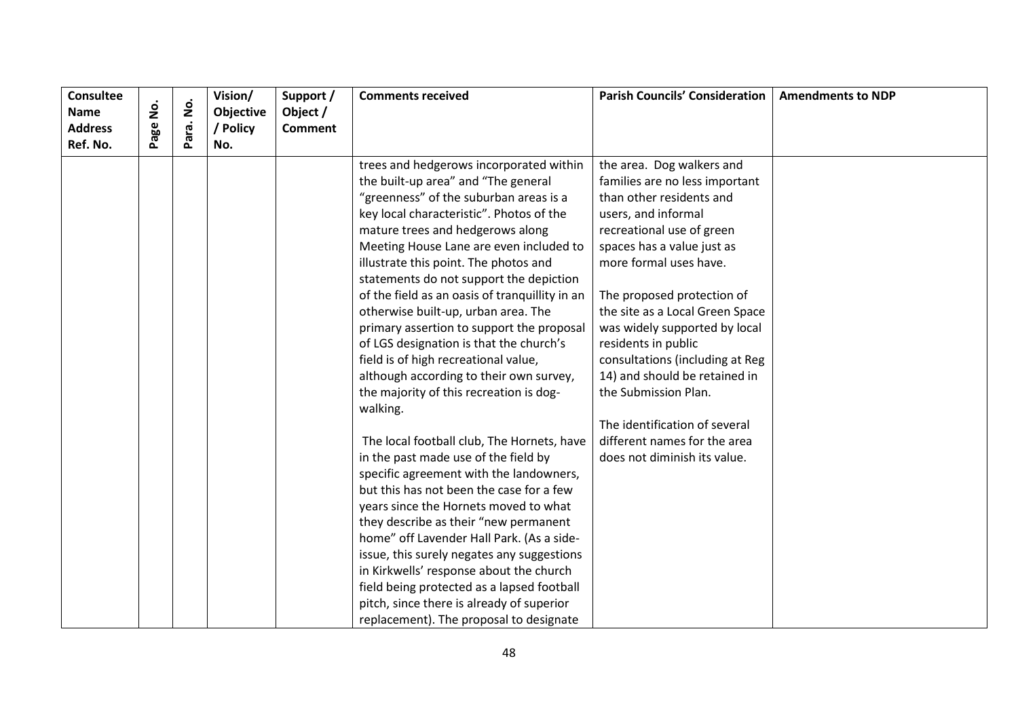| <b>Consultee</b> |          |                    | Vision/          | Support /      | <b>Comments received</b>                       | <b>Parish Councils' Consideration</b> | <b>Amendments to NDP</b> |
|------------------|----------|--------------------|------------------|----------------|------------------------------------------------|---------------------------------------|--------------------------|
| Name             | Page No. | $\dot{\mathsf{S}}$ | <b>Objective</b> | Object /       |                                                |                                       |                          |
| <b>Address</b>   |          | Para.              | / Policy         | <b>Comment</b> |                                                |                                       |                          |
| Ref. No.         |          |                    | No.              |                |                                                |                                       |                          |
|                  |          |                    |                  |                | trees and hedgerows incorporated within        | the area. Dog walkers and             |                          |
|                  |          |                    |                  |                | the built-up area" and "The general            | families are no less important        |                          |
|                  |          |                    |                  |                | "greenness" of the suburban areas is a         | than other residents and              |                          |
|                  |          |                    |                  |                | key local characteristic". Photos of the       | users, and informal                   |                          |
|                  |          |                    |                  |                | mature trees and hedgerows along               | recreational use of green             |                          |
|                  |          |                    |                  |                | Meeting House Lane are even included to        | spaces has a value just as            |                          |
|                  |          |                    |                  |                | illustrate this point. The photos and          | more formal uses have.                |                          |
|                  |          |                    |                  |                | statements do not support the depiction        |                                       |                          |
|                  |          |                    |                  |                | of the field as an oasis of tranquillity in an | The proposed protection of            |                          |
|                  |          |                    |                  |                | otherwise built-up, urban area. The            | the site as a Local Green Space       |                          |
|                  |          |                    |                  |                | primary assertion to support the proposal      | was widely supported by local         |                          |
|                  |          |                    |                  |                | of LGS designation is that the church's        | residents in public                   |                          |
|                  |          |                    |                  |                | field is of high recreational value,           | consultations (including at Reg       |                          |
|                  |          |                    |                  |                | although according to their own survey,        | 14) and should be retained in         |                          |
|                  |          |                    |                  |                | the majority of this recreation is dog-        | the Submission Plan.                  |                          |
|                  |          |                    |                  |                | walking.                                       |                                       |                          |
|                  |          |                    |                  |                |                                                | The identification of several         |                          |
|                  |          |                    |                  |                | The local football club, The Hornets, have     | different names for the area          |                          |
|                  |          |                    |                  |                | in the past made use of the field by           | does not diminish its value.          |                          |
|                  |          |                    |                  |                | specific agreement with the landowners,        |                                       |                          |
|                  |          |                    |                  |                | but this has not been the case for a few       |                                       |                          |
|                  |          |                    |                  |                | years since the Hornets moved to what          |                                       |                          |
|                  |          |                    |                  |                | they describe as their "new permanent          |                                       |                          |
|                  |          |                    |                  |                | home" off Lavender Hall Park. (As a side-      |                                       |                          |
|                  |          |                    |                  |                | issue, this surely negates any suggestions     |                                       |                          |
|                  |          |                    |                  |                | in Kirkwells' response about the church        |                                       |                          |
|                  |          |                    |                  |                | field being protected as a lapsed football     |                                       |                          |
|                  |          |                    |                  |                | pitch, since there is already of superior      |                                       |                          |
|                  |          |                    |                  |                | replacement). The proposal to designate        |                                       |                          |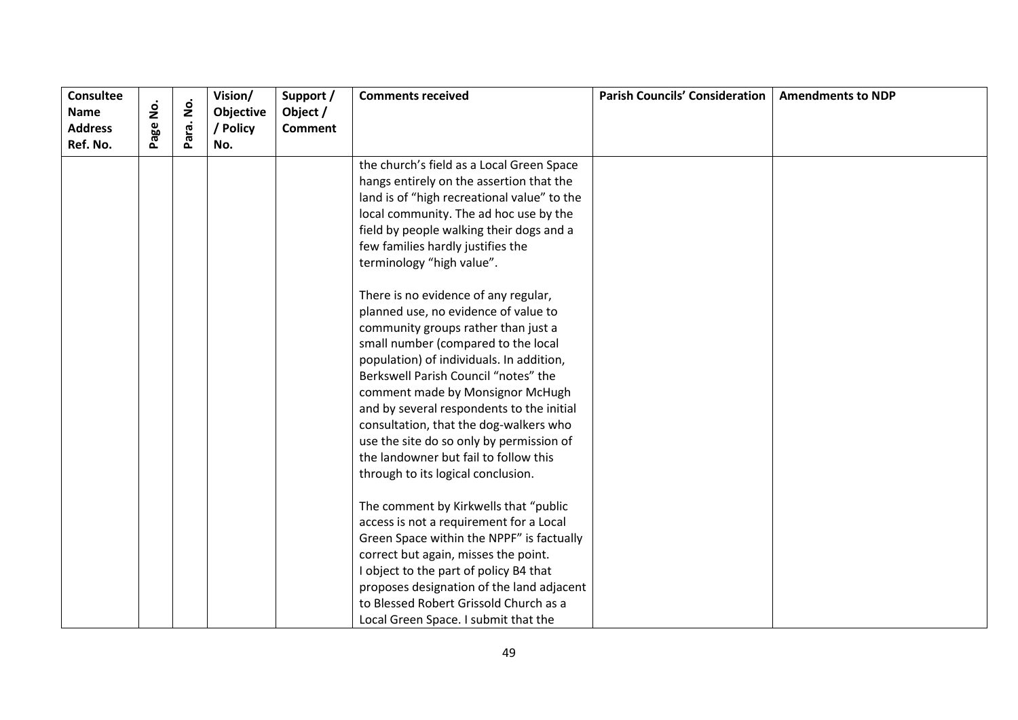| <b>Consultee</b><br><b>Name</b> | <u>o</u><br>2 | $\dot{\mathsf{S}}$ | Vision/<br>Objective | Support /                  | <b>Comments received</b>                    | <b>Parish Councils' Consideration</b> | <b>Amendments to NDP</b> |
|---------------------------------|---------------|--------------------|----------------------|----------------------------|---------------------------------------------|---------------------------------------|--------------------------|
| <b>Address</b>                  |               |                    | / Policy             | Object /<br><b>Comment</b> |                                             |                                       |                          |
| Ref. No.                        | age           | Para.              | No.                  |                            |                                             |                                       |                          |
|                                 |               |                    |                      |                            | the church's field as a Local Green Space   |                                       |                          |
|                                 |               |                    |                      |                            | hangs entirely on the assertion that the    |                                       |                          |
|                                 |               |                    |                      |                            | land is of "high recreational value" to the |                                       |                          |
|                                 |               |                    |                      |                            | local community. The ad hoc use by the      |                                       |                          |
|                                 |               |                    |                      |                            | field by people walking their dogs and a    |                                       |                          |
|                                 |               |                    |                      |                            | few families hardly justifies the           |                                       |                          |
|                                 |               |                    |                      |                            | terminology "high value".                   |                                       |                          |
|                                 |               |                    |                      |                            | There is no evidence of any regular,        |                                       |                          |
|                                 |               |                    |                      |                            | planned use, no evidence of value to        |                                       |                          |
|                                 |               |                    |                      |                            | community groups rather than just a         |                                       |                          |
|                                 |               |                    |                      |                            | small number (compared to the local         |                                       |                          |
|                                 |               |                    |                      |                            | population) of individuals. In addition,    |                                       |                          |
|                                 |               |                    |                      |                            | Berkswell Parish Council "notes" the        |                                       |                          |
|                                 |               |                    |                      |                            | comment made by Monsignor McHugh            |                                       |                          |
|                                 |               |                    |                      |                            | and by several respondents to the initial   |                                       |                          |
|                                 |               |                    |                      |                            | consultation, that the dog-walkers who      |                                       |                          |
|                                 |               |                    |                      |                            | use the site do so only by permission of    |                                       |                          |
|                                 |               |                    |                      |                            | the landowner but fail to follow this       |                                       |                          |
|                                 |               |                    |                      |                            | through to its logical conclusion.          |                                       |                          |
|                                 |               |                    |                      |                            | The comment by Kirkwells that "public       |                                       |                          |
|                                 |               |                    |                      |                            | access is not a requirement for a Local     |                                       |                          |
|                                 |               |                    |                      |                            | Green Space within the NPPF" is factually   |                                       |                          |
|                                 |               |                    |                      |                            | correct but again, misses the point.        |                                       |                          |
|                                 |               |                    |                      |                            | I object to the part of policy B4 that      |                                       |                          |
|                                 |               |                    |                      |                            | proposes designation of the land adjacent   |                                       |                          |
|                                 |               |                    |                      |                            | to Blessed Robert Grissold Church as a      |                                       |                          |
|                                 |               |                    |                      |                            | Local Green Space. I submit that the        |                                       |                          |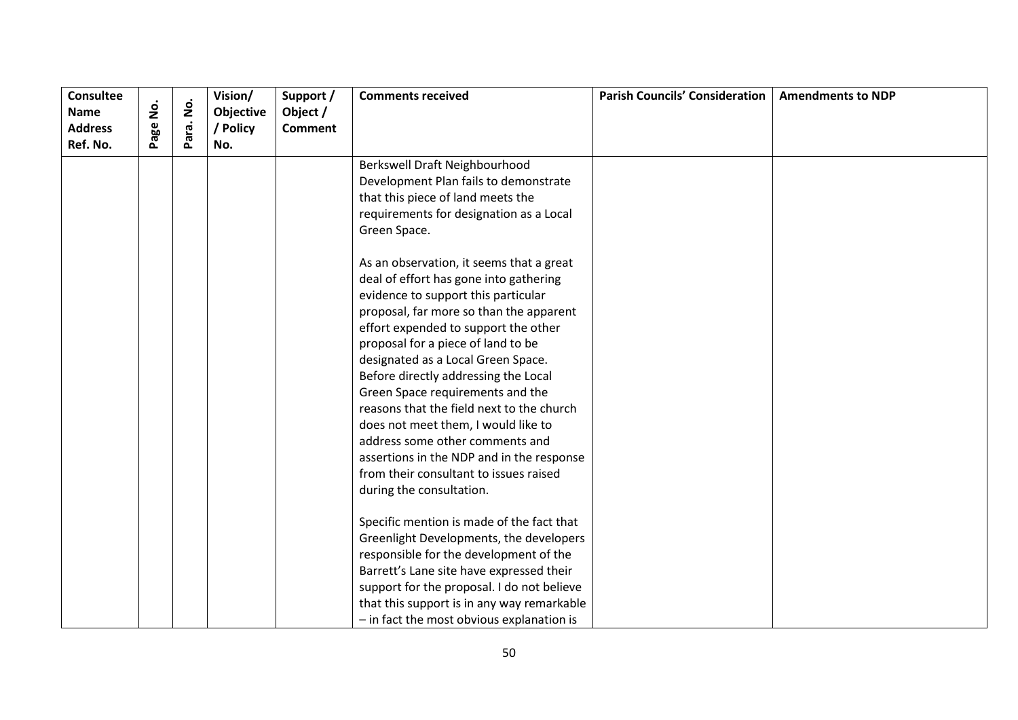| <b>Consultee</b><br><b>Name</b> | <u>o</u><br>2 | $\dot{\mathsf{S}}$ | Vision/<br>Objective | Support /<br>Object / | <b>Comments received</b>                   | <b>Parish Councils' Consideration</b> | <b>Amendments to NDP</b> |
|---------------------------------|---------------|--------------------|----------------------|-----------------------|--------------------------------------------|---------------------------------------|--------------------------|
| <b>Address</b>                  | age           |                    | / Policy             | <b>Comment</b>        |                                            |                                       |                          |
| Ref. No.                        |               | Para.              | No.                  |                       |                                            |                                       |                          |
|                                 |               |                    |                      |                       | Berkswell Draft Neighbourhood              |                                       |                          |
|                                 |               |                    |                      |                       | Development Plan fails to demonstrate      |                                       |                          |
|                                 |               |                    |                      |                       | that this piece of land meets the          |                                       |                          |
|                                 |               |                    |                      |                       | requirements for designation as a Local    |                                       |                          |
|                                 |               |                    |                      |                       | Green Space.                               |                                       |                          |
|                                 |               |                    |                      |                       | As an observation, it seems that a great   |                                       |                          |
|                                 |               |                    |                      |                       | deal of effort has gone into gathering     |                                       |                          |
|                                 |               |                    |                      |                       | evidence to support this particular        |                                       |                          |
|                                 |               |                    |                      |                       | proposal, far more so than the apparent    |                                       |                          |
|                                 |               |                    |                      |                       | effort expended to support the other       |                                       |                          |
|                                 |               |                    |                      |                       | proposal for a piece of land to be         |                                       |                          |
|                                 |               |                    |                      |                       | designated as a Local Green Space.         |                                       |                          |
|                                 |               |                    |                      |                       | Before directly addressing the Local       |                                       |                          |
|                                 |               |                    |                      |                       | Green Space requirements and the           |                                       |                          |
|                                 |               |                    |                      |                       | reasons that the field next to the church  |                                       |                          |
|                                 |               |                    |                      |                       | does not meet them, I would like to        |                                       |                          |
|                                 |               |                    |                      |                       | address some other comments and            |                                       |                          |
|                                 |               |                    |                      |                       | assertions in the NDP and in the response  |                                       |                          |
|                                 |               |                    |                      |                       | from their consultant to issues raised     |                                       |                          |
|                                 |               |                    |                      |                       | during the consultation.                   |                                       |                          |
|                                 |               |                    |                      |                       | Specific mention is made of the fact that  |                                       |                          |
|                                 |               |                    |                      |                       | Greenlight Developments, the developers    |                                       |                          |
|                                 |               |                    |                      |                       | responsible for the development of the     |                                       |                          |
|                                 |               |                    |                      |                       | Barrett's Lane site have expressed their   |                                       |                          |
|                                 |               |                    |                      |                       | support for the proposal. I do not believe |                                       |                          |
|                                 |               |                    |                      |                       | that this support is in any way remarkable |                                       |                          |
|                                 |               |                    |                      |                       | - in fact the most obvious explanation is  |                                       |                          |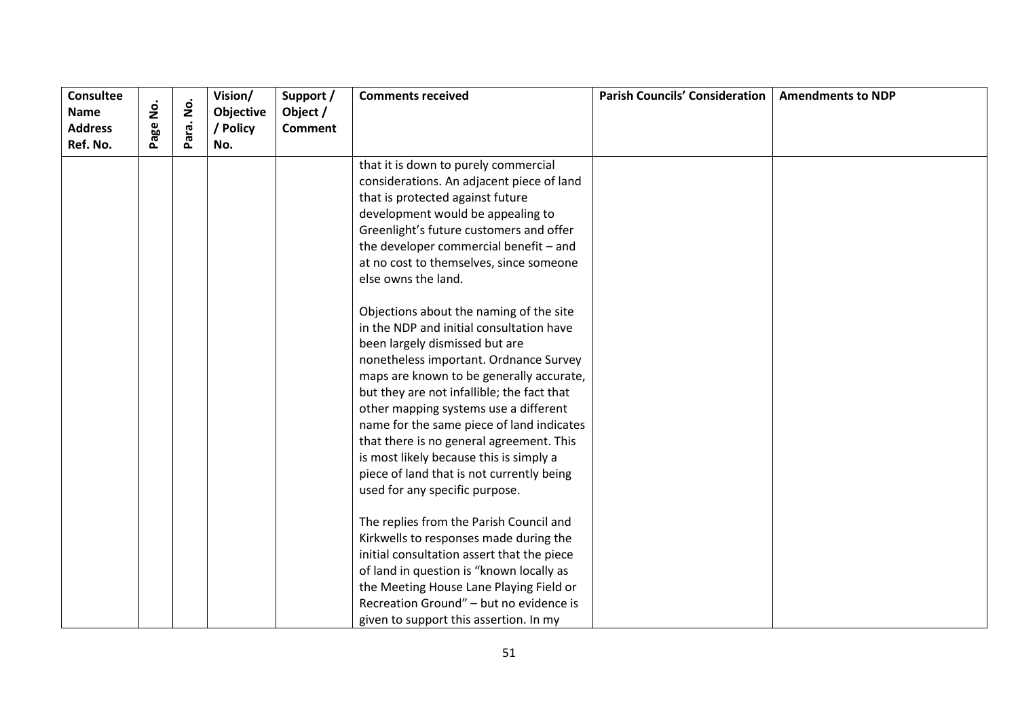| <b>Consultee</b>           | $\dot{\mathsf{S}}$ | $\dot{\mathbf{g}}$ | Vision/         | Support /      | <b>Comments received</b>                   | <b>Parish Councils' Consideration</b> | <b>Amendments to NDP</b> |
|----------------------------|--------------------|--------------------|-----------------|----------------|--------------------------------------------|---------------------------------------|--------------------------|
| <b>Name</b>                |                    |                    | Objective       | Object /       |                                            |                                       |                          |
| <b>Address</b><br>Ref. No. | Page               | Para.              | / Policy<br>No. | <b>Comment</b> |                                            |                                       |                          |
|                            |                    |                    |                 |                |                                            |                                       |                          |
|                            |                    |                    |                 |                | that it is down to purely commercial       |                                       |                          |
|                            |                    |                    |                 |                | considerations. An adjacent piece of land  |                                       |                          |
|                            |                    |                    |                 |                | that is protected against future           |                                       |                          |
|                            |                    |                    |                 |                | development would be appealing to          |                                       |                          |
|                            |                    |                    |                 |                | Greenlight's future customers and offer    |                                       |                          |
|                            |                    |                    |                 |                | the developer commercial benefit - and     |                                       |                          |
|                            |                    |                    |                 |                | at no cost to themselves, since someone    |                                       |                          |
|                            |                    |                    |                 |                | else owns the land.                        |                                       |                          |
|                            |                    |                    |                 |                | Objections about the naming of the site    |                                       |                          |
|                            |                    |                    |                 |                | in the NDP and initial consultation have   |                                       |                          |
|                            |                    |                    |                 |                | been largely dismissed but are             |                                       |                          |
|                            |                    |                    |                 |                | nonetheless important. Ordnance Survey     |                                       |                          |
|                            |                    |                    |                 |                | maps are known to be generally accurate,   |                                       |                          |
|                            |                    |                    |                 |                | but they are not infallible; the fact that |                                       |                          |
|                            |                    |                    |                 |                | other mapping systems use a different      |                                       |                          |
|                            |                    |                    |                 |                | name for the same piece of land indicates  |                                       |                          |
|                            |                    |                    |                 |                | that there is no general agreement. This   |                                       |                          |
|                            |                    |                    |                 |                | is most likely because this is simply a    |                                       |                          |
|                            |                    |                    |                 |                | piece of land that is not currently being  |                                       |                          |
|                            |                    |                    |                 |                | used for any specific purpose.             |                                       |                          |
|                            |                    |                    |                 |                |                                            |                                       |                          |
|                            |                    |                    |                 |                | The replies from the Parish Council and    |                                       |                          |
|                            |                    |                    |                 |                | Kirkwells to responses made during the     |                                       |                          |
|                            |                    |                    |                 |                | initial consultation assert that the piece |                                       |                          |
|                            |                    |                    |                 |                | of land in question is "known locally as   |                                       |                          |
|                            |                    |                    |                 |                | the Meeting House Lane Playing Field or    |                                       |                          |
|                            |                    |                    |                 |                | Recreation Ground" - but no evidence is    |                                       |                          |
|                            |                    |                    |                 |                | given to support this assertion. In my     |                                       |                          |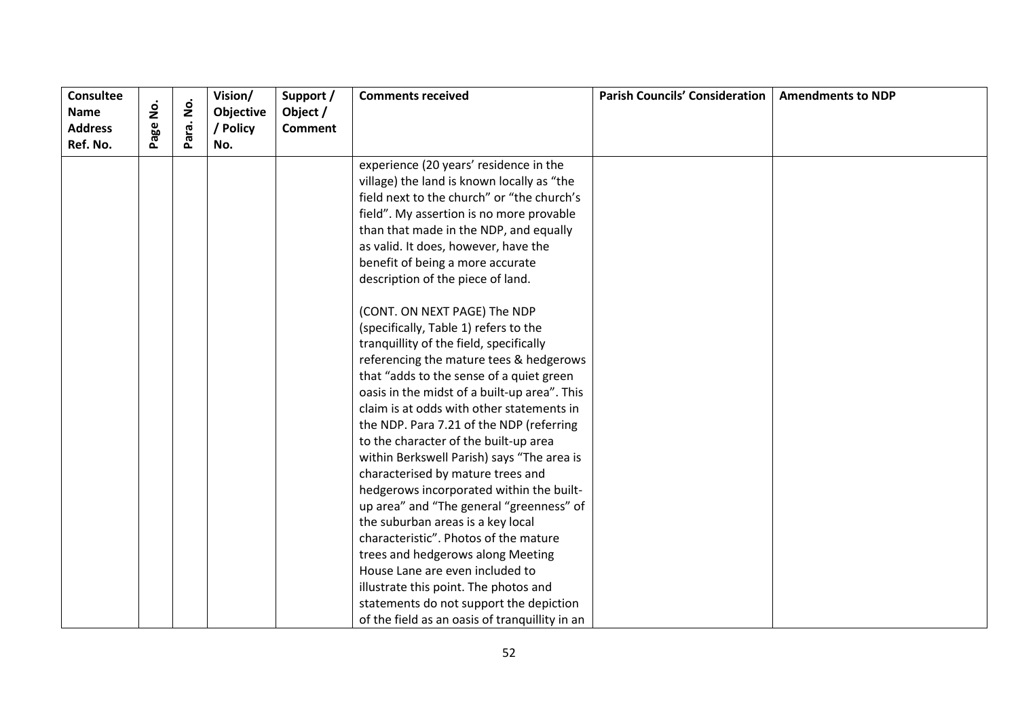| <b>Consultee</b><br><b>Name</b> | .<br>2 | $\dot{\mathsf{S}}$ | Vision/<br>Objective | Support /<br>Object / | <b>Comments received</b>                       | <b>Parish Councils' Consideration</b> | <b>Amendments to NDP</b> |
|---------------------------------|--------|--------------------|----------------------|-----------------------|------------------------------------------------|---------------------------------------|--------------------------|
| <b>Address</b>                  | age    |                    | / Policy             | <b>Comment</b>        |                                                |                                       |                          |
| Ref. No.                        |        | Para.              | No.                  |                       |                                                |                                       |                          |
|                                 |        |                    |                      |                       | experience (20 years' residence in the         |                                       |                          |
|                                 |        |                    |                      |                       | village) the land is known locally as "the     |                                       |                          |
|                                 |        |                    |                      |                       | field next to the church" or "the church's     |                                       |                          |
|                                 |        |                    |                      |                       | field". My assertion is no more provable       |                                       |                          |
|                                 |        |                    |                      |                       | than that made in the NDP, and equally         |                                       |                          |
|                                 |        |                    |                      |                       | as valid. It does, however, have the           |                                       |                          |
|                                 |        |                    |                      |                       | benefit of being a more accurate               |                                       |                          |
|                                 |        |                    |                      |                       | description of the piece of land.              |                                       |                          |
|                                 |        |                    |                      |                       | (CONT. ON NEXT PAGE) The NDP                   |                                       |                          |
|                                 |        |                    |                      |                       | (specifically, Table 1) refers to the          |                                       |                          |
|                                 |        |                    |                      |                       | tranquillity of the field, specifically        |                                       |                          |
|                                 |        |                    |                      |                       | referencing the mature tees & hedgerows        |                                       |                          |
|                                 |        |                    |                      |                       | that "adds to the sense of a quiet green       |                                       |                          |
|                                 |        |                    |                      |                       | oasis in the midst of a built-up area". This   |                                       |                          |
|                                 |        |                    |                      |                       | claim is at odds with other statements in      |                                       |                          |
|                                 |        |                    |                      |                       | the NDP. Para 7.21 of the NDP (referring       |                                       |                          |
|                                 |        |                    |                      |                       | to the character of the built-up area          |                                       |                          |
|                                 |        |                    |                      |                       | within Berkswell Parish) says "The area is     |                                       |                          |
|                                 |        |                    |                      |                       | characterised by mature trees and              |                                       |                          |
|                                 |        |                    |                      |                       | hedgerows incorporated within the built-       |                                       |                          |
|                                 |        |                    |                      |                       | up area" and "The general "greenness" of       |                                       |                          |
|                                 |        |                    |                      |                       | the suburban areas is a key local              |                                       |                          |
|                                 |        |                    |                      |                       | characteristic". Photos of the mature          |                                       |                          |
|                                 |        |                    |                      |                       | trees and hedgerows along Meeting              |                                       |                          |
|                                 |        |                    |                      |                       | House Lane are even included to                |                                       |                          |
|                                 |        |                    |                      |                       | illustrate this point. The photos and          |                                       |                          |
|                                 |        |                    |                      |                       | statements do not support the depiction        |                                       |                          |
|                                 |        |                    |                      |                       | of the field as an oasis of tranquillity in an |                                       |                          |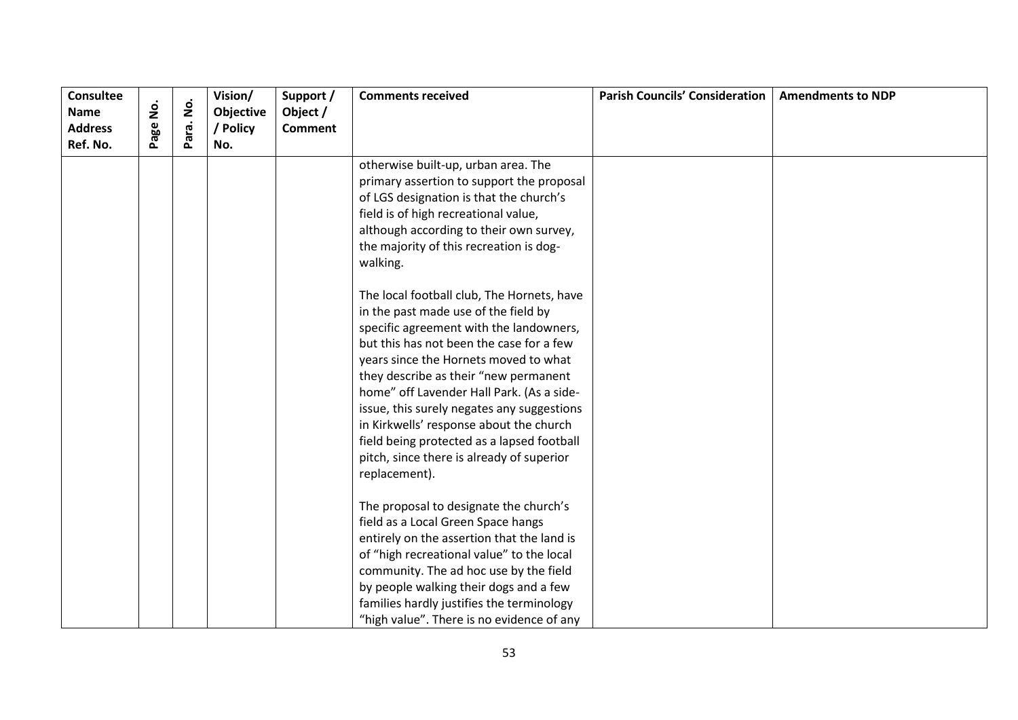| <b>Consultee</b><br><b>Name</b><br><b>Address</b> | .<br>2<br>age | $\dot{\mathsf{p}}$ | Vision/<br>Objective<br>/ Policy | Support /<br>Object /<br><b>Comment</b> | <b>Comments received</b>                                                                                                                                                                                                                                                                                                                                                                                                                                                                                      | <b>Parish Councils' Consideration</b> | <b>Amendments to NDP</b> |
|---------------------------------------------------|---------------|--------------------|----------------------------------|-----------------------------------------|---------------------------------------------------------------------------------------------------------------------------------------------------------------------------------------------------------------------------------------------------------------------------------------------------------------------------------------------------------------------------------------------------------------------------------------------------------------------------------------------------------------|---------------------------------------|--------------------------|
| Ref. No.                                          |               | Para.              | No.                              |                                         |                                                                                                                                                                                                                                                                                                                                                                                                                                                                                                               |                                       |                          |
|                                                   |               |                    |                                  |                                         | otherwise built-up, urban area. The<br>primary assertion to support the proposal<br>of LGS designation is that the church's<br>field is of high recreational value,<br>although according to their own survey,<br>the majority of this recreation is dog-<br>walking.                                                                                                                                                                                                                                         |                                       |                          |
|                                                   |               |                    |                                  |                                         | The local football club, The Hornets, have<br>in the past made use of the field by<br>specific agreement with the landowners,<br>but this has not been the case for a few<br>years since the Hornets moved to what<br>they describe as their "new permanent<br>home" off Lavender Hall Park. (As a side-<br>issue, this surely negates any suggestions<br>in Kirkwells' response about the church<br>field being protected as a lapsed football<br>pitch, since there is already of superior<br>replacement). |                                       |                          |
|                                                   |               |                    |                                  |                                         | The proposal to designate the church's<br>field as a Local Green Space hangs<br>entirely on the assertion that the land is<br>of "high recreational value" to the local<br>community. The ad hoc use by the field<br>by people walking their dogs and a few<br>families hardly justifies the terminology<br>"high value". There is no evidence of any                                                                                                                                                         |                                       |                          |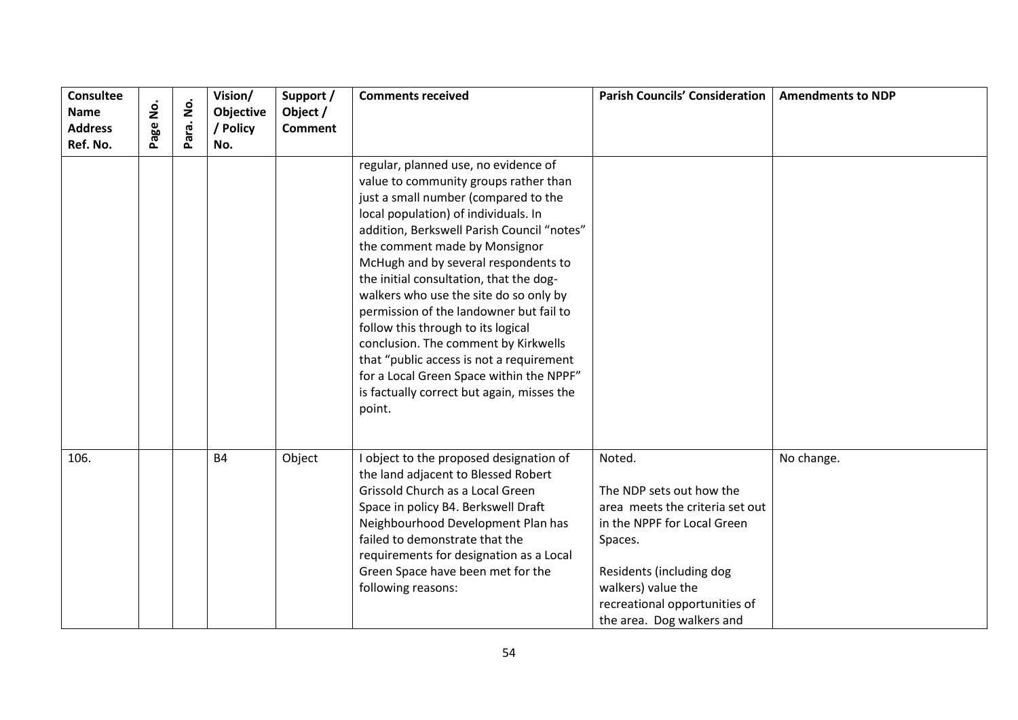| Consultee<br><b>Name</b><br><b>Address</b><br>Ref. No. | $\overline{2}$<br>age | $\dot{\mathsf{p}}$<br>ara.<br>$\tilde{\mathbf{r}}$ | Vision/<br>Objective<br>/ Policy<br>No. | Support /<br>Object /<br><b>Comment</b> | <b>Comments received</b>                                                                                                                                                                                                                                                                                                                                                                                                                                                                                                                                                                                                                           | <b>Parish Councils' Consideration</b>                                                                                                                                                                                           | <b>Amendments to NDP</b> |
|--------------------------------------------------------|-----------------------|----------------------------------------------------|-----------------------------------------|-----------------------------------------|----------------------------------------------------------------------------------------------------------------------------------------------------------------------------------------------------------------------------------------------------------------------------------------------------------------------------------------------------------------------------------------------------------------------------------------------------------------------------------------------------------------------------------------------------------------------------------------------------------------------------------------------------|---------------------------------------------------------------------------------------------------------------------------------------------------------------------------------------------------------------------------------|--------------------------|
|                                                        |                       |                                                    |                                         |                                         | regular, planned use, no evidence of<br>value to community groups rather than<br>just a small number (compared to the<br>local population) of individuals. In<br>addition, Berkswell Parish Council "notes"<br>the comment made by Monsignor<br>McHugh and by several respondents to<br>the initial consultation, that the dog-<br>walkers who use the site do so only by<br>permission of the landowner but fail to<br>follow this through to its logical<br>conclusion. The comment by Kirkwells<br>that "public access is not a requirement<br>for a Local Green Space within the NPPF"<br>is factually correct but again, misses the<br>point. |                                                                                                                                                                                                                                 |                          |
| 106.                                                   |                       |                                                    | <b>B4</b>                               | Object                                  | I object to the proposed designation of<br>the land adjacent to Blessed Robert<br>Grissold Church as a Local Green<br>Space in policy B4. Berkswell Draft<br>Neighbourhood Development Plan has<br>failed to demonstrate that the<br>requirements for designation as a Local<br>Green Space have been met for the<br>following reasons:                                                                                                                                                                                                                                                                                                            | Noted.<br>The NDP sets out how the<br>area meets the criteria set out<br>in the NPPF for Local Green<br>Spaces.<br>Residents (including dog<br>walkers) value the<br>recreational opportunities of<br>the area. Dog walkers and | No change.               |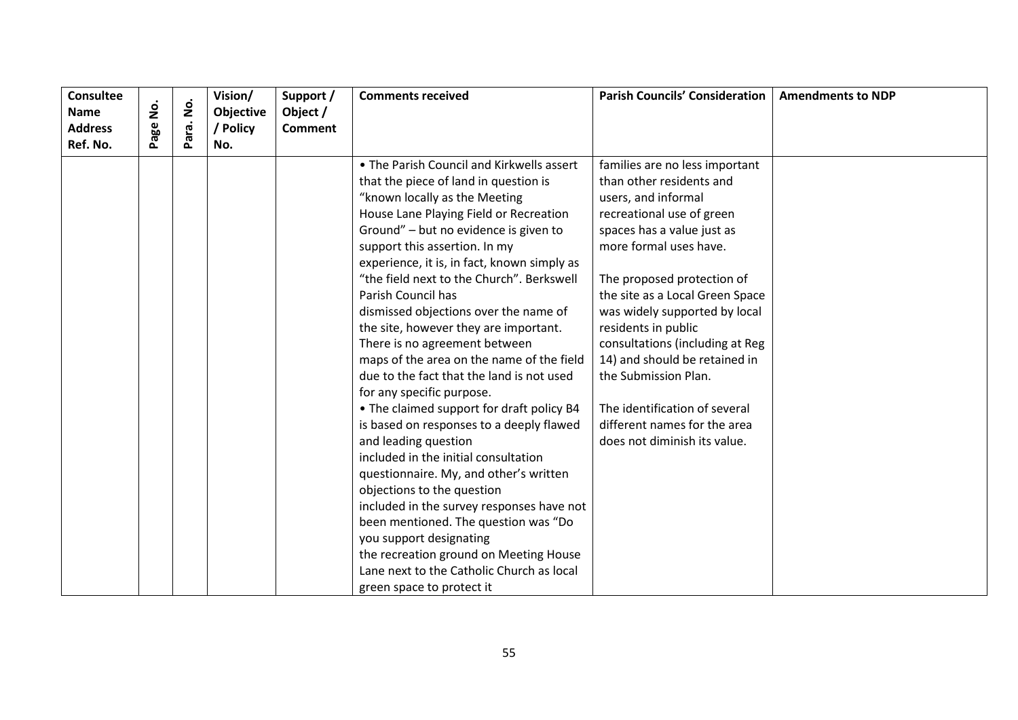| <b>Consultee</b>           |     | $\dot{\mathsf{S}}$ | Vision/         | Support /      | <b>Comments received</b>                    | <b>Parish Councils' Consideration</b> | <b>Amendments to NDP</b> |
|----------------------------|-----|--------------------|-----------------|----------------|---------------------------------------------|---------------------------------------|--------------------------|
| <b>Name</b>                | ġ   |                    | Objective       | Object /       |                                             |                                       |                          |
| <b>Address</b><br>Ref. No. | age | Para.              | ' Policy<br>No. | <b>Comment</b> |                                             |                                       |                          |
|                            |     |                    |                 |                |                                             |                                       |                          |
|                            |     |                    |                 |                | • The Parish Council and Kirkwells assert   | families are no less important        |                          |
|                            |     |                    |                 |                | that the piece of land in question is       | than other residents and              |                          |
|                            |     |                    |                 |                | "known locally as the Meeting               | users, and informal                   |                          |
|                            |     |                    |                 |                | House Lane Playing Field or Recreation      | recreational use of green             |                          |
|                            |     |                    |                 |                | Ground" - but no evidence is given to       | spaces has a value just as            |                          |
|                            |     |                    |                 |                | support this assertion. In my               | more formal uses have.                |                          |
|                            |     |                    |                 |                | experience, it is, in fact, known simply as |                                       |                          |
|                            |     |                    |                 |                | "the field next to the Church". Berkswell   | The proposed protection of            |                          |
|                            |     |                    |                 |                | Parish Council has                          | the site as a Local Green Space       |                          |
|                            |     |                    |                 |                | dismissed objections over the name of       | was widely supported by local         |                          |
|                            |     |                    |                 |                | the site, however they are important.       | residents in public                   |                          |
|                            |     |                    |                 |                | There is no agreement between               | consultations (including at Reg       |                          |
|                            |     |                    |                 |                | maps of the area on the name of the field   | 14) and should be retained in         |                          |
|                            |     |                    |                 |                | due to the fact that the land is not used   | the Submission Plan.                  |                          |
|                            |     |                    |                 |                | for any specific purpose.                   |                                       |                          |
|                            |     |                    |                 |                | • The claimed support for draft policy B4   | The identification of several         |                          |
|                            |     |                    |                 |                | is based on responses to a deeply flawed    | different names for the area          |                          |
|                            |     |                    |                 |                | and leading question                        | does not diminish its value.          |                          |
|                            |     |                    |                 |                | included in the initial consultation        |                                       |                          |
|                            |     |                    |                 |                | questionnaire. My, and other's written      |                                       |                          |
|                            |     |                    |                 |                | objections to the question                  |                                       |                          |
|                            |     |                    |                 |                | included in the survey responses have not   |                                       |                          |
|                            |     |                    |                 |                | been mentioned. The question was "Do        |                                       |                          |
|                            |     |                    |                 |                | you support designating                     |                                       |                          |
|                            |     |                    |                 |                | the recreation ground on Meeting House      |                                       |                          |
|                            |     |                    |                 |                | Lane next to the Catholic Church as local   |                                       |                          |
|                            |     |                    |                 |                | green space to protect it                   |                                       |                          |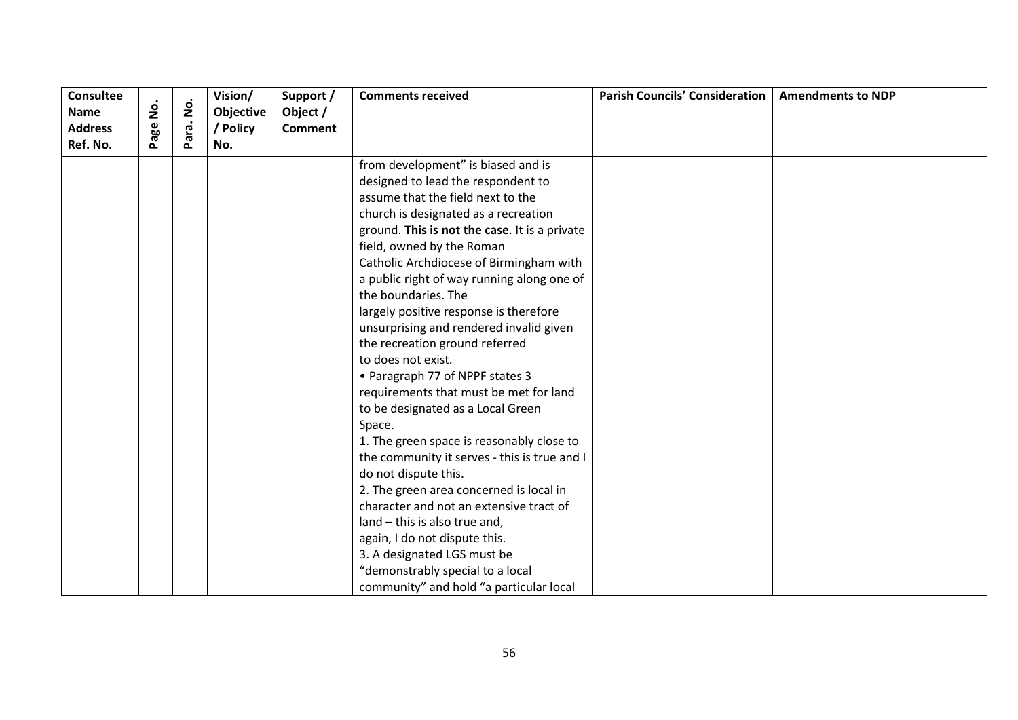| <b>Consultee</b> |               |                    | Vision/   | Support /      | <b>Comments received</b>                      | <b>Parish Councils' Consideration</b> | <b>Amendments to NDP</b> |
|------------------|---------------|--------------------|-----------|----------------|-----------------------------------------------|---------------------------------------|--------------------------|
| <b>Name</b>      | <u>o</u><br>Z | $\dot{\mathsf{S}}$ | Objective | Object /       |                                               |                                       |                          |
| <b>Address</b>   | Page          | Para.              | / Policy  | <b>Comment</b> |                                               |                                       |                          |
| Ref. No.         |               |                    | No.       |                |                                               |                                       |                          |
|                  |               |                    |           |                | from development" is biased and is            |                                       |                          |
|                  |               |                    |           |                | designed to lead the respondent to            |                                       |                          |
|                  |               |                    |           |                | assume that the field next to the             |                                       |                          |
|                  |               |                    |           |                | church is designated as a recreation          |                                       |                          |
|                  |               |                    |           |                | ground. This is not the case. It is a private |                                       |                          |
|                  |               |                    |           |                | field, owned by the Roman                     |                                       |                          |
|                  |               |                    |           |                | Catholic Archdiocese of Birmingham with       |                                       |                          |
|                  |               |                    |           |                | a public right of way running along one of    |                                       |                          |
|                  |               |                    |           |                | the boundaries. The                           |                                       |                          |
|                  |               |                    |           |                | largely positive response is therefore        |                                       |                          |
|                  |               |                    |           |                | unsurprising and rendered invalid given       |                                       |                          |
|                  |               |                    |           |                | the recreation ground referred                |                                       |                          |
|                  |               |                    |           |                | to does not exist.                            |                                       |                          |
|                  |               |                    |           |                | • Paragraph 77 of NPPF states 3               |                                       |                          |
|                  |               |                    |           |                | requirements that must be met for land        |                                       |                          |
|                  |               |                    |           |                | to be designated as a Local Green             |                                       |                          |
|                  |               |                    |           |                | Space.                                        |                                       |                          |
|                  |               |                    |           |                | 1. The green space is reasonably close to     |                                       |                          |
|                  |               |                    |           |                | the community it serves - this is true and I  |                                       |                          |
|                  |               |                    |           |                | do not dispute this.                          |                                       |                          |
|                  |               |                    |           |                | 2. The green area concerned is local in       |                                       |                          |
|                  |               |                    |           |                | character and not an extensive tract of       |                                       |                          |
|                  |               |                    |           |                | land - this is also true and,                 |                                       |                          |
|                  |               |                    |           |                | again, I do not dispute this.                 |                                       |                          |
|                  |               |                    |           |                | 3. A designated LGS must be                   |                                       |                          |
|                  |               |                    |           |                | "demonstrably special to a local              |                                       |                          |
|                  |               |                    |           |                | community" and hold "a particular local       |                                       |                          |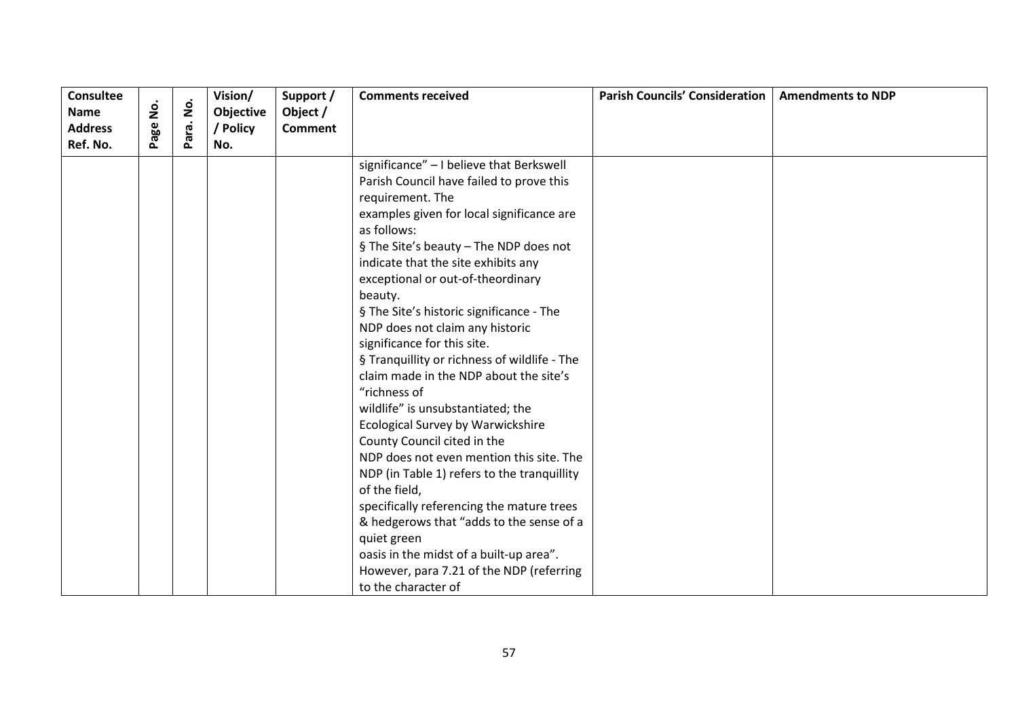| <b>Consultee</b> |          |                    | Vision/   | Support /      | <b>Comments received</b>                     | <b>Parish Councils' Consideration</b> | <b>Amendments to NDP</b> |
|------------------|----------|--------------------|-----------|----------------|----------------------------------------------|---------------------------------------|--------------------------|
| <b>Name</b>      | <u>o</u> | $\mathbf{\dot{g}}$ | Objective | Object /       |                                              |                                       |                          |
| <b>Address</b>   | Page     | Para.              | / Policy  | <b>Comment</b> |                                              |                                       |                          |
| Ref. No.         |          |                    | No.       |                |                                              |                                       |                          |
|                  |          |                    |           |                | significance" - I believe that Berkswell     |                                       |                          |
|                  |          |                    |           |                | Parish Council have failed to prove this     |                                       |                          |
|                  |          |                    |           |                | requirement. The                             |                                       |                          |
|                  |          |                    |           |                | examples given for local significance are    |                                       |                          |
|                  |          |                    |           |                | as follows:                                  |                                       |                          |
|                  |          |                    |           |                | § The Site's beauty - The NDP does not       |                                       |                          |
|                  |          |                    |           |                | indicate that the site exhibits any          |                                       |                          |
|                  |          |                    |           |                | exceptional or out-of-theordinary            |                                       |                          |
|                  |          |                    |           |                | beauty.                                      |                                       |                          |
|                  |          |                    |           |                | § The Site's historic significance - The     |                                       |                          |
|                  |          |                    |           |                | NDP does not claim any historic              |                                       |                          |
|                  |          |                    |           |                | significance for this site.                  |                                       |                          |
|                  |          |                    |           |                | § Tranquillity or richness of wildlife - The |                                       |                          |
|                  |          |                    |           |                | claim made in the NDP about the site's       |                                       |                          |
|                  |          |                    |           |                | "richness of                                 |                                       |                          |
|                  |          |                    |           |                | wildlife" is unsubstantiated; the            |                                       |                          |
|                  |          |                    |           |                | <b>Ecological Survey by Warwickshire</b>     |                                       |                          |
|                  |          |                    |           |                | County Council cited in the                  |                                       |                          |
|                  |          |                    |           |                | NDP does not even mention this site. The     |                                       |                          |
|                  |          |                    |           |                | NDP (in Table 1) refers to the tranquillity  |                                       |                          |
|                  |          |                    |           |                | of the field,                                |                                       |                          |
|                  |          |                    |           |                | specifically referencing the mature trees    |                                       |                          |
|                  |          |                    |           |                | & hedgerows that "adds to the sense of a     |                                       |                          |
|                  |          |                    |           |                | quiet green                                  |                                       |                          |
|                  |          |                    |           |                | oasis in the midst of a built-up area".      |                                       |                          |
|                  |          |                    |           |                | However, para 7.21 of the NDP (referring     |                                       |                          |
|                  |          |                    |           |                | to the character of                          |                                       |                          |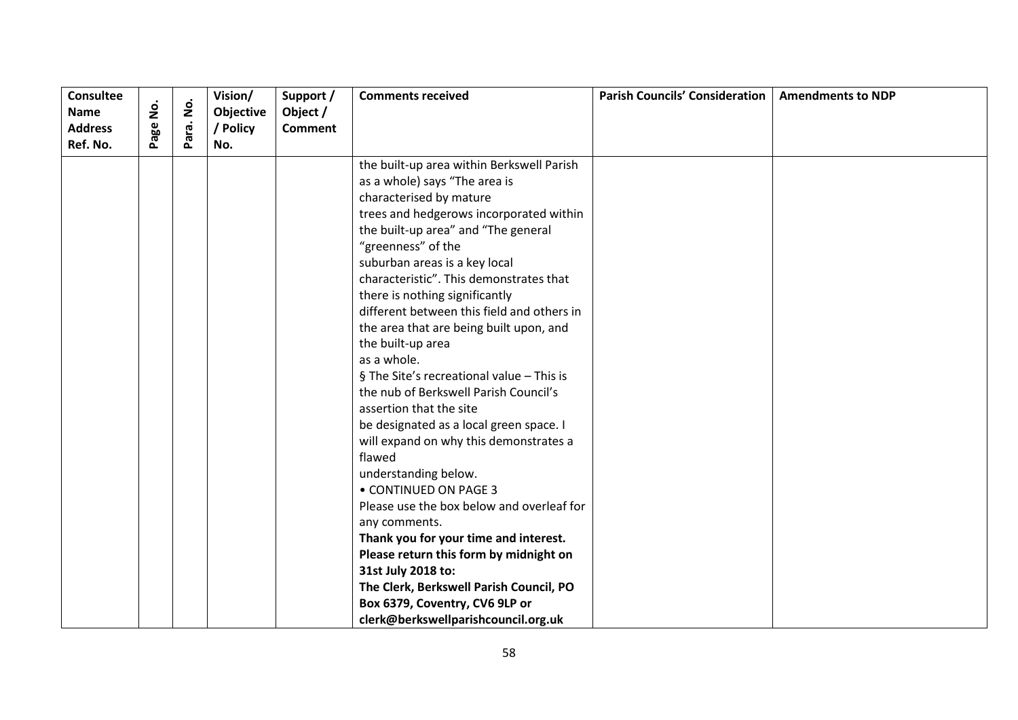| <b>Consultee</b> |      |                    | Vision/   | Support /      | <b>Comments received</b>                   | <b>Parish Councils' Consideration</b> | <b>Amendments to NDP</b> |
|------------------|------|--------------------|-----------|----------------|--------------------------------------------|---------------------------------------|--------------------------|
| <b>Name</b>      | ġ    | $\dot{\mathbf{g}}$ | Objective | Object /       |                                            |                                       |                          |
| <b>Address</b>   | Page | Para.              | / Policy  | <b>Comment</b> |                                            |                                       |                          |
| Ref. No.         |      |                    | No.       |                |                                            |                                       |                          |
|                  |      |                    |           |                | the built-up area within Berkswell Parish  |                                       |                          |
|                  |      |                    |           |                | as a whole) says "The area is              |                                       |                          |
|                  |      |                    |           |                | characterised by mature                    |                                       |                          |
|                  |      |                    |           |                | trees and hedgerows incorporated within    |                                       |                          |
|                  |      |                    |           |                | the built-up area" and "The general        |                                       |                          |
|                  |      |                    |           |                | "greenness" of the                         |                                       |                          |
|                  |      |                    |           |                | suburban areas is a key local              |                                       |                          |
|                  |      |                    |           |                | characteristic". This demonstrates that    |                                       |                          |
|                  |      |                    |           |                | there is nothing significantly             |                                       |                          |
|                  |      |                    |           |                | different between this field and others in |                                       |                          |
|                  |      |                    |           |                | the area that are being built upon, and    |                                       |                          |
|                  |      |                    |           |                | the built-up area                          |                                       |                          |
|                  |      |                    |           |                | as a whole.                                |                                       |                          |
|                  |      |                    |           |                | § The Site's recreational value - This is  |                                       |                          |
|                  |      |                    |           |                | the nub of Berkswell Parish Council's      |                                       |                          |
|                  |      |                    |           |                | assertion that the site                    |                                       |                          |
|                  |      |                    |           |                | be designated as a local green space. I    |                                       |                          |
|                  |      |                    |           |                | will expand on why this demonstrates a     |                                       |                          |
|                  |      |                    |           |                | flawed                                     |                                       |                          |
|                  |      |                    |           |                | understanding below.                       |                                       |                          |
|                  |      |                    |           |                | • CONTINUED ON PAGE 3                      |                                       |                          |
|                  |      |                    |           |                | Please use the box below and overleaf for  |                                       |                          |
|                  |      |                    |           |                | any comments.                              |                                       |                          |
|                  |      |                    |           |                | Thank you for your time and interest.      |                                       |                          |
|                  |      |                    |           |                | Please return this form by midnight on     |                                       |                          |
|                  |      |                    |           |                | 31st July 2018 to:                         |                                       |                          |
|                  |      |                    |           |                | The Clerk, Berkswell Parish Council, PO    |                                       |                          |
|                  |      |                    |           |                | Box 6379, Coventry, CV6 9LP or             |                                       |                          |
|                  |      |                    |           |                | clerk@berkswellparishcouncil.org.uk        |                                       |                          |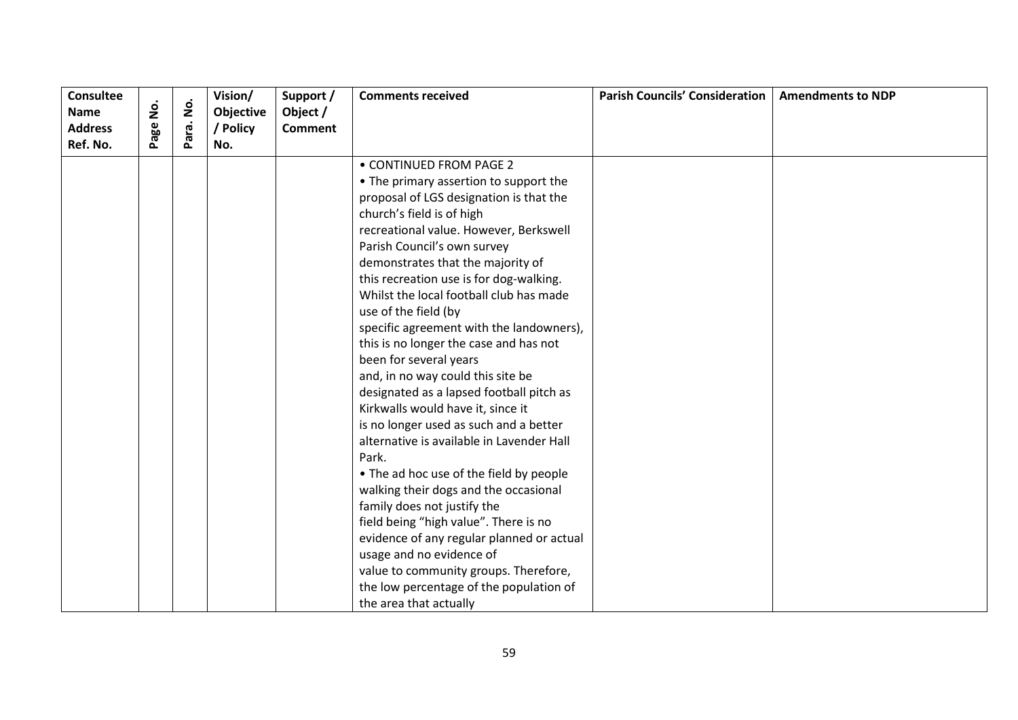| <b>Consultee</b> |        |                    | Vision/   | Support /      | <b>Comments received</b>                  | <b>Parish Councils' Consideration</b> | <b>Amendments to NDP</b> |
|------------------|--------|--------------------|-----------|----------------|-------------------------------------------|---------------------------------------|--------------------------|
| <b>Name</b>      | .<br>2 | $\dot{\mathsf{S}}$ | Objective | Object /       |                                           |                                       |                          |
| <b>Address</b>   | Page   | Para.              | / Policy  | <b>Comment</b> |                                           |                                       |                          |
| Ref. No.         |        |                    | No.       |                |                                           |                                       |                          |
|                  |        |                    |           |                | • CONTINUED FROM PAGE 2                   |                                       |                          |
|                  |        |                    |           |                | • The primary assertion to support the    |                                       |                          |
|                  |        |                    |           |                | proposal of LGS designation is that the   |                                       |                          |
|                  |        |                    |           |                | church's field is of high                 |                                       |                          |
|                  |        |                    |           |                | recreational value. However, Berkswell    |                                       |                          |
|                  |        |                    |           |                | Parish Council's own survey               |                                       |                          |
|                  |        |                    |           |                | demonstrates that the majority of         |                                       |                          |
|                  |        |                    |           |                | this recreation use is for dog-walking.   |                                       |                          |
|                  |        |                    |           |                | Whilst the local football club has made   |                                       |                          |
|                  |        |                    |           |                | use of the field (by                      |                                       |                          |
|                  |        |                    |           |                | specific agreement with the landowners),  |                                       |                          |
|                  |        |                    |           |                | this is no longer the case and has not    |                                       |                          |
|                  |        |                    |           |                | been for several years                    |                                       |                          |
|                  |        |                    |           |                | and, in no way could this site be         |                                       |                          |
|                  |        |                    |           |                | designated as a lapsed football pitch as  |                                       |                          |
|                  |        |                    |           |                | Kirkwalls would have it, since it         |                                       |                          |
|                  |        |                    |           |                | is no longer used as such and a better    |                                       |                          |
|                  |        |                    |           |                | alternative is available in Lavender Hall |                                       |                          |
|                  |        |                    |           |                | Park.                                     |                                       |                          |
|                  |        |                    |           |                | • The ad hoc use of the field by people   |                                       |                          |
|                  |        |                    |           |                | walking their dogs and the occasional     |                                       |                          |
|                  |        |                    |           |                | family does not justify the               |                                       |                          |
|                  |        |                    |           |                | field being "high value". There is no     |                                       |                          |
|                  |        |                    |           |                | evidence of any regular planned or actual |                                       |                          |
|                  |        |                    |           |                | usage and no evidence of                  |                                       |                          |
|                  |        |                    |           |                | value to community groups. Therefore,     |                                       |                          |
|                  |        |                    |           |                | the low percentage of the population of   |                                       |                          |
|                  |        |                    |           |                | the area that actually                    |                                       |                          |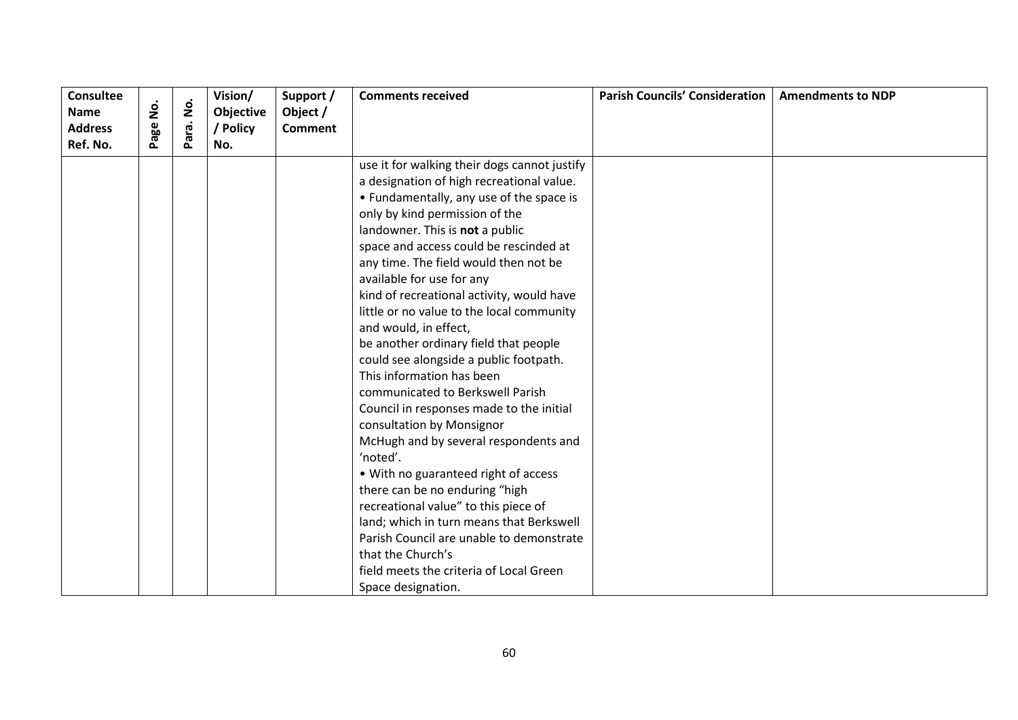| <b>Consultee</b> |      |                    | Vision/   | Support /      | <b>Comments received</b>                     | <b>Parish Councils' Consideration</b> | <b>Amendments to NDP</b> |
|------------------|------|--------------------|-----------|----------------|----------------------------------------------|---------------------------------------|--------------------------|
| <b>Name</b>      | ġ    | $\mathbf{\dot{g}}$ | Objective | Object /       |                                              |                                       |                          |
| <b>Address</b>   | Page | Para.              | / Policy  | <b>Comment</b> |                                              |                                       |                          |
| Ref. No.         |      |                    | No.       |                |                                              |                                       |                          |
|                  |      |                    |           |                | use it for walking their dogs cannot justify |                                       |                          |
|                  |      |                    |           |                | a designation of high recreational value.    |                                       |                          |
|                  |      |                    |           |                | • Fundamentally, any use of the space is     |                                       |                          |
|                  |      |                    |           |                | only by kind permission of the               |                                       |                          |
|                  |      |                    |           |                | landowner. This is not a public              |                                       |                          |
|                  |      |                    |           |                | space and access could be rescinded at       |                                       |                          |
|                  |      |                    |           |                | any time. The field would then not be        |                                       |                          |
|                  |      |                    |           |                | available for use for any                    |                                       |                          |
|                  |      |                    |           |                | kind of recreational activity, would have    |                                       |                          |
|                  |      |                    |           |                | little or no value to the local community    |                                       |                          |
|                  |      |                    |           |                | and would, in effect,                        |                                       |                          |
|                  |      |                    |           |                | be another ordinary field that people        |                                       |                          |
|                  |      |                    |           |                | could see alongside a public footpath.       |                                       |                          |
|                  |      |                    |           |                | This information has been                    |                                       |                          |
|                  |      |                    |           |                | communicated to Berkswell Parish             |                                       |                          |
|                  |      |                    |           |                | Council in responses made to the initial     |                                       |                          |
|                  |      |                    |           |                | consultation by Monsignor                    |                                       |                          |
|                  |      |                    |           |                | McHugh and by several respondents and        |                                       |                          |
|                  |      |                    |           |                | 'noted'.                                     |                                       |                          |
|                  |      |                    |           |                | • With no guaranteed right of access         |                                       |                          |
|                  |      |                    |           |                | there can be no enduring "high               |                                       |                          |
|                  |      |                    |           |                | recreational value" to this piece of         |                                       |                          |
|                  |      |                    |           |                | land; which in turn means that Berkswell     |                                       |                          |
|                  |      |                    |           |                | Parish Council are unable to demonstrate     |                                       |                          |
|                  |      |                    |           |                | that the Church's                            |                                       |                          |
|                  |      |                    |           |                | field meets the criteria of Local Green      |                                       |                          |
|                  |      |                    |           |                | Space designation.                           |                                       |                          |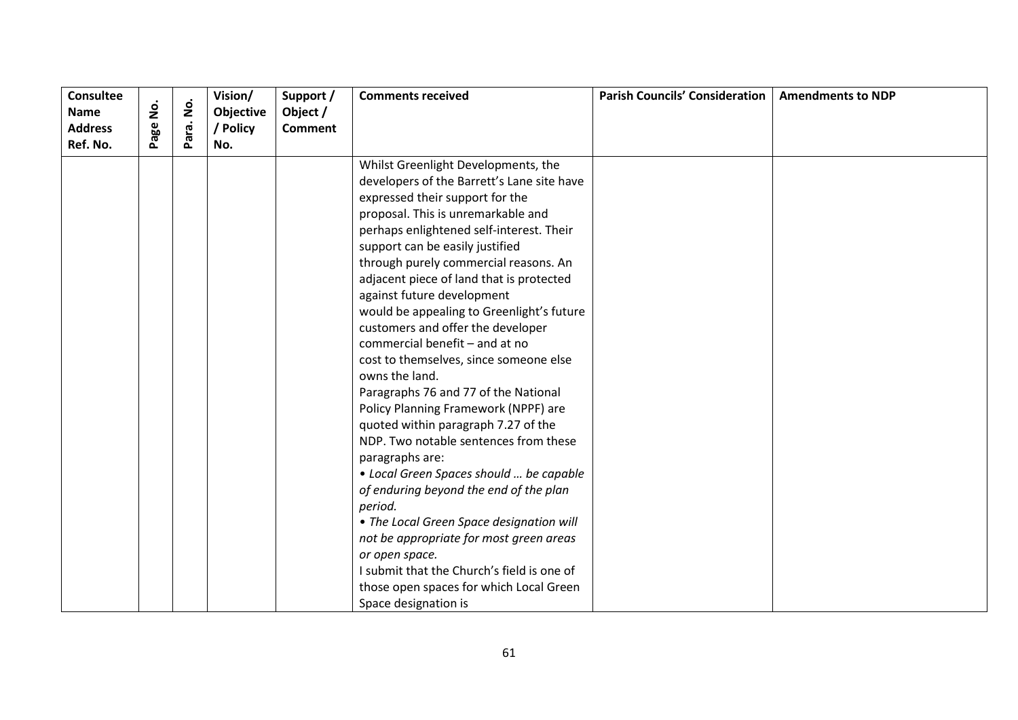| <b>Consultee</b><br><b>Name</b><br><b>Address</b> | age No. | $\dot{\mathsf{p}}$ | Vision/<br>Objective | Support /<br>Object / | <b>Comments received</b>                                              | <b>Parish Councils' Consideration</b> | <b>Amendments to NDP</b> |
|---------------------------------------------------|---------|--------------------|----------------------|-----------------------|-----------------------------------------------------------------------|---------------------------------------|--------------------------|
| Ref. No.                                          |         | ara.<br>௳          | / Policy<br>No.      | <b>Comment</b>        |                                                                       |                                       |                          |
|                                                   |         |                    |                      |                       | Whilst Greenlight Developments, the                                   |                                       |                          |
|                                                   |         |                    |                      |                       | developers of the Barrett's Lane site have                            |                                       |                          |
|                                                   |         |                    |                      |                       | expressed their support for the<br>proposal. This is unremarkable and |                                       |                          |
|                                                   |         |                    |                      |                       | perhaps enlightened self-interest. Their                              |                                       |                          |
|                                                   |         |                    |                      |                       | support can be easily justified                                       |                                       |                          |
|                                                   |         |                    |                      |                       | through purely commercial reasons. An                                 |                                       |                          |
|                                                   |         |                    |                      |                       | adjacent piece of land that is protected                              |                                       |                          |
|                                                   |         |                    |                      |                       | against future development                                            |                                       |                          |
|                                                   |         |                    |                      |                       | would be appealing to Greenlight's future                             |                                       |                          |
|                                                   |         |                    |                      |                       | customers and offer the developer                                     |                                       |                          |
|                                                   |         |                    |                      |                       | commercial benefit - and at no                                        |                                       |                          |
|                                                   |         |                    |                      |                       | cost to themselves, since someone else                                |                                       |                          |
|                                                   |         |                    |                      |                       | owns the land.                                                        |                                       |                          |
|                                                   |         |                    |                      |                       | Paragraphs 76 and 77 of the National                                  |                                       |                          |
|                                                   |         |                    |                      |                       | Policy Planning Framework (NPPF) are                                  |                                       |                          |
|                                                   |         |                    |                      |                       | quoted within paragraph 7.27 of the                                   |                                       |                          |
|                                                   |         |                    |                      |                       | NDP. Two notable sentences from these                                 |                                       |                          |
|                                                   |         |                    |                      |                       | paragraphs are:                                                       |                                       |                          |
|                                                   |         |                    |                      |                       | • Local Green Spaces should  be capable                               |                                       |                          |
|                                                   |         |                    |                      |                       | of enduring beyond the end of the plan                                |                                       |                          |
|                                                   |         |                    |                      |                       | period.                                                               |                                       |                          |
|                                                   |         |                    |                      |                       | • The Local Green Space designation will                              |                                       |                          |
|                                                   |         |                    |                      |                       | not be appropriate for most green areas                               |                                       |                          |
|                                                   |         |                    |                      |                       | or open space.                                                        |                                       |                          |
|                                                   |         |                    |                      |                       | I submit that the Church's field is one of                            |                                       |                          |
|                                                   |         |                    |                      |                       | those open spaces for which Local Green                               |                                       |                          |
|                                                   |         |                    |                      |                       | Space designation is                                                  |                                       |                          |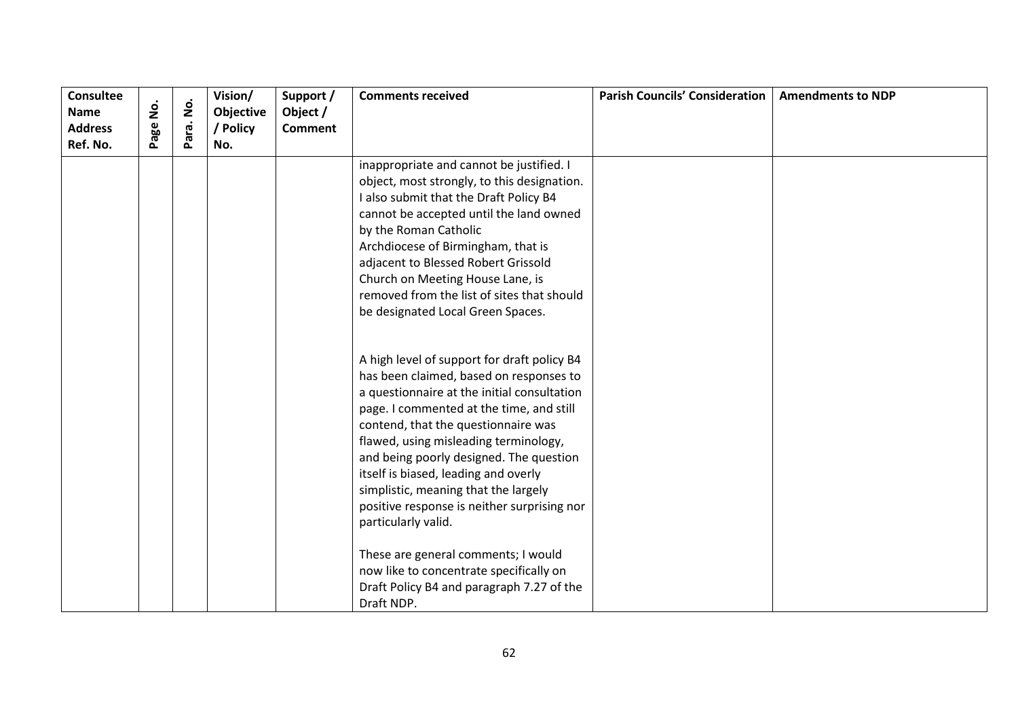| <b>Consultee</b><br><b>Name</b> | .<br>2 | $\dot{\mathsf{S}}$ | Vision/<br>Objective | Support /<br>Object / | <b>Comments received</b>                                                                                                                                                                                                                                                                                                                      | <b>Parish Councils' Consideration</b> | <b>Amendments to NDP</b> |
|---------------------------------|--------|--------------------|----------------------|-----------------------|-----------------------------------------------------------------------------------------------------------------------------------------------------------------------------------------------------------------------------------------------------------------------------------------------------------------------------------------------|---------------------------------------|--------------------------|
| <b>Address</b>                  |        |                    | / Policy             | <b>Comment</b>        |                                                                                                                                                                                                                                                                                                                                               |                                       |                          |
| Ref. No.                        | Page   | Para.              | No.                  |                       |                                                                                                                                                                                                                                                                                                                                               |                                       |                          |
|                                 |        |                    |                      |                       | inappropriate and cannot be justified. I<br>object, most strongly, to this designation.<br>I also submit that the Draft Policy B4<br>cannot be accepted until the land owned<br>by the Roman Catholic<br>Archdiocese of Birmingham, that is<br>adjacent to Blessed Robert Grissold<br>Church on Meeting House Lane, is                        |                                       |                          |
|                                 |        |                    |                      |                       | removed from the list of sites that should<br>be designated Local Green Spaces.<br>A high level of support for draft policy B4                                                                                                                                                                                                                |                                       |                          |
|                                 |        |                    |                      |                       | has been claimed, based on responses to<br>a questionnaire at the initial consultation<br>page. I commented at the time, and still<br>contend, that the questionnaire was<br>flawed, using misleading terminology,<br>and being poorly designed. The question<br>itself is biased, leading and overly<br>simplistic, meaning that the largely |                                       |                          |
|                                 |        |                    |                      |                       | positive response is neither surprising nor<br>particularly valid.<br>These are general comments; I would<br>now like to concentrate specifically on<br>Draft Policy B4 and paragraph 7.27 of the<br>Draft NDP.                                                                                                                               |                                       |                          |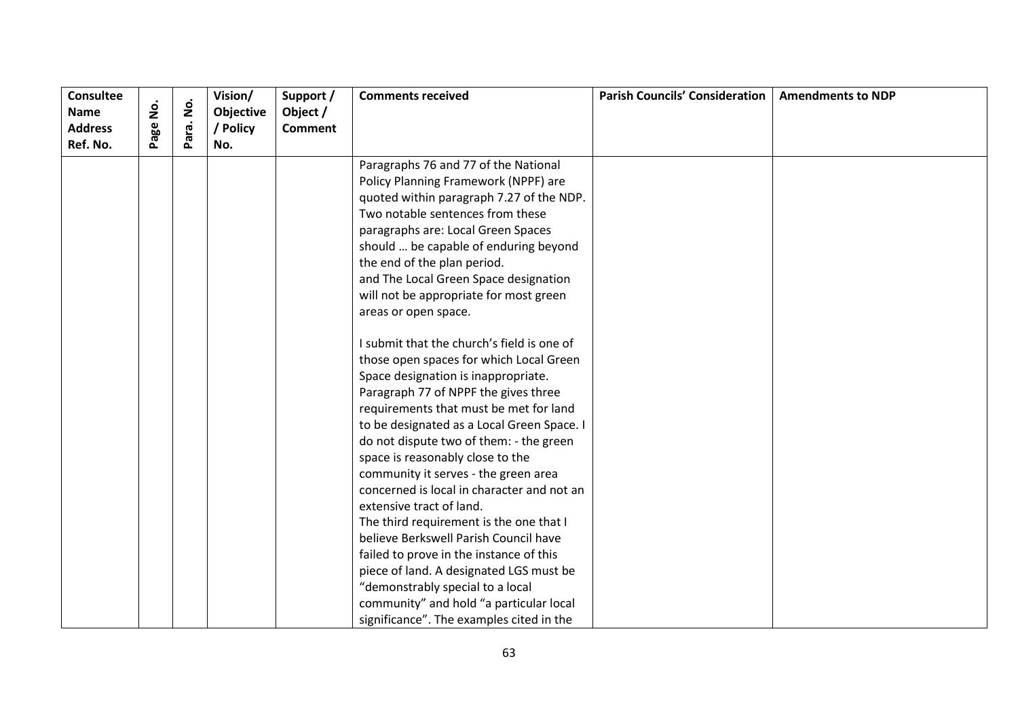| <b>Consultee</b> |                    |                    | Vision/   | Support /      | <b>Comments received</b>                   | <b>Parish Councils' Consideration</b> | <b>Amendments to NDP</b> |
|------------------|--------------------|--------------------|-----------|----------------|--------------------------------------------|---------------------------------------|--------------------------|
| <b>Name</b>      | $\dot{\mathsf{S}}$ | $\dot{\mathsf{S}}$ | Objective | Object /       |                                            |                                       |                          |
| <b>Address</b>   | Page               | Para.              | / Policy  | <b>Comment</b> |                                            |                                       |                          |
| Ref. No.         |                    |                    | No.       |                |                                            |                                       |                          |
|                  |                    |                    |           |                | Paragraphs 76 and 77 of the National       |                                       |                          |
|                  |                    |                    |           |                | Policy Planning Framework (NPPF) are       |                                       |                          |
|                  |                    |                    |           |                | quoted within paragraph 7.27 of the NDP.   |                                       |                          |
|                  |                    |                    |           |                | Two notable sentences from these           |                                       |                          |
|                  |                    |                    |           |                | paragraphs are: Local Green Spaces         |                                       |                          |
|                  |                    |                    |           |                | should  be capable of enduring beyond      |                                       |                          |
|                  |                    |                    |           |                | the end of the plan period.                |                                       |                          |
|                  |                    |                    |           |                | and The Local Green Space designation      |                                       |                          |
|                  |                    |                    |           |                | will not be appropriate for most green     |                                       |                          |
|                  |                    |                    |           |                | areas or open space.                       |                                       |                          |
|                  |                    |                    |           |                | I submit that the church's field is one of |                                       |                          |
|                  |                    |                    |           |                | those open spaces for which Local Green    |                                       |                          |
|                  |                    |                    |           |                | Space designation is inappropriate.        |                                       |                          |
|                  |                    |                    |           |                | Paragraph 77 of NPPF the gives three       |                                       |                          |
|                  |                    |                    |           |                | requirements that must be met for land     |                                       |                          |
|                  |                    |                    |           |                | to be designated as a Local Green Space. I |                                       |                          |
|                  |                    |                    |           |                | do not dispute two of them: - the green    |                                       |                          |
|                  |                    |                    |           |                | space is reasonably close to the           |                                       |                          |
|                  |                    |                    |           |                | community it serves - the green area       |                                       |                          |
|                  |                    |                    |           |                | concerned is local in character and not an |                                       |                          |
|                  |                    |                    |           |                | extensive tract of land.                   |                                       |                          |
|                  |                    |                    |           |                | The third requirement is the one that I    |                                       |                          |
|                  |                    |                    |           |                | believe Berkswell Parish Council have      |                                       |                          |
|                  |                    |                    |           |                | failed to prove in the instance of this    |                                       |                          |
|                  |                    |                    |           |                | piece of land. A designated LGS must be    |                                       |                          |
|                  |                    |                    |           |                | "demonstrably special to a local           |                                       |                          |
|                  |                    |                    |           |                | community" and hold "a particular local    |                                       |                          |
|                  |                    |                    |           |                | significance". The examples cited in the   |                                       |                          |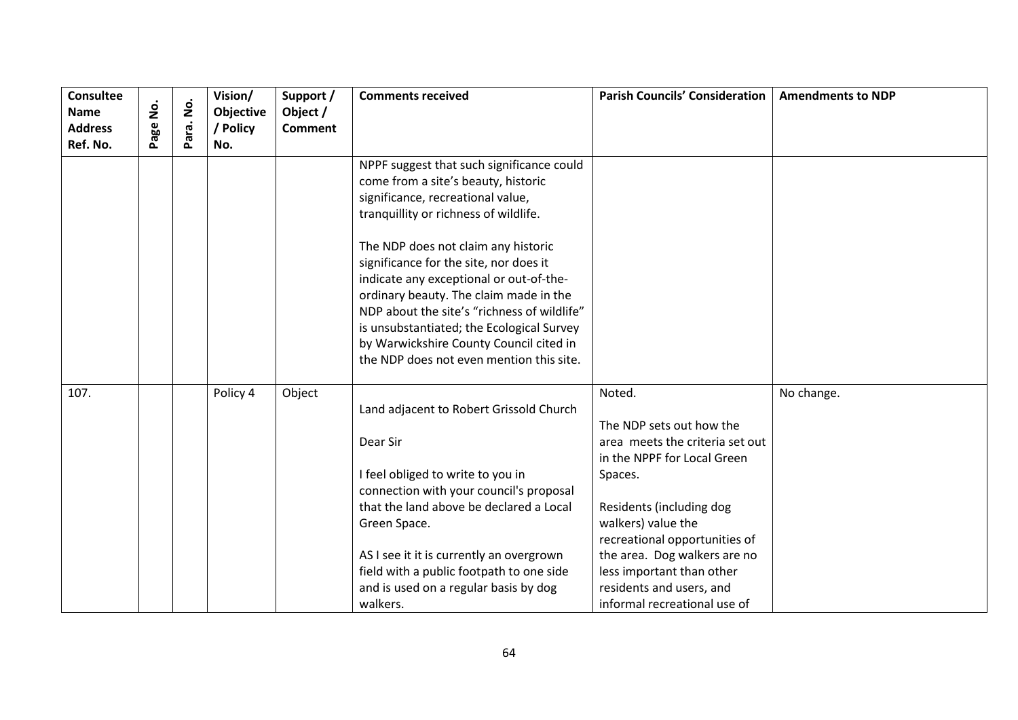| <b>Consultee</b><br><b>Name</b><br><b>Address</b><br>Ref. No. | $\dot{z}$<br>Page | $\dot{\mathsf{S}}$<br>Para. | Vision/<br>Objective<br>/ Policy<br>No. | Support /<br>Object /<br><b>Comment</b> | <b>Comments received</b>                                                                                                                                                                                                                                                                                                                                                                                                                                                                                                | <b>Parish Councils' Consideration</b>                                                                                                                                                                                                                                                                                       | <b>Amendments to NDP</b> |
|---------------------------------------------------------------|-------------------|-----------------------------|-----------------------------------------|-----------------------------------------|-------------------------------------------------------------------------------------------------------------------------------------------------------------------------------------------------------------------------------------------------------------------------------------------------------------------------------------------------------------------------------------------------------------------------------------------------------------------------------------------------------------------------|-----------------------------------------------------------------------------------------------------------------------------------------------------------------------------------------------------------------------------------------------------------------------------------------------------------------------------|--------------------------|
|                                                               |                   |                             |                                         |                                         | NPPF suggest that such significance could<br>come from a site's beauty, historic<br>significance, recreational value,<br>tranquillity or richness of wildlife.<br>The NDP does not claim any historic<br>significance for the site, nor does it<br>indicate any exceptional or out-of-the-<br>ordinary beauty. The claim made in the<br>NDP about the site's "richness of wildlife"<br>is unsubstantiated; the Ecological Survey<br>by Warwickshire County Council cited in<br>the NDP does not even mention this site. |                                                                                                                                                                                                                                                                                                                             |                          |
| 107.                                                          |                   |                             | Policy 4                                | Object                                  | Land adjacent to Robert Grissold Church<br>Dear Sir<br>I feel obliged to write to you in<br>connection with your council's proposal<br>that the land above be declared a Local<br>Green Space.<br>AS I see it it is currently an overgrown<br>field with a public footpath to one side<br>and is used on a regular basis by dog<br>walkers.                                                                                                                                                                             | Noted.<br>The NDP sets out how the<br>area meets the criteria set out<br>in the NPPF for Local Green<br>Spaces.<br>Residents (including dog<br>walkers) value the<br>recreational opportunities of<br>the area. Dog walkers are no<br>less important than other<br>residents and users, and<br>informal recreational use of | No change.               |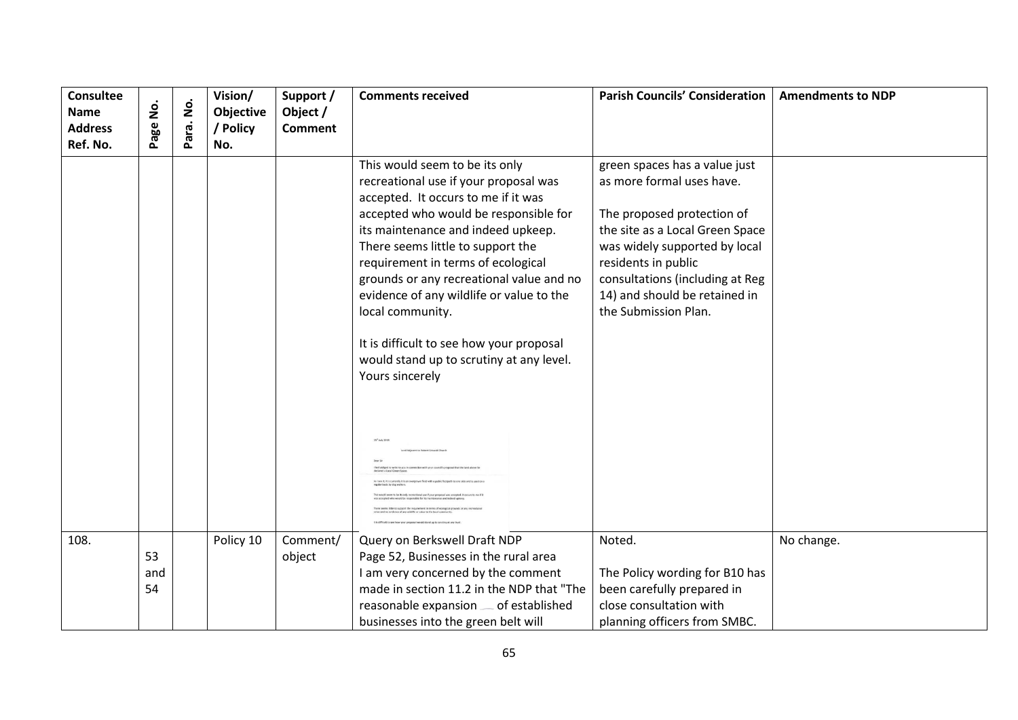| <b>Consultee</b><br><b>Name</b><br><b>Address</b> | <u>o</u><br>Z<br>age | $\dot{\mathsf{S}}$<br>ara. | Vision/<br>Objective<br>/ Policy | Support /<br>Object /<br><b>Comment</b> | <b>Comments received</b>                                                                                                                                                                                                                                                                                                                                                                                                                                                                                                     | <b>Parish Councils' Consideration</b>                                                                                                                                                                                                                                           | <b>Amendments to NDP</b> |
|---------------------------------------------------|----------------------|----------------------------|----------------------------------|-----------------------------------------|------------------------------------------------------------------------------------------------------------------------------------------------------------------------------------------------------------------------------------------------------------------------------------------------------------------------------------------------------------------------------------------------------------------------------------------------------------------------------------------------------------------------------|---------------------------------------------------------------------------------------------------------------------------------------------------------------------------------------------------------------------------------------------------------------------------------|--------------------------|
| Ref. No.                                          |                      | Ä.                         | No.                              |                                         |                                                                                                                                                                                                                                                                                                                                                                                                                                                                                                                              |                                                                                                                                                                                                                                                                                 |                          |
|                                                   |                      |                            |                                  |                                         | This would seem to be its only<br>recreational use if your proposal was<br>accepted. It occurs to me if it was<br>accepted who would be responsible for<br>its maintenance and indeed upkeep.<br>There seems little to support the<br>requirement in terms of ecological<br>grounds or any recreational value and no<br>evidence of any wildlife or value to the<br>local community.<br>It is difficult to see how your proposal<br>would stand up to scrutiny at any level.<br>Yours sincerely<br>23 <sup>°</sup> July 2018 | green spaces has a value just<br>as more formal uses have.<br>The proposed protection of<br>the site as a Local Green Space<br>was widely supported by local<br>residents in public<br>consultations (including at Reg<br>14) and should be retained in<br>the Submission Plan. |                          |
|                                                   |                      |                            |                                  |                                         | o supports<br>not of any wildlife or value to the local cor                                                                                                                                                                                                                                                                                                                                                                                                                                                                  |                                                                                                                                                                                                                                                                                 |                          |
| 108.                                              |                      |                            | Policy 10                        | Comment/                                | Query on Berkswell Draft NDP                                                                                                                                                                                                                                                                                                                                                                                                                                                                                                 | Noted.                                                                                                                                                                                                                                                                          | No change.               |
|                                                   | 53                   |                            |                                  | object                                  | Page 52, Businesses in the rural area                                                                                                                                                                                                                                                                                                                                                                                                                                                                                        |                                                                                                                                                                                                                                                                                 |                          |
|                                                   | and                  |                            |                                  |                                         | I am very concerned by the comment                                                                                                                                                                                                                                                                                                                                                                                                                                                                                           | The Policy wording for B10 has                                                                                                                                                                                                                                                  |                          |
|                                                   | 54                   |                            |                                  |                                         | made in section 11.2 in the NDP that "The                                                                                                                                                                                                                                                                                                                                                                                                                                                                                    | been carefully prepared in                                                                                                                                                                                                                                                      |                          |
|                                                   |                      |                            |                                  |                                         | reasonable expansion  of established                                                                                                                                                                                                                                                                                                                                                                                                                                                                                         | close consultation with                                                                                                                                                                                                                                                         |                          |
|                                                   |                      |                            |                                  |                                         | businesses into the green belt will                                                                                                                                                                                                                                                                                                                                                                                                                                                                                          | planning officers from SMBC.                                                                                                                                                                                                                                                    |                          |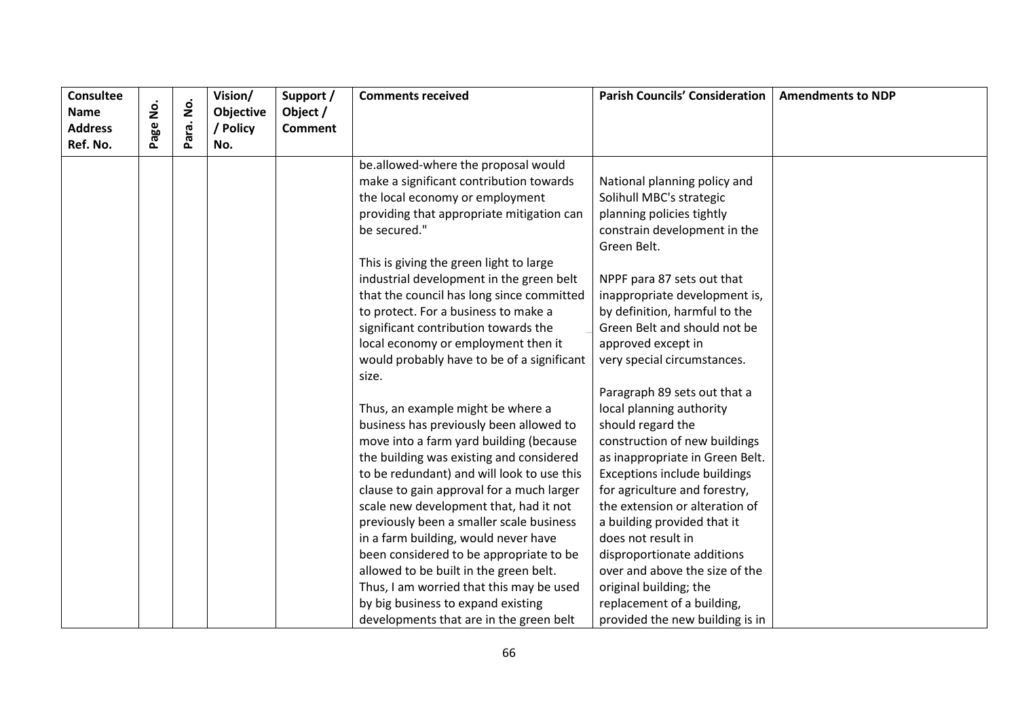| <b>Consultee</b>       |          | $\dot{\mathsf{S}}$ | Vision/                      | Support /                  | <b>Comments received</b>                   | <b>Parish Councils' Consideration</b> | <b>Amendments to NDP</b> |
|------------------------|----------|--------------------|------------------------------|----------------------------|--------------------------------------------|---------------------------------------|--------------------------|
| Name<br><b>Address</b> | Page No. |                    | <b>Objective</b><br>/ Policy | Object /<br><b>Comment</b> |                                            |                                       |                          |
| Ref. No.               |          | Para.              | No.                          |                            |                                            |                                       |                          |
|                        |          |                    |                              |                            | be.allowed-where the proposal would        |                                       |                          |
|                        |          |                    |                              |                            | make a significant contribution towards    | National planning policy and          |                          |
|                        |          |                    |                              |                            | the local economy or employment            | Solihull MBC's strategic              |                          |
|                        |          |                    |                              |                            | providing that appropriate mitigation can  | planning policies tightly             |                          |
|                        |          |                    |                              |                            | be secured."                               | constrain development in the          |                          |
|                        |          |                    |                              |                            |                                            | Green Belt.                           |                          |
|                        |          |                    |                              |                            | This is giving the green light to large    |                                       |                          |
|                        |          |                    |                              |                            | industrial development in the green belt   | NPPF para 87 sets out that            |                          |
|                        |          |                    |                              |                            | that the council has long since committed  | inappropriate development is,         |                          |
|                        |          |                    |                              |                            | to protect. For a business to make a       | by definition, harmful to the         |                          |
|                        |          |                    |                              |                            | significant contribution towards the       | Green Belt and should not be          |                          |
|                        |          |                    |                              |                            | local economy or employment then it        | approved except in                    |                          |
|                        |          |                    |                              |                            | would probably have to be of a significant | very special circumstances.           |                          |
|                        |          |                    |                              |                            | size.                                      |                                       |                          |
|                        |          |                    |                              |                            |                                            | Paragraph 89 sets out that a          |                          |
|                        |          |                    |                              |                            | Thus, an example might be where a          | local planning authority              |                          |
|                        |          |                    |                              |                            | business has previously been allowed to    | should regard the                     |                          |
|                        |          |                    |                              |                            | move into a farm yard building (because    | construction of new buildings         |                          |
|                        |          |                    |                              |                            | the building was existing and considered   | as inappropriate in Green Belt.       |                          |
|                        |          |                    |                              |                            | to be redundant) and will look to use this | Exceptions include buildings          |                          |
|                        |          |                    |                              |                            | clause to gain approval for a much larger  | for agriculture and forestry,         |                          |
|                        |          |                    |                              |                            | scale new development that, had it not     | the extension or alteration of        |                          |
|                        |          |                    |                              |                            | previously been a smaller scale business   | a building provided that it           |                          |
|                        |          |                    |                              |                            | in a farm building, would never have       | does not result in                    |                          |
|                        |          |                    |                              |                            | been considered to be appropriate to be    | disproportionate additions            |                          |
|                        |          |                    |                              |                            | allowed to be built in the green belt.     | over and above the size of the        |                          |
|                        |          |                    |                              |                            | Thus, I am worried that this may be used   | original building; the                |                          |
|                        |          |                    |                              |                            | by big business to expand existing         | replacement of a building,            |                          |
|                        |          |                    |                              |                            | developments that are in the green belt    | provided the new building is in       |                          |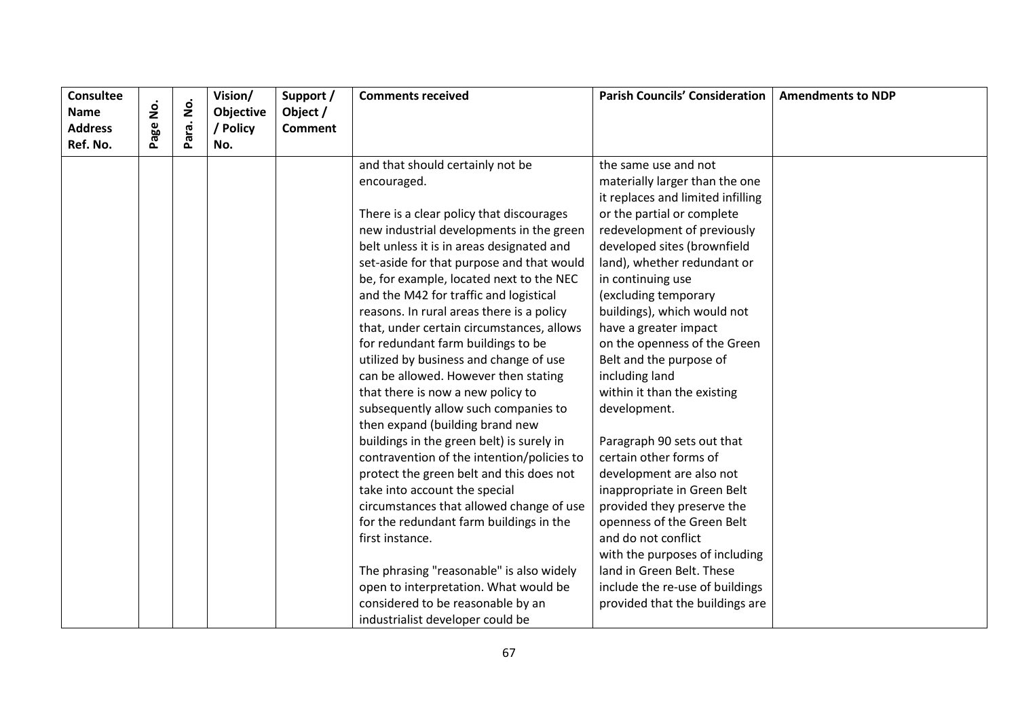| <b>Consultee</b> |        |                    | Vision/   | Support /      | <b>Comments received</b>                   | <b>Parish Councils' Consideration</b> | <b>Amendments to NDP</b> |
|------------------|--------|--------------------|-----------|----------------|--------------------------------------------|---------------------------------------|--------------------------|
| <b>Name</b>      | .<br>2 | $\dot{\mathsf{S}}$ | Objective | Object /       |                                            |                                       |                          |
| <b>Address</b>   | Page   | Para.              | / Policy  | <b>Comment</b> |                                            |                                       |                          |
| Ref. No.         |        |                    | No.       |                |                                            |                                       |                          |
|                  |        |                    |           |                | and that should certainly not be           | the same use and not                  |                          |
|                  |        |                    |           |                | encouraged.                                | materially larger than the one        |                          |
|                  |        |                    |           |                |                                            | it replaces and limited infilling     |                          |
|                  |        |                    |           |                | There is a clear policy that discourages   | or the partial or complete            |                          |
|                  |        |                    |           |                | new industrial developments in the green   | redevelopment of previously           |                          |
|                  |        |                    |           |                | belt unless it is in areas designated and  | developed sites (brownfield           |                          |
|                  |        |                    |           |                | set-aside for that purpose and that would  | land), whether redundant or           |                          |
|                  |        |                    |           |                | be, for example, located next to the NEC   | in continuing use                     |                          |
|                  |        |                    |           |                | and the M42 for traffic and logistical     | (excluding temporary                  |                          |
|                  |        |                    |           |                | reasons. In rural areas there is a policy  | buildings), which would not           |                          |
|                  |        |                    |           |                | that, under certain circumstances, allows  | have a greater impact                 |                          |
|                  |        |                    |           |                | for redundant farm buildings to be         | on the openness of the Green          |                          |
|                  |        |                    |           |                | utilized by business and change of use     | Belt and the purpose of               |                          |
|                  |        |                    |           |                | can be allowed. However then stating       | including land                        |                          |
|                  |        |                    |           |                | that there is now a new policy to          | within it than the existing           |                          |
|                  |        |                    |           |                | subsequently allow such companies to       | development.                          |                          |
|                  |        |                    |           |                | then expand (building brand new            |                                       |                          |
|                  |        |                    |           |                | buildings in the green belt) is surely in  | Paragraph 90 sets out that            |                          |
|                  |        |                    |           |                | contravention of the intention/policies to | certain other forms of                |                          |
|                  |        |                    |           |                | protect the green belt and this does not   | development are also not              |                          |
|                  |        |                    |           |                | take into account the special              | inappropriate in Green Belt           |                          |
|                  |        |                    |           |                | circumstances that allowed change of use   | provided they preserve the            |                          |
|                  |        |                    |           |                | for the redundant farm buildings in the    | openness of the Green Belt            |                          |
|                  |        |                    |           |                | first instance.                            | and do not conflict                   |                          |
|                  |        |                    |           |                |                                            | with the purposes of including        |                          |
|                  |        |                    |           |                | The phrasing "reasonable" is also widely   | land in Green Belt. These             |                          |
|                  |        |                    |           |                | open to interpretation. What would be      | include the re-use of buildings       |                          |
|                  |        |                    |           |                | considered to be reasonable by an          | provided that the buildings are       |                          |
|                  |        |                    |           |                | industrialist developer could be           |                                       |                          |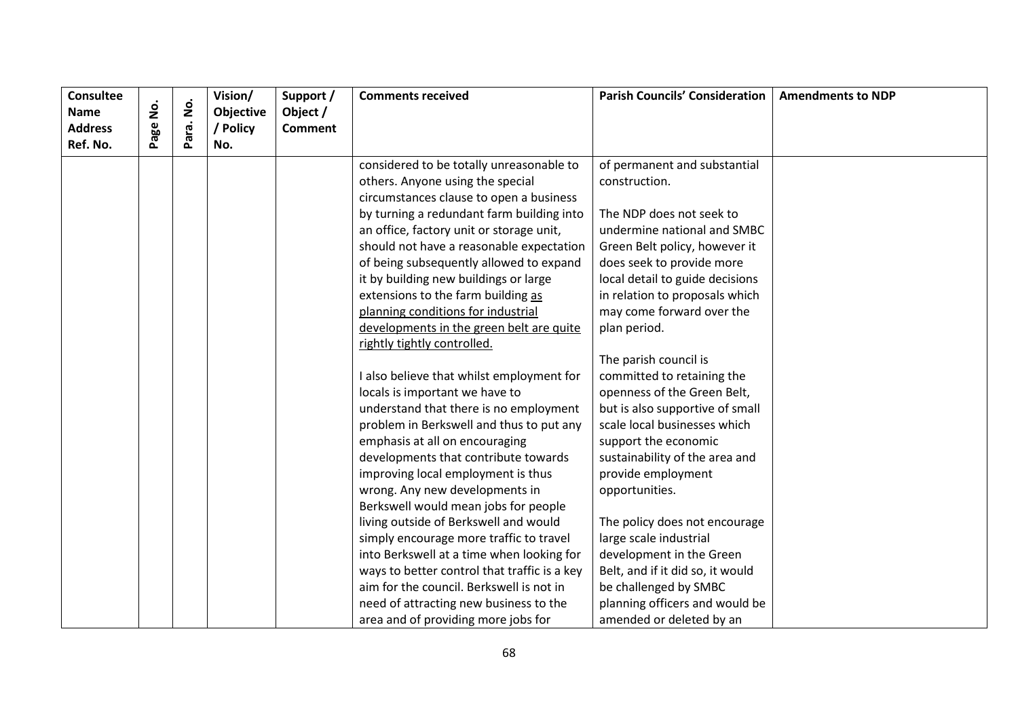| <b>Consultee</b> |          |                    | Vision/          | Support /      | <b>Comments received</b>                     | <b>Parish Councils' Consideration</b> | <b>Amendments to NDP</b> |
|------------------|----------|--------------------|------------------|----------------|----------------------------------------------|---------------------------------------|--------------------------|
| <b>Name</b>      | Page No. | $\dot{\mathsf{S}}$ | <b>Objective</b> | Object /       |                                              |                                       |                          |
| <b>Address</b>   |          | Para.              | / Policy         | <b>Comment</b> |                                              |                                       |                          |
| Ref. No.         |          |                    | No.              |                |                                              |                                       |                          |
|                  |          |                    |                  |                | considered to be totally unreasonable to     | of permanent and substantial          |                          |
|                  |          |                    |                  |                | others. Anyone using the special             | construction.                         |                          |
|                  |          |                    |                  |                | circumstances clause to open a business      |                                       |                          |
|                  |          |                    |                  |                | by turning a redundant farm building into    | The NDP does not seek to              |                          |
|                  |          |                    |                  |                | an office, factory unit or storage unit,     | undermine national and SMBC           |                          |
|                  |          |                    |                  |                | should not have a reasonable expectation     | Green Belt policy, however it         |                          |
|                  |          |                    |                  |                | of being subsequently allowed to expand      | does seek to provide more             |                          |
|                  |          |                    |                  |                | it by building new buildings or large        | local detail to guide decisions       |                          |
|                  |          |                    |                  |                | extensions to the farm building as           | in relation to proposals which        |                          |
|                  |          |                    |                  |                | planning conditions for industrial           | may come forward over the             |                          |
|                  |          |                    |                  |                | developments in the green belt are quite     | plan period.                          |                          |
|                  |          |                    |                  |                | rightly tightly controlled.                  |                                       |                          |
|                  |          |                    |                  |                |                                              | The parish council is                 |                          |
|                  |          |                    |                  |                | I also believe that whilst employment for    | committed to retaining the            |                          |
|                  |          |                    |                  |                | locals is important we have to               | openness of the Green Belt,           |                          |
|                  |          |                    |                  |                | understand that there is no employment       | but is also supportive of small       |                          |
|                  |          |                    |                  |                | problem in Berkswell and thus to put any     | scale local businesses which          |                          |
|                  |          |                    |                  |                | emphasis at all on encouraging               | support the economic                  |                          |
|                  |          |                    |                  |                | developments that contribute towards         | sustainability of the area and        |                          |
|                  |          |                    |                  |                | improving local employment is thus           | provide employment                    |                          |
|                  |          |                    |                  |                | wrong. Any new developments in               | opportunities.                        |                          |
|                  |          |                    |                  |                | Berkswell would mean jobs for people         |                                       |                          |
|                  |          |                    |                  |                | living outside of Berkswell and would        | The policy does not encourage         |                          |
|                  |          |                    |                  |                | simply encourage more traffic to travel      | large scale industrial                |                          |
|                  |          |                    |                  |                | into Berkswell at a time when looking for    | development in the Green              |                          |
|                  |          |                    |                  |                | ways to better control that traffic is a key | Belt, and if it did so, it would      |                          |
|                  |          |                    |                  |                | aim for the council. Berkswell is not in     | be challenged by SMBC                 |                          |
|                  |          |                    |                  |                | need of attracting new business to the       | planning officers and would be        |                          |
|                  |          |                    |                  |                | area and of providing more jobs for          | amended or deleted by an              |                          |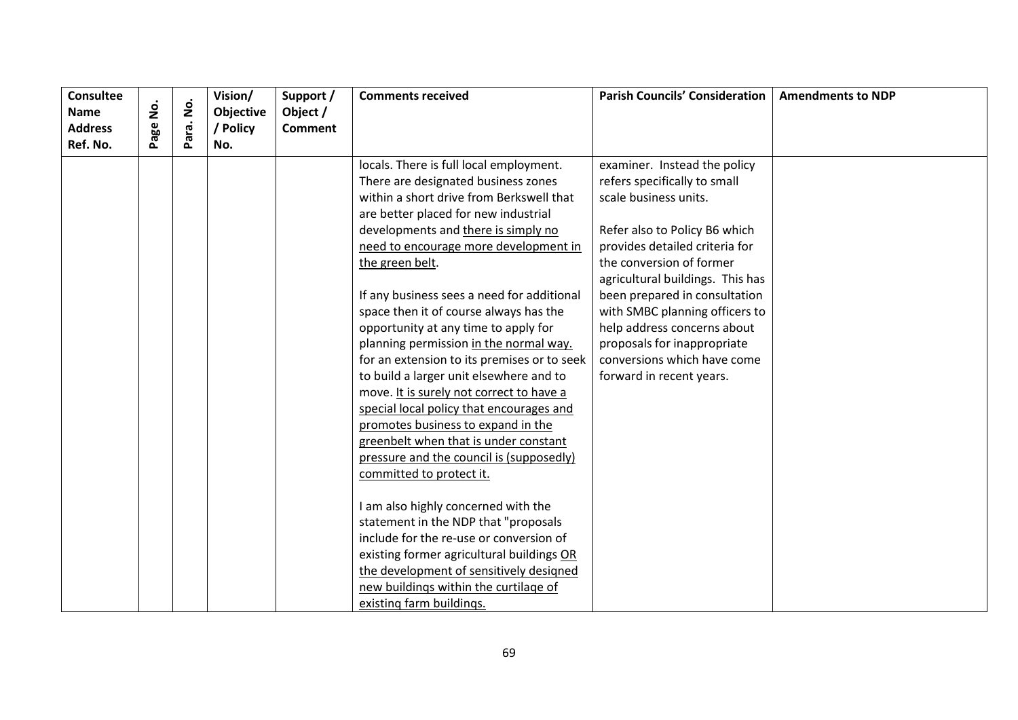| <b>Consultee</b><br>Name |          | $\dot{\mathsf{S}}$ | Vision/<br>Objective | Support /<br>Object / | <b>Comments received</b>                    | <b>Parish Councils' Consideration</b> | <b>Amendments to NDP</b> |
|--------------------------|----------|--------------------|----------------------|-----------------------|---------------------------------------------|---------------------------------------|--------------------------|
| <b>Address</b>           | Page No. |                    | / Policy             | <b>Comment</b>        |                                             |                                       |                          |
| Ref. No.                 |          | Para.              | No.                  |                       |                                             |                                       |                          |
|                          |          |                    |                      |                       | locals. There is full local employment.     | examiner. Instead the policy          |                          |
|                          |          |                    |                      |                       | There are designated business zones         | refers specifically to small          |                          |
|                          |          |                    |                      |                       | within a short drive from Berkswell that    | scale business units.                 |                          |
|                          |          |                    |                      |                       | are better placed for new industrial        |                                       |                          |
|                          |          |                    |                      |                       | developments and there is simply no         | Refer also to Policy B6 which         |                          |
|                          |          |                    |                      |                       | need to encourage more development in       | provides detailed criteria for        |                          |
|                          |          |                    |                      |                       | the green belt.                             | the conversion of former              |                          |
|                          |          |                    |                      |                       |                                             | agricultural buildings. This has      |                          |
|                          |          |                    |                      |                       | If any business sees a need for additional  | been prepared in consultation         |                          |
|                          |          |                    |                      |                       | space then it of course always has the      | with SMBC planning officers to        |                          |
|                          |          |                    |                      |                       | opportunity at any time to apply for        | help address concerns about           |                          |
|                          |          |                    |                      |                       | planning permission in the normal way.      | proposals for inappropriate           |                          |
|                          |          |                    |                      |                       | for an extension to its premises or to seek | conversions which have come           |                          |
|                          |          |                    |                      |                       | to build a larger unit elsewhere and to     | forward in recent years.              |                          |
|                          |          |                    |                      |                       | move. It is surely not correct to have a    |                                       |                          |
|                          |          |                    |                      |                       | special local policy that encourages and    |                                       |                          |
|                          |          |                    |                      |                       | promotes business to expand in the          |                                       |                          |
|                          |          |                    |                      |                       | greenbelt when that is under constant       |                                       |                          |
|                          |          |                    |                      |                       | pressure and the council is (supposedly)    |                                       |                          |
|                          |          |                    |                      |                       | committed to protect it.                    |                                       |                          |
|                          |          |                    |                      |                       | I am also highly concerned with the         |                                       |                          |
|                          |          |                    |                      |                       | statement in the NDP that "proposals        |                                       |                          |
|                          |          |                    |                      |                       | include for the re-use or conversion of     |                                       |                          |
|                          |          |                    |                      |                       | existing former agricultural buildings OR   |                                       |                          |
|                          |          |                    |                      |                       | the development of sensitively designed     |                                       |                          |
|                          |          |                    |                      |                       | new buildings within the curtilage of       |                                       |                          |
|                          |          |                    |                      |                       | existing farm buildings.                    |                                       |                          |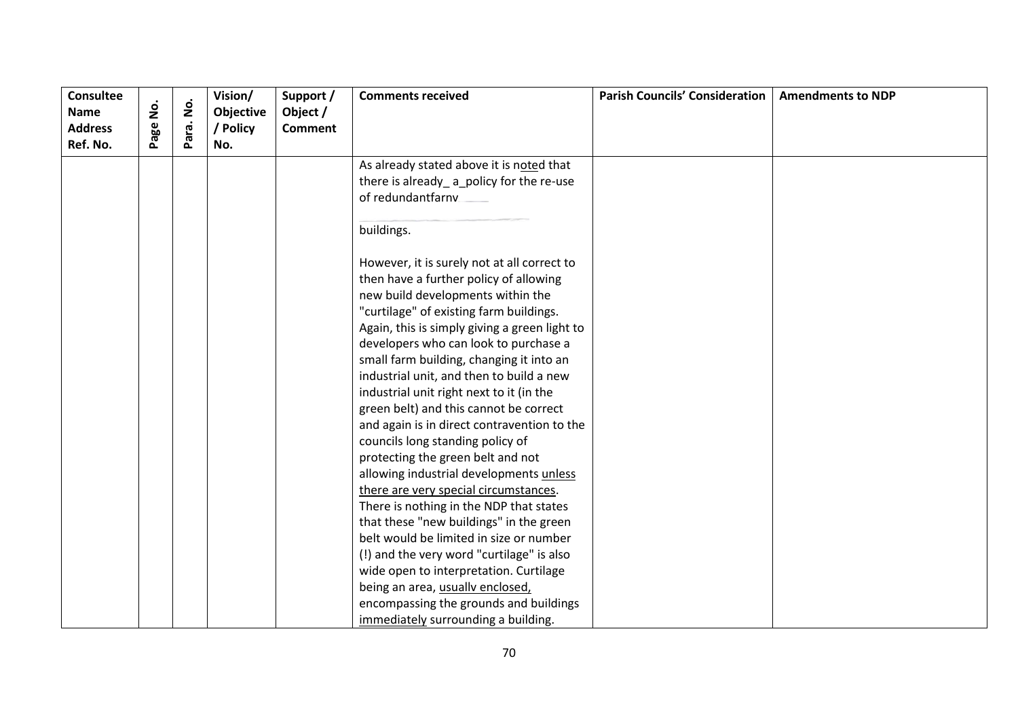| <b>Consultee</b><br><b>Name</b> | <u>o</u><br>2 | $\mathbf{\dot{g}}$ | Vision/<br>Objective | Support /<br>Object / | <b>Comments received</b>                      | <b>Parish Councils' Consideration</b> | <b>Amendments to NDP</b> |
|---------------------------------|---------------|--------------------|----------------------|-----------------------|-----------------------------------------------|---------------------------------------|--------------------------|
| <b>Address</b><br>Ref. No.      | Page          | Para.              | / Policy<br>No.      | <b>Comment</b>        |                                               |                                       |                          |
|                                 |               |                    |                      |                       | As already stated above it is noted that      |                                       |                          |
|                                 |               |                    |                      |                       | there is already_a_policy for the re-use      |                                       |                          |
|                                 |               |                    |                      |                       | of redundantfarny                             |                                       |                          |
|                                 |               |                    |                      |                       |                                               |                                       |                          |
|                                 |               |                    |                      |                       | buildings.                                    |                                       |                          |
|                                 |               |                    |                      |                       | However, it is surely not at all correct to   |                                       |                          |
|                                 |               |                    |                      |                       | then have a further policy of allowing        |                                       |                          |
|                                 |               |                    |                      |                       | new build developments within the             |                                       |                          |
|                                 |               |                    |                      |                       | "curtilage" of existing farm buildings.       |                                       |                          |
|                                 |               |                    |                      |                       | Again, this is simply giving a green light to |                                       |                          |
|                                 |               |                    |                      |                       | developers who can look to purchase a         |                                       |                          |
|                                 |               |                    |                      |                       | small farm building, changing it into an      |                                       |                          |
|                                 |               |                    |                      |                       | industrial unit, and then to build a new      |                                       |                          |
|                                 |               |                    |                      |                       | industrial unit right next to it (in the      |                                       |                          |
|                                 |               |                    |                      |                       | green belt) and this cannot be correct        |                                       |                          |
|                                 |               |                    |                      |                       | and again is in direct contravention to the   |                                       |                          |
|                                 |               |                    |                      |                       | councils long standing policy of              |                                       |                          |
|                                 |               |                    |                      |                       | protecting the green belt and not             |                                       |                          |
|                                 |               |                    |                      |                       | allowing industrial developments unless       |                                       |                          |
|                                 |               |                    |                      |                       | there are very special circumstances.         |                                       |                          |
|                                 |               |                    |                      |                       | There is nothing in the NDP that states       |                                       |                          |
|                                 |               |                    |                      |                       | that these "new buildings" in the green       |                                       |                          |
|                                 |               |                    |                      |                       | belt would be limited in size or number       |                                       |                          |
|                                 |               |                    |                      |                       | (!) and the very word "curtilage" is also     |                                       |                          |
|                                 |               |                    |                      |                       | wide open to interpretation. Curtilage        |                                       |                          |
|                                 |               |                    |                      |                       | being an area, usually enclosed,              |                                       |                          |
|                                 |               |                    |                      |                       | encompassing the grounds and buildings        |                                       |                          |
|                                 |               |                    |                      |                       | immediately surrounding a building.           |                                       |                          |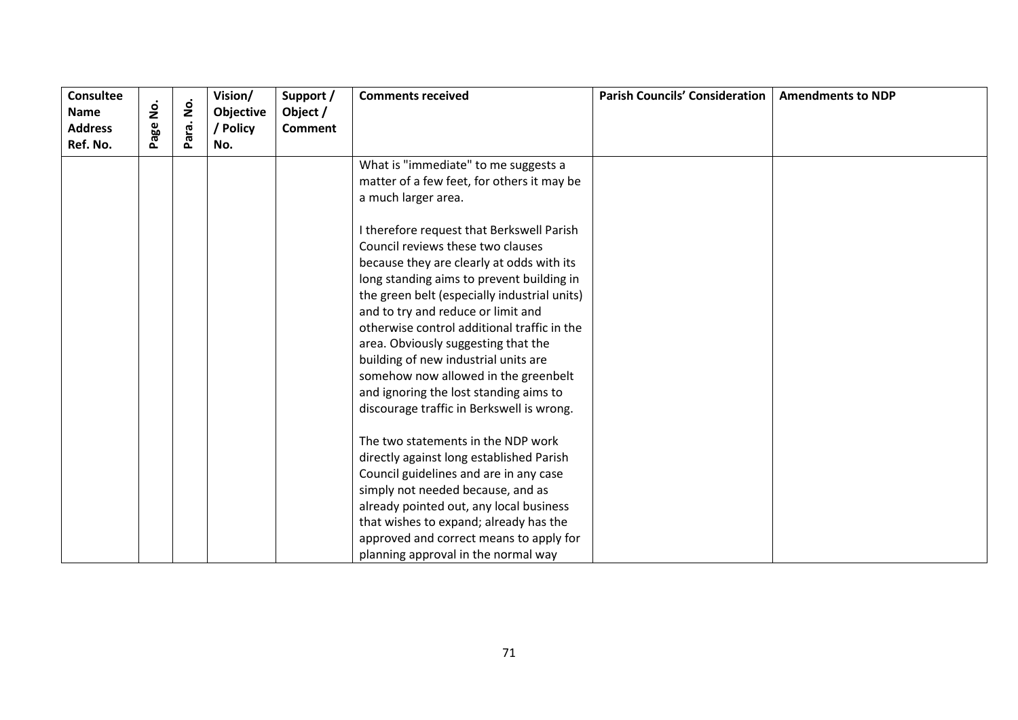| <b>Consultee</b> |           |                    | Vision/   | Support /      | <b>Comments received</b>                     | <b>Parish Councils' Consideration</b> | <b>Amendments to NDP</b> |
|------------------|-----------|--------------------|-----------|----------------|----------------------------------------------|---------------------------------------|--------------------------|
| <b>Name</b>      | <u>о́</u> | $\dot{\mathsf{p}}$ | Objective | Object /       |                                              |                                       |                          |
| <b>Address</b>   | age       | ara.               | / Policy  | <b>Comment</b> |                                              |                                       |                          |
| Ref. No.         |           | Ő.                 | No.       |                |                                              |                                       |                          |
|                  |           |                    |           |                | What is "immediate" to me suggests a         |                                       |                          |
|                  |           |                    |           |                | matter of a few feet, for others it may be   |                                       |                          |
|                  |           |                    |           |                | a much larger area.                          |                                       |                          |
|                  |           |                    |           |                | I therefore request that Berkswell Parish    |                                       |                          |
|                  |           |                    |           |                | Council reviews these two clauses            |                                       |                          |
|                  |           |                    |           |                | because they are clearly at odds with its    |                                       |                          |
|                  |           |                    |           |                | long standing aims to prevent building in    |                                       |                          |
|                  |           |                    |           |                | the green belt (especially industrial units) |                                       |                          |
|                  |           |                    |           |                | and to try and reduce or limit and           |                                       |                          |
|                  |           |                    |           |                | otherwise control additional traffic in the  |                                       |                          |
|                  |           |                    |           |                | area. Obviously suggesting that the          |                                       |                          |
|                  |           |                    |           |                | building of new industrial units are         |                                       |                          |
|                  |           |                    |           |                | somehow now allowed in the greenbelt         |                                       |                          |
|                  |           |                    |           |                | and ignoring the lost standing aims to       |                                       |                          |
|                  |           |                    |           |                | discourage traffic in Berkswell is wrong.    |                                       |                          |
|                  |           |                    |           |                | The two statements in the NDP work           |                                       |                          |
|                  |           |                    |           |                | directly against long established Parish     |                                       |                          |
|                  |           |                    |           |                | Council guidelines and are in any case       |                                       |                          |
|                  |           |                    |           |                | simply not needed because, and as            |                                       |                          |
|                  |           |                    |           |                | already pointed out, any local business      |                                       |                          |
|                  |           |                    |           |                | that wishes to expand; already has the       |                                       |                          |
|                  |           |                    |           |                | approved and correct means to apply for      |                                       |                          |
|                  |           |                    |           |                | planning approval in the normal way          |                                       |                          |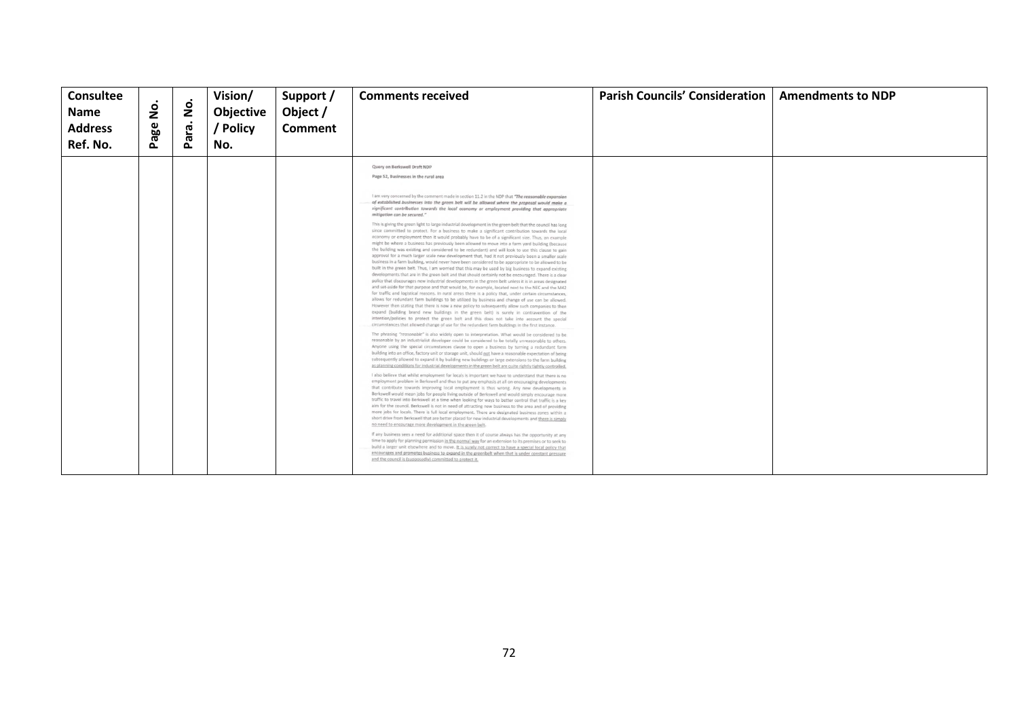| <b>Consultee</b><br><b>Name</b><br><b>Address</b><br>Ref. No. | $\frac{1}{2}$<br>age<br>$\Delta$ | 2<br>ara.<br>௳ | Vision/<br>Objective<br>/ Policy<br>No. | Support /<br>Object /<br><b>Comment</b> | <b>Comments received</b>                                                                                                                                                                                                                                                                                                                                                                                                                                                                                                                                                                                                                                                                                                                                                                                                                                                                                                                                                                                                                                                                                                                                                                                                                                                                                                                                                                                                                                                                                                                                                                                                                                                                                                                                                                                                                                                                                                                                                                                                                                                                                                                                                                                                                                                                                                                                                                                                                                                                                                                                                                                                                                                                                                                                                                                                                                                                                                                                                                                                                                                                                                                                                                                                                                                                                                                                                                                                                                                                                                                                                                                                                                                                                                                                                                                                                                                                                                                                                                                                                                                                                                                                                                                                                                     | <b>Parish Councils' Consideration</b> | <b>Amendments to NDP</b> |
|---------------------------------------------------------------|----------------------------------|----------------|-----------------------------------------|-----------------------------------------|--------------------------------------------------------------------------------------------------------------------------------------------------------------------------------------------------------------------------------------------------------------------------------------------------------------------------------------------------------------------------------------------------------------------------------------------------------------------------------------------------------------------------------------------------------------------------------------------------------------------------------------------------------------------------------------------------------------------------------------------------------------------------------------------------------------------------------------------------------------------------------------------------------------------------------------------------------------------------------------------------------------------------------------------------------------------------------------------------------------------------------------------------------------------------------------------------------------------------------------------------------------------------------------------------------------------------------------------------------------------------------------------------------------------------------------------------------------------------------------------------------------------------------------------------------------------------------------------------------------------------------------------------------------------------------------------------------------------------------------------------------------------------------------------------------------------------------------------------------------------------------------------------------------------------------------------------------------------------------------------------------------------------------------------------------------------------------------------------------------------------------------------------------------------------------------------------------------------------------------------------------------------------------------------------------------------------------------------------------------------------------------------------------------------------------------------------------------------------------------------------------------------------------------------------------------------------------------------------------------------------------------------------------------------------------------------------------------------------------------------------------------------------------------------------------------------------------------------------------------------------------------------------------------------------------------------------------------------------------------------------------------------------------------------------------------------------------------------------------------------------------------------------------------------------------------------------------------------------------------------------------------------------------------------------------------------------------------------------------------------------------------------------------------------------------------------------------------------------------------------------------------------------------------------------------------------------------------------------------------------------------------------------------------------------------------------------------------------------------------------------------------------------------------------------------------------------------------------------------------------------------------------------------------------------------------------------------------------------------------------------------------------------------------------------------------------------------------------------------------------------------------------------------------------------------------------------------------------------------------------------------------|---------------------------------------|--------------------------|
|                                                               |                                  |                |                                         |                                         | Query on Berkswell Draft NDP<br>Page 52, Businesses in the rural area<br>I am very concerned by the comment made in section 11.2 in the NDP that "The reasonable expansion<br>of established businesses into the green belt will be allowed where the proposal would make a<br>significant contribution towards the local economy or employment providing that appropriate<br>mitigation can be secured."<br>This is giving the green light to large industrial development in the green belt that the council has long<br>since committed to protect. For a business to make a significant contribution towards the local<br>economy or employment then it would probably have to be of a significant size. Thus, an example<br>might be where a business has previously been allowed to move into a farm yard building (because<br>the building was existing and considered to be redundant) and will look to use this clause to gain<br>approval for a much larger scale new development that, had it not previously been a smaller scale<br>business in a farm building, would never have been considered to be appropriate to be allowed to be<br>built in the green belt. Thus, I am worried that this may be used by big business to expand existing<br>developments that are in the green belt and that should certainly not be encouraged. There is a clear<br>policy that discourages new industrial developments in the green belt unless it is in areas designated<br>and set-aside for that purpose and that would be, for example, located next to the NEC and the M42<br>for traffic and logistical reasons. In rural areas there is a policy that, under certain circumstances,<br>allows for redundant farm buildings to be utilized by business and change of use can be allowed.<br>However then stating that there is now a new policy to subsequently allow such companies to then<br>expand (building brand new buildings in the green belt) is surely in contravention of the<br>intention/policies to protect the green belt and this does not take into account the special<br>circumstances that allowed change of use for the redundant farm buildings in the first instance.<br>The phrasing "reasonable" is also widely open to interpretation. What would be considered to be<br>reasonable by an industrialist developer could be considered to be totally unreasonable to others.<br>Anyone using the special circumstances clause to open a business by turning a redundant farm<br>building into an office, factory unit or storage unit, should not have a reasonable expectation of being<br>subsequently allowed to expand it by building new buildings or large extensions to the farm building<br>as planning conditions for industrial developments in the green belt are quite rightly tightly controlled.<br>I also believe that whilst employment for locals is important we have to understand that there is no<br>employment problem in Berkswell and thus to put any emphasis at all on encouraging developments<br>that contribute towards improving local employment is thus wrong. Any new developments in<br>Berkswell would mean jobs for people living outside of Berkswell and would simply encourage more<br>traffic to travel into Berkswell at a time when looking for ways to better control that traffic is a key<br>aim for the council. Berkswell is not in need of attracting new business to the area and of providing<br>more jobs for locals. There is full local employment. There are designated business zones within a<br>short drive from Berkswell that are better placed for new industrial developments and there is simply<br>no need to encourage more development in the green belt.<br>If any business sees a need for additional space then it of course always has the opportunity at any<br>time to apply for planning permission in the normal way for an extension to its premises or to seek to<br>build a larger unit elsewhere and to move. It is surely not correct to have a special local policy that<br>encourages and promotes business to expand in the greenbelt when that is under constant pressure<br>and the council is (supposedly) committed to protect it, |                                       |                          |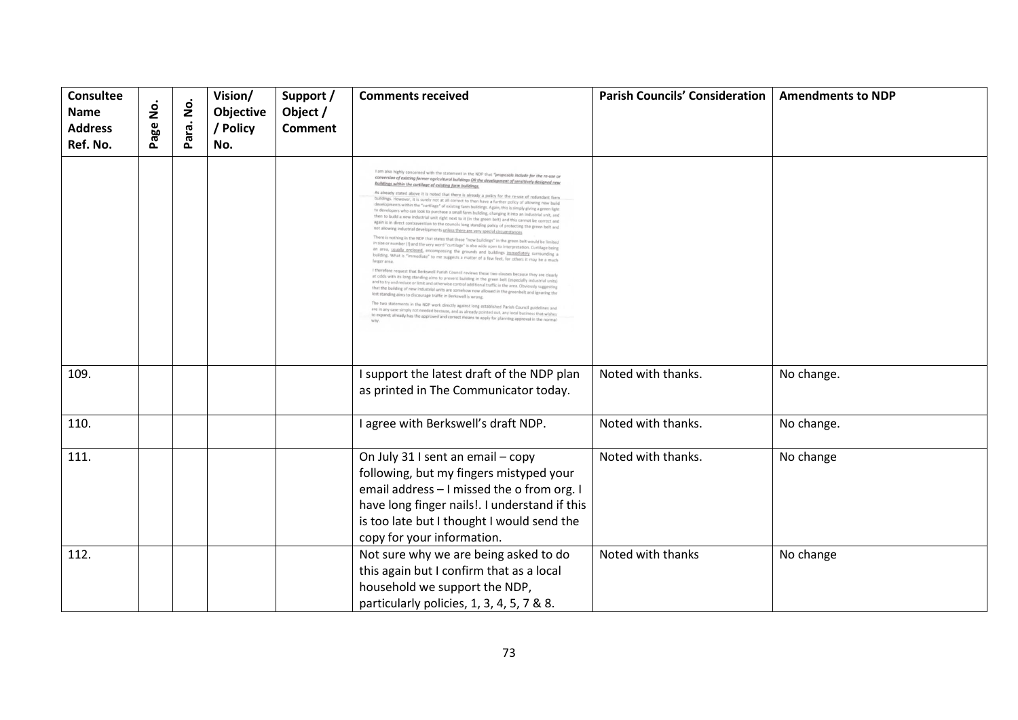| <b>Consultee</b><br><b>Name</b><br><b>Address</b><br>Ref. No. | Page No. | $\dot{\mathsf{S}}$<br>Para. | Vision/<br>Objective<br>/ Policy<br>No. | Support /<br>Object /<br><b>Comment</b> | <b>Comments received</b>                                                                                                                                                                                                                                                                                                                                                                                                                                                                                                                                                                                                                                                                                                                                                                                                                                                                                                                                                                                                                                                                                                                                                                                                                                                                                                                                                                                                                                                                                                                                                                                                                                                                                                                                                                                                                                                                                                                                                                                                                                                                                                                                                                                                                                                        | <b>Parish Councils' Consideration</b> | <b>Amendments to NDP</b> |
|---------------------------------------------------------------|----------|-----------------------------|-----------------------------------------|-----------------------------------------|---------------------------------------------------------------------------------------------------------------------------------------------------------------------------------------------------------------------------------------------------------------------------------------------------------------------------------------------------------------------------------------------------------------------------------------------------------------------------------------------------------------------------------------------------------------------------------------------------------------------------------------------------------------------------------------------------------------------------------------------------------------------------------------------------------------------------------------------------------------------------------------------------------------------------------------------------------------------------------------------------------------------------------------------------------------------------------------------------------------------------------------------------------------------------------------------------------------------------------------------------------------------------------------------------------------------------------------------------------------------------------------------------------------------------------------------------------------------------------------------------------------------------------------------------------------------------------------------------------------------------------------------------------------------------------------------------------------------------------------------------------------------------------------------------------------------------------------------------------------------------------------------------------------------------------------------------------------------------------------------------------------------------------------------------------------------------------------------------------------------------------------------------------------------------------------------------------------------------------------------------------------------------------|---------------------------------------|--------------------------|
|                                                               |          |                             |                                         |                                         | I am also highly concerned with the statement in the NDP that "proposals include for the re-use or<br>conversion of existing former agricultural buildings OR the development of sensitively designed new<br>buildings within the curtilage of existing farm buildings<br>As already stated above it is noted that there is already a policy for the re-use of redundant farm<br>buildings. However, it is surely not at all correct to then have a further policy of allowing new build<br>developments within the "curtilage" of existing farm buildings. Again, this is simply giving a green light<br>to developers who can look to purchase a small farm building, changing it into an industrial unit, and<br>then to build a new industrial unit right next to it (in the green belt) and this cannot be correct and<br>again is in direct contravention to the councils long standing policy of protecting the green belt and<br>not allowing industrial developments unless there are very special circumstances<br>There is nothing in the NDP that states that these "new buildings" in the green belt would be limited<br>in size or number (I) and the very word "curtilage" is also wide open to interpretation. Curtilage being<br>an area, usually enclosed, encompassing the grounds and buildings immediately surrounding a<br>building. What is "immediate" to me suggests a matter of a few feet, for others it may be a much<br>I therefore request that Berkswell Parish Council reviews these two clauses because they are clearly<br>at odds with its long standing aims to prevent building in the green belt (especially industrial units)<br>and to try and reduce or limit and otherwise control additional traffic in the area. Obviously suggesting<br>that the building of new industrial units are somehow now allowed in the greenbelt and ignoring the<br>lost standing aims to discourage traffic in Berkswell is wrong.<br>The two statements in the NDP work directly against long established Parish Council guidelines and<br>are in any case simply not needed because, and as already pointed out, any local business that wishes<br>to expand; already has the approved and correct means to apply for planning approval in the norma |                                       |                          |
| 109.                                                          |          |                             |                                         |                                         | I support the latest draft of the NDP plan<br>as printed in The Communicator today.                                                                                                                                                                                                                                                                                                                                                                                                                                                                                                                                                                                                                                                                                                                                                                                                                                                                                                                                                                                                                                                                                                                                                                                                                                                                                                                                                                                                                                                                                                                                                                                                                                                                                                                                                                                                                                                                                                                                                                                                                                                                                                                                                                                             | Noted with thanks.                    | No change.               |
| 110.                                                          |          |                             |                                         |                                         | I agree with Berkswell's draft NDP.                                                                                                                                                                                                                                                                                                                                                                                                                                                                                                                                                                                                                                                                                                                                                                                                                                                                                                                                                                                                                                                                                                                                                                                                                                                                                                                                                                                                                                                                                                                                                                                                                                                                                                                                                                                                                                                                                                                                                                                                                                                                                                                                                                                                                                             | Noted with thanks.                    | No change.               |
|                                                               |          |                             |                                         |                                         |                                                                                                                                                                                                                                                                                                                                                                                                                                                                                                                                                                                                                                                                                                                                                                                                                                                                                                                                                                                                                                                                                                                                                                                                                                                                                                                                                                                                                                                                                                                                                                                                                                                                                                                                                                                                                                                                                                                                                                                                                                                                                                                                                                                                                                                                                 |                                       |                          |
| 111.                                                          |          |                             |                                         |                                         | On July 31 I sent an email - copy<br>following, but my fingers mistyped your<br>email address - I missed the o from org. I<br>have long finger nails!. I understand if this<br>is too late but I thought I would send the<br>copy for your information.                                                                                                                                                                                                                                                                                                                                                                                                                                                                                                                                                                                                                                                                                                                                                                                                                                                                                                                                                                                                                                                                                                                                                                                                                                                                                                                                                                                                                                                                                                                                                                                                                                                                                                                                                                                                                                                                                                                                                                                                                         | Noted with thanks.                    | No change                |
| 112.                                                          |          |                             |                                         |                                         | Not sure why we are being asked to do<br>this again but I confirm that as a local<br>household we support the NDP,<br>particularly policies, 1, 3, 4, 5, 7 & 8.                                                                                                                                                                                                                                                                                                                                                                                                                                                                                                                                                                                                                                                                                                                                                                                                                                                                                                                                                                                                                                                                                                                                                                                                                                                                                                                                                                                                                                                                                                                                                                                                                                                                                                                                                                                                                                                                                                                                                                                                                                                                                                                 | Noted with thanks                     | No change                |